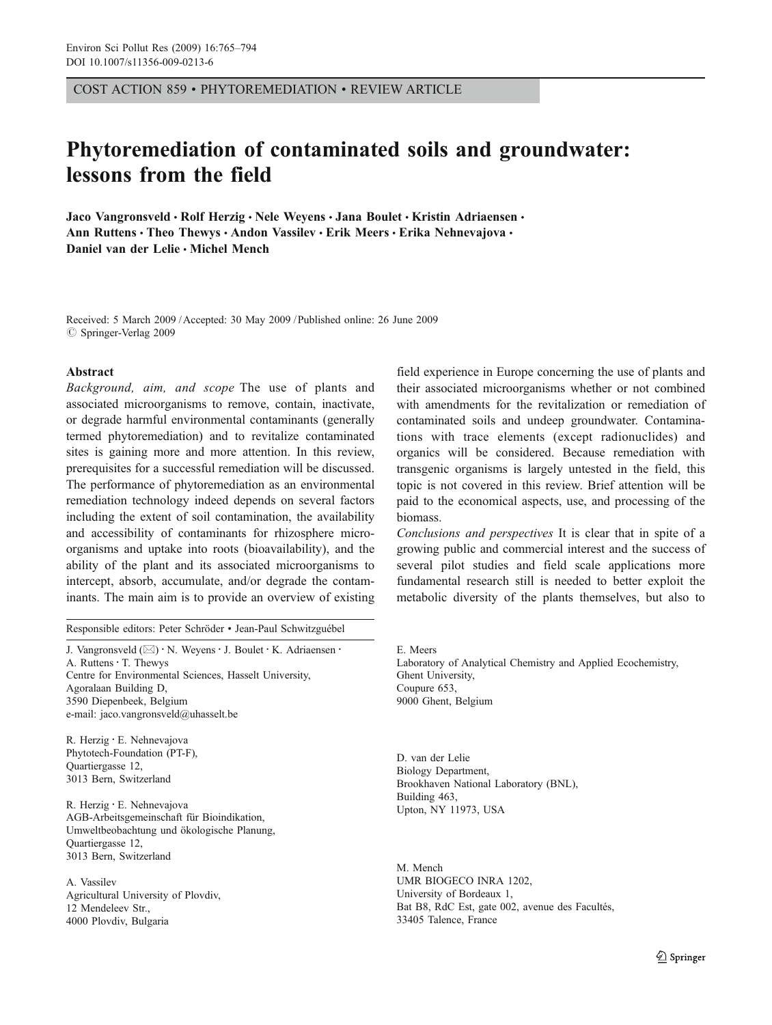COST ACTION 859 • PHYTOREMEDIATION • REVIEW ARTICLE

# Phytoremediation of contaminated soils and groundwater: lessons from the field

Jaco Vangronsveld · Rolf Herzig · Nele Weyens · Jana Boulet · Kristin Adriaensen · Ann Ruttens · Theo Thewys · Andon Vassilev · Erik Meers · Erika Nehnevajova · Daniel van der Lelie · Michel Mench

Received: 5 March 2009 /Accepted: 30 May 2009 / Published online: 26 June 2009  $\oslash$  Springer-Verlag 2009

## Abstract

Background, aim, and scope The use of plants and associated microorganisms to remove, contain, inactivate, or degrade harmful environmental contaminants (generally termed phytoremediation) and to revitalize contaminated sites is gaining more and more attention. In this review, prerequisites for a successful remediation will be discussed. The performance of phytoremediation as an environmental remediation technology indeed depends on several factors including the extent of soil contamination, the availability and accessibility of contaminants for rhizosphere microorganisms and uptake into roots (bioavailability), and the ability of the plant and its associated microorganisms to intercept, absorb, accumulate, and/or degrade the contaminants. The main aim is to provide an overview of existing

Responsible editors: Peter Schröder • Jean-Paul Schwitzguébel

J. Vangronsveld ( $\boxtimes$ ) · N. Weyens · J. Boulet · K. Adriaensen · A. Ruttens: T. Thewys Centre for Environmental Sciences, Hasselt University, Agoralaan Building D, 3590 Diepenbeek, Belgium e-mail: jaco.vangronsveld@uhasselt.be

R. Herzig : E. Nehnevajova Phytotech-Foundation (PT-F), Quartiergasse 12, 3013 Bern, Switzerland

R. Herzig : E. Nehnevajova AGB-Arbeitsgemeinschaft für Bioindikation, Umweltbeobachtung und ökologische Planung, Quartiergasse 12, 3013 Bern, Switzerland

A. Vassilev Agricultural University of Plovdiv, 12 Mendeleev Str., 4000 Plovdiv, Bulgaria

field experience in Europe concerning the use of plants and their associated microorganisms whether or not combined with amendments for the revitalization or remediation of contaminated soils and undeep groundwater. Contaminations with trace elements (except radionuclides) and organics will be considered. Because remediation with transgenic organisms is largely untested in the field, this topic is not covered in this review. Brief attention will be paid to the economical aspects, use, and processing of the biomass.

Conclusions and perspectives It is clear that in spite of a growing public and commercial interest and the success of several pilot studies and field scale applications more fundamental research still is needed to better exploit the metabolic diversity of the plants themselves, but also to

E. Meers Laboratory of Analytical Chemistry and Applied Ecochemistry, Ghent University, Coupure 653, 9000 Ghent, Belgium

D. van der Lelie Biology Department, Brookhaven National Laboratory (BNL), Building 463, Upton, NY 11973, USA

M. Mench UMR BIOGECO INRA 1202, University of Bordeaux 1, Bat B8, RdC Est, gate 002, avenue des Facultés, 33405 Talence, France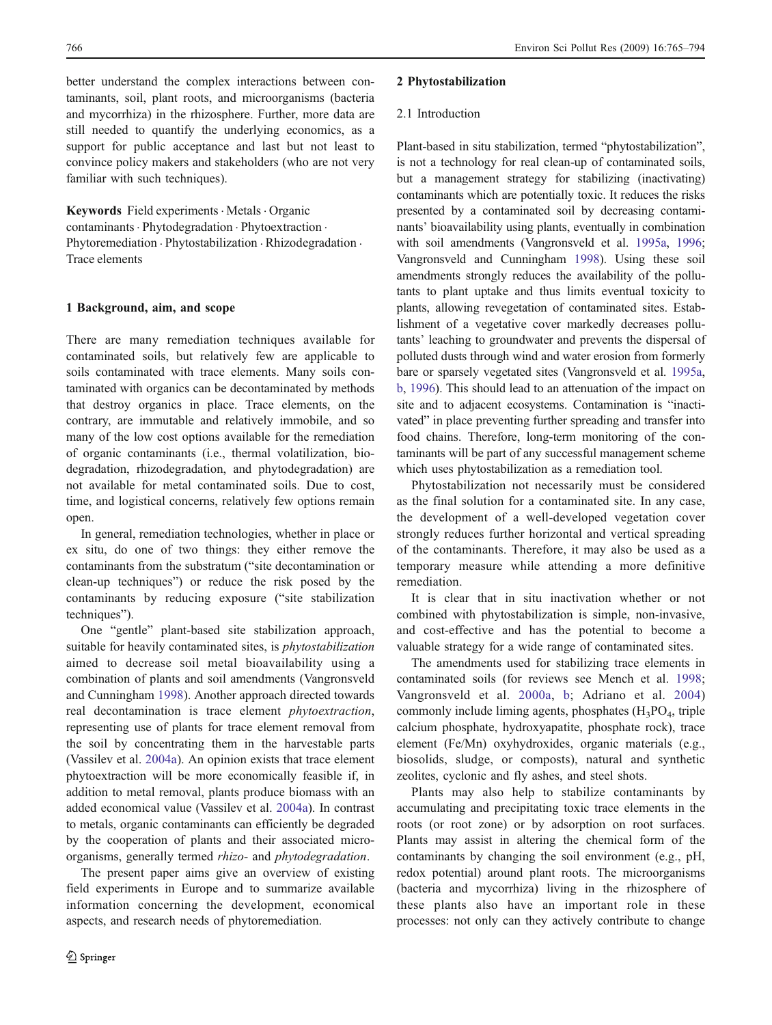766 Environ Sci Pollut Res (2009) 16:765–794

better understand the complex interactions between contaminants, soil, plant roots, and microorganisms (bacteria and mycorrhiza) in the rhizosphere. Further, more data are still needed to quantify the underlying economics, as a support for public acceptance and last but not least to convince policy makers and stakeholders (who are not very familiar with such techniques).

Keywords Field experiments · Metals · Organic contaminants. Phytodegradation . Phytoextraction . Phytoremediation . Phytostabilization . Rhizodegradation . Trace elements

# 1 Background, aim, and scope

There are many remediation techniques available for contaminated soils, but relatively few are applicable to soils contaminated with trace elements. Many soils contaminated with organics can be decontaminated by methods that destroy organics in place. Trace elements, on the contrary, are immutable and relatively immobile, and so many of the low cost options available for the remediation of organic contaminants (i.e., thermal volatilization, biodegradation, rhizodegradation, and phytodegradation) are not available for metal contaminated soils. Due to cost, time, and logistical concerns, relatively few options remain open.

In general, remediation technologies, whether in place or ex situ, do one of two things: they either remove the contaminants from the substratum ("site decontamination or clean-up techniques") or reduce the risk posed by the contaminants by reducing exposure ("site stabilization techniques").

One "gentle" plant-based site stabilization approach, suitable for heavily contaminated sites, is *phytostabilization* aimed to decrease soil metal bioavailability using a combination of plants and soil amendments (Vangronsveld and Cunningham [1998\)](#page-28-0). Another approach directed towards real decontamination is trace element phytoextraction, representing use of plants for trace element removal from the soil by concentrating them in the harvestable parts (Vassilev et al. [2004a\)](#page-28-0). An opinion exists that trace element phytoextraction will be more economically feasible if, in addition to metal removal, plants produce biomass with an added economical value (Vassilev et al. [2004a\)](#page-28-0). In contrast to metals, organic contaminants can efficiently be degraded by the cooperation of plants and their associated microorganisms, generally termed rhizo- and phytodegradation.

The present paper aims give an overview of existing field experiments in Europe and to summarize available information concerning the development, economical aspects, and research needs of phytoremediation.

# 2 Phytostabilization

# 2.1 Introduction

Plant-based in situ stabilization, termed "phytostabilization", is not a technology for real clean-up of contaminated soils, but a management strategy for stabilizing (inactivating) contaminants which are potentially toxic. It reduces the risks presented by a contaminated soil by decreasing contaminants' bioavailability using plants, eventually in combination with soil amendments (Vangronsveld et al. [1995a](#page-28-0), [1996;](#page-28-0) Vangronsveld and Cunningham [1998\)](#page-28-0). Using these soil amendments strongly reduces the availability of the pollutants to plant uptake and thus limits eventual toxicity to plants, allowing revegetation of contaminated sites. Establishment of a vegetative cover markedly decreases pollutants' leaching to groundwater and prevents the dispersal of polluted dusts through wind and water erosion from formerly bare or sparsely vegetated sites (Vangronsveld et al. [1995a,](#page-28-0) [b](#page-28-0), [1996\)](#page-28-0). This should lead to an attenuation of the impact on site and to adjacent ecosystems. Contamination is "inactivated" in place preventing further spreading and transfer into food chains. Therefore, long-term monitoring of the contaminants will be part of any successful management scheme which uses phytostabilization as a remediation tool.

Phytostabilization not necessarily must be considered as the final solution for a contaminated site. In any case, the development of a well-developed vegetation cover strongly reduces further horizontal and vertical spreading of the contaminants. Therefore, it may also be used as a temporary measure while attending a more definitive remediation.

It is clear that in situ inactivation whether or not combined with phytostabilization is simple, non-invasive, and cost-effective and has the potential to become a valuable strategy for a wide range of contaminated sites.

The amendments used for stabilizing trace elements in contaminated soils (for reviews see Mench et al. [1998;](#page-27-0) Vangronsveld et al. [2000a,](#page-28-0) [b;](#page-28-0) Adriano et al. [2004](#page-23-0)) commonly include liming agents, phosphates  $(H_3PO_4, triple$ calcium phosphate, hydroxyapatite, phosphate rock), trace element (Fe/Mn) oxyhydroxides, organic materials (e.g., biosolids, sludge, or composts), natural and synthetic zeolites, cyclonic and fly ashes, and steel shots.

Plants may also help to stabilize contaminants by accumulating and precipitating toxic trace elements in the roots (or root zone) or by adsorption on root surfaces. Plants may assist in altering the chemical form of the contaminants by changing the soil environment (e.g., pH, redox potential) around plant roots. The microorganisms (bacteria and mycorrhiza) living in the rhizosphere of these plants also have an important role in these processes: not only can they actively contribute to change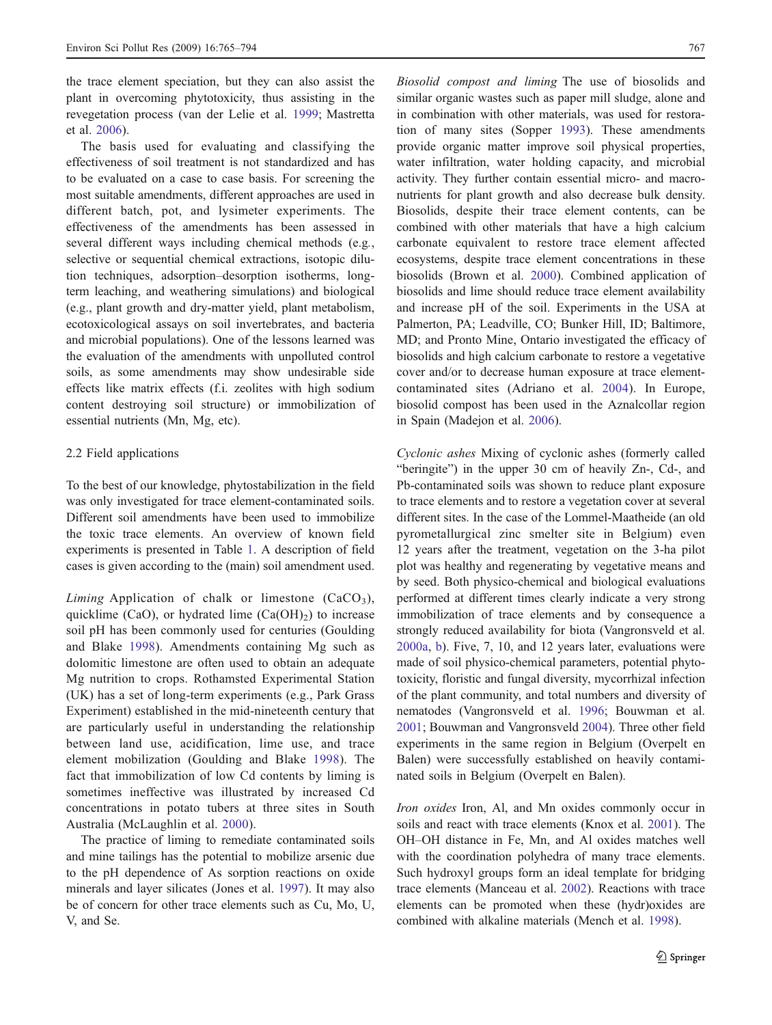the trace element speciation, but they can also assist the plant in overcoming phytotoxicity, thus assisting in the revegetation process (van der Lelie et al. [1999;](#page-28-0) Mastretta et al. [2006](#page-26-0)).

The basis used for evaluating and classifying the effectiveness of soil treatment is not standardized and has to be evaluated on a case to case basis. For screening the most suitable amendments, different approaches are used in different batch, pot, and lysimeter experiments. The effectiveness of the amendments has been assessed in several different ways including chemical methods (e.g., selective or sequential chemical extractions, isotopic dilution techniques, adsorption–desorption isotherms, longterm leaching, and weathering simulations) and biological (e.g., plant growth and dry-matter yield, plant metabolism, ecotoxicological assays on soil invertebrates, and bacteria and microbial populations). One of the lessons learned was the evaluation of the amendments with unpolluted control soils, as some amendments may show undesirable side effects like matrix effects (f.i. zeolites with high sodium content destroying soil structure) or immobilization of essential nutrients (Mn, Mg, etc).

## 2.2 Field applications

To the best of our knowledge, phytostabilization in the field was only investigated for trace element-contaminated soils. Different soil amendments have been used to immobilize the toxic trace elements. An overview of known field experiments is presented in Table [1.](#page-3-0) A description of field cases is given according to the (main) soil amendment used.

Liming Application of chalk or limestone  $(CaCO<sub>3</sub>)$ , quicklime (CaO), or hydrated lime  $(Ca(OH<sub>2</sub>))$  to increase soil pH has been commonly used for centuries (Goulding and Blake [1998\)](#page-25-0). Amendments containing Mg such as dolomitic limestone are often used to obtain an adequate Mg nutrition to crops. Rothamsted Experimental Station (UK) has a set of long-term experiments (e.g., Park Grass Experiment) established in the mid-nineteenth century that are particularly useful in understanding the relationship between land use, acidification, lime use, and trace element mobilization (Goulding and Blake [1998](#page-25-0)). The fact that immobilization of low Cd contents by liming is sometimes ineffective was illustrated by increased Cd concentrations in potato tubers at three sites in South Australia (McLaughlin et al. [2000\)](#page-27-0).

The practice of liming to remediate contaminated soils and mine tailings has the potential to mobilize arsenic due to the pH dependence of As sorption reactions on oxide minerals and layer silicates (Jones et al. [1997\)](#page-25-0). It may also be of concern for other trace elements such as Cu, Mo, U, V, and Se.

Biosolid compost and liming The use of biosolids and similar organic wastes such as paper mill sludge, alone and in combination with other materials, was used for restoration of many sites (Sopper [1993](#page-28-0)). These amendments provide organic matter improve soil physical properties, water infiltration, water holding capacity, and microbial activity. They further contain essential micro- and macronutrients for plant growth and also decrease bulk density. Biosolids, despite their trace element contents, can be combined with other materials that have a high calcium carbonate equivalent to restore trace element affected ecosystems, despite trace element concentrations in these biosolids (Brown et al. [2000\)](#page-24-0). Combined application of biosolids and lime should reduce trace element availability and increase pH of the soil. Experiments in the USA at Palmerton, PA; Leadville, CO; Bunker Hill, ID; Baltimore, MD; and Pronto Mine, Ontario investigated the efficacy of biosolids and high calcium carbonate to restore a vegetative cover and/or to decrease human exposure at trace elementcontaminated sites (Adriano et al. [2004](#page-23-0)). In Europe, biosolid compost has been used in the Aznalcollar region in Spain (Madejon et al. [2006\)](#page-26-0).

Cyclonic ashes Mixing of cyclonic ashes (formerly called "beringite") in the upper 30 cm of heavily Zn-, Cd-, and Pb-contaminated soils was shown to reduce plant exposure to trace elements and to restore a vegetation cover at several different sites. In the case of the Lommel-Maatheide (an old pyrometallurgical zinc smelter site in Belgium) even 12 years after the treatment, vegetation on the 3-ha pilot plot was healthy and regenerating by vegetative means and by seed. Both physico-chemical and biological evaluations performed at different times clearly indicate a very strong immobilization of trace elements and by consequence a strongly reduced availability for biota (Vangronsveld et al. [2000a](#page-28-0), [b](#page-28-0)). Five, 7, 10, and 12 years later, evaluations were made of soil physico-chemical parameters, potential phytotoxicity, floristic and fungal diversity, mycorrhizal infection of the plant community, and total numbers and diversity of nematodes (Vangronsveld et al. [1996](#page-28-0); Bouwman et al. [2001](#page-24-0); Bouwman and Vangronsveld [2004](#page-24-0)). Three other field experiments in the same region in Belgium (Overpelt en Balen) were successfully established on heavily contaminated soils in Belgium (Overpelt en Balen).

Iron oxides Iron, Al, and Mn oxides commonly occur in soils and react with trace elements (Knox et al. [2001\)](#page-26-0). The OH–OH distance in Fe, Mn, and Al oxides matches well with the coordination polyhedra of many trace elements. Such hydroxyl groups form an ideal template for bridging trace elements (Manceau et al. [2002\)](#page-26-0). Reactions with trace elements can be promoted when these (hydr)oxides are combined with alkaline materials (Mench et al. [1998](#page-27-0)).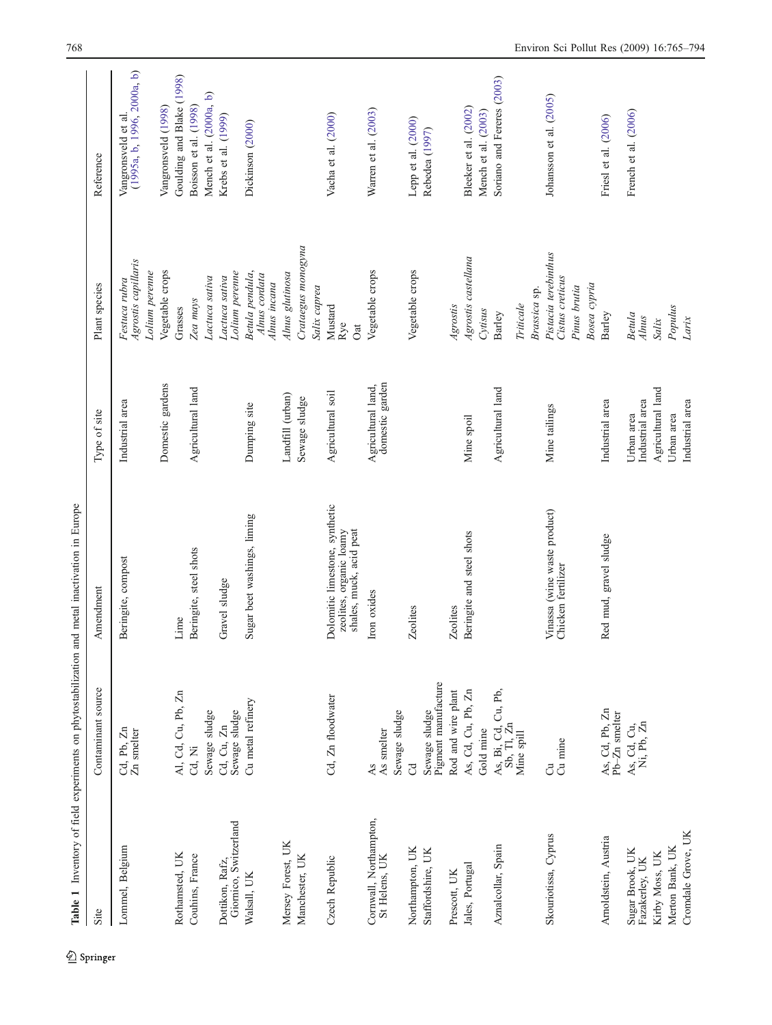<span id="page-3-0"></span>

|                                          | momentum community of the community of the community of the community of the community of the community of the community of the community of the community of the community of the community of the community of the community | and mean machine in Lui Che                                                          |                                       |                                                         |                                                   |
|------------------------------------------|--------------------------------------------------------------------------------------------------------------------------------------------------------------------------------------------------------------------------------|--------------------------------------------------------------------------------------|---------------------------------------|---------------------------------------------------------|---------------------------------------------------|
| Site                                     | Contaminant source                                                                                                                                                                                                             | Amendment                                                                            | Type of site                          | Plant species                                           | Reference                                         |
| Lommel, Belgium                          | Cd, Pb, Zn<br>Zn smelter                                                                                                                                                                                                       | Beringite, compost                                                                   | Industrial area                       | Agrostis capillaris<br>Lolium perenne<br>Festuca rubra  | Vangronsveld et al.<br>(1995a, b, 1996, 2000a, b) |
| Rothamsted, UK                           |                                                                                                                                                                                                                                | Lime                                                                                 | Domestic gardens                      | Vegetable crops                                         | Goulding and Blake (1998)<br>Vangronsveld (1998)  |
| Couhins, France                          | Al, Cd, Cu, Pb, Zn<br>Cd, Ni                                                                                                                                                                                                   | Beringite, steel shots                                                               | Agricultural land                     | Zea mays<br>Grasses                                     | Boisson et al. (1998)                             |
|                                          | Sewage sludge                                                                                                                                                                                                                  |                                                                                      |                                       | Lactuca sativa                                          | Mench et al. (2000a, b)                           |
| Giornico, Switzerland<br>Dottikon, Rafz, | Sewage sludge<br>Cd, Cu, Zn                                                                                                                                                                                                    | Gravel sludge                                                                        |                                       | Lolium perenne<br>Lactuca sativa                        | Krebs et al. (1999)                               |
| Walsall, UK                              | Cu metal refinery                                                                                                                                                                                                              | Sugar beet washings, liming                                                          | Dumping site                          | Betula pendula,<br>Alnus cordata<br>Alnus incana        | Dickinson (2000)                                  |
| Mersey Forest, UK                        |                                                                                                                                                                                                                                |                                                                                      | Landfill (urban)                      | Alnus glutinosa                                         |                                                   |
| Manchester, UK                           |                                                                                                                                                                                                                                |                                                                                      | Sewage sludge                         | Crataegus monogyna<br>Salix caprea                      |                                                   |
| Czech Republic                           | Cd, Zn floodwater                                                                                                                                                                                                              | Dolomitic limestone, synthetic<br>shales, muck, acid peat<br>zeolites, organic loamy | Agricultural soil                     | Mustard<br>Rye<br>Oat                                   | Vacha et al. (2000)                               |
| Cornwall, Northampton,<br>St Helens, UK  | Sewage sludge<br>As smelter<br>As                                                                                                                                                                                              | Iron oxides                                                                          | domestic garden<br>Agricultural land, | Vegetable crops                                         | Warren et al. (2003)                              |
| Northampton, UK                          | $\overline{c}$                                                                                                                                                                                                                 | Zeolites                                                                             |                                       | Vegetable crops                                         | Lepp et al. (2000)                                |
| Staffordshire, UK                        | Pigment manufacture<br>Sewage sludge                                                                                                                                                                                           |                                                                                      |                                       |                                                         | Rebedea (1997)                                    |
| Prescott, UK                             | Rod and wire plant                                                                                                                                                                                                             | Zeolites                                                                             |                                       | Agrostis                                                |                                                   |
| Jales, Portugal                          | As, Cd, Cu, Pb, Zn<br>Gold mine                                                                                                                                                                                                | Beringite and steel shots                                                            | Mine spoil                            | Agrostis castellana<br>Cytisus                          | Bleeker et al. (2002)<br>Mench et al. (2003)      |
| Aznalcollar, Spain                       | As, Bi, Cd, Cu, Pb, Sb, Tl, Zn<br>Sb, Tl, Zn<br>Mine spill                                                                                                                                                                     |                                                                                      | Agricultural land                     | Triticale<br>Barley                                     | Soriano and Fereres (2003)                        |
|                                          |                                                                                                                                                                                                                                |                                                                                      |                                       | Brassica sp.                                            |                                                   |
| Skouriotissa, Cyprus                     | Cu mine<br>්                                                                                                                                                                                                                   | Vinassa (wine waste product)<br>Chicken fertilizer                                   | Mine tailings                         | Pistacia terebinthus<br>Cistus creticus<br>Pinus brutia | Johansson et al. (2005)                           |
| Arnoldstein, Austria                     | As, Cd, Pb, $Zn$<br>Pb- $Zn$ smelter                                                                                                                                                                                           | Red mud, gravel sludge                                                               | Industrial area                       | Bosea cypria<br>Barley                                  | Friesl et al. (2006)                              |
| Sugar Brook, UK<br>Fazakerley, UK        | As, Cd, Cu, Ni, Pb, Zn                                                                                                                                                                                                         |                                                                                      | Urban area                            | Betula                                                  | French et al. (2006)                              |
|                                          |                                                                                                                                                                                                                                |                                                                                      | Industrial area                       | Alnus                                                   |                                                   |
| Kirby Moss, UK                           |                                                                                                                                                                                                                                |                                                                                      | Agricultural land                     | Salix                                                   |                                                   |
| Merton Bank, UK                          |                                                                                                                                                                                                                                |                                                                                      | Urban area                            | Populus                                                 |                                                   |
| Cromdale Grove, UK                       |                                                                                                                                                                                                                                |                                                                                      | Industrial area                       | Larix                                                   |                                                   |

Table 1 Inventory of field experiments on phytostabilization and metal inactivation in Europe Table 1 Inventory of field experiments on phytostabilization and metal inactivation in Europe

 $\underline{\textcircled{\tiny 2}}$  Springer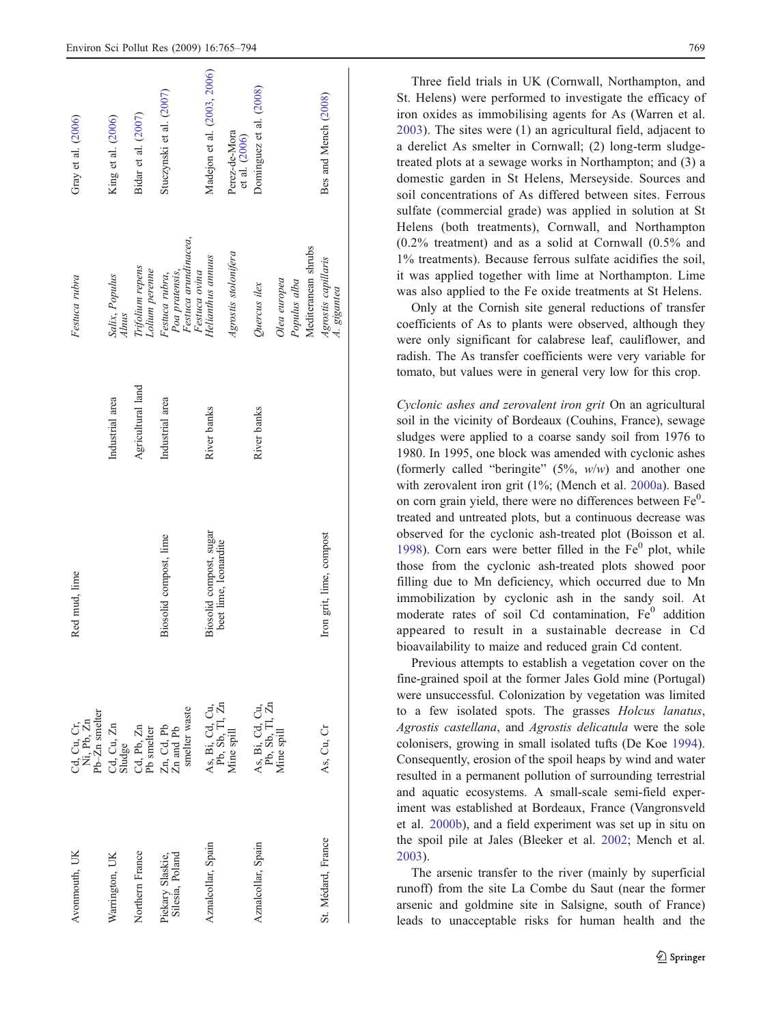| Environ Sci Pollut Res (2009) 16:765–794 | 769 |
|------------------------------------------|-----|
|------------------------------------------|-----|

| Avonmouth, UK                       | Cd, Cu, Cr,<br>Ni, Pb, Zn<br>Pb–Zn smelter     | Red mud, lime                                    |                   | Festuca rubra                                                             | Gray et al. (2006)             |
|-------------------------------------|------------------------------------------------|--------------------------------------------------|-------------------|---------------------------------------------------------------------------|--------------------------------|
| Warrington, UK                      | <b>3d</b> , Cu, Zn<br>Sludge                   |                                                  | Industrial area   | Salix, Populus<br>Alnus                                                   | King et al. (2006)             |
| Northern France                     | Cd, Pb, $Zn$<br>Pb smelter                     |                                                  | Agricultural land | Trifolium repens<br>Lolium perenne                                        | Bidar et al. (2007)            |
| Piekary Slaskie,<br>Silesia, Poland | smelter waste<br>$Zn$ Cd, $Pb$ $Zn$ and $Pb$   | Biosolid compost, lime                           | Industrial area   | Festuca arundinacea,<br>Poa pratensis,<br>Festuca ovina<br>Festuca rubra, | Stuczynski et al. (2007)       |
| Aznalcollar, Spain                  | As, Bi, Cd, Cu, Pb, Sb, Tl, Zn<br>Mine spill   | Biosolid compost, sugar<br>beet lime, leonardite | River banks       | Helianthus annuus                                                         | Madejon et al. (2003, 2006)    |
|                                     |                                                |                                                  |                   | Agrostis stolonifera                                                      | Perez-de-Mora<br>et al. (2006) |
| Aznalcollar, Spain                  | $As, Bi, Cd, Cu, Pb, Sb, Tl, Zn$<br>Mine spill |                                                  | River banks       | Quercus ilex                                                              | Dominguez et al. (2008)        |
|                                     |                                                |                                                  |                   | Olea europea<br>Populus alba                                              |                                |
|                                     |                                                |                                                  |                   | Mediteranean shrubs                                                       |                                |
| St. Médard, France                  | As, Cu, Cr                                     | Iron grit, lime, compost                         |                   | Agrostis capillaris<br>A. gigantea                                        | Bes and Mench (2008)           |
|                                     |                                                |                                                  |                   |                                                                           |                                |

Three field trials in UK (Cornwall, Northampton, and St. Helens) were performed to investigate the efficacy of iron oxides as immobilising agents for As (Warren et al. [2003](#page-28-0)). The sites were (1) an agricultural field, adjacent to a derelict As smelter in Cornwall; (2) long-term sludgetreated plots at a sewage works in Northampton; and (3) a domestic garden in St Helens, Merseyside. Sources and soil concentrations of As differed between sites. Ferrous sulfate (commercial grade) was applied in solution at St Helens (both treatments), Cornwall, and Northampton (0.2% treatment) and as a solid at Cornwall (0.5% and 1% treatments). Because ferrous sulfate acidifies the soil, it was applied together with lime at Northampton. Lime was also applied to the Fe oxide treatments at St Helens.

Only at the Cornish site general reductions of transfer coefficients of As to plants were observed, although they were only significant for calabrese leaf, cauliflower, and radish. The As transfer coefficients were very variable for tomato, but values were in general very low for this crop.

Cyclonic ashes and zerovalent iron grit On an agricultural soil in the vicinity of Bordeaux (Couhins, France), sewage sludges were applied to a coarse sandy soil from 1976 to 1980. In 1995, one block was amended with cyclonic ashes (formerly called "beringite"  $(5\%, w/w)$  and another one with zerovalent iron grit (1%; (Mench et al. [2000a](#page-27-0)). Based on corn grain yield, there were no differences between  $Fe<sup>0</sup>$ treated and untreated plots, but a continuous decrease was observed for the cyclonic ash-treated plot (Boisson et al. [1998](#page-24-0)). Corn ears were better filled in the  $Fe<sup>0</sup>$  plot, while those from the cyclonic ash-treated plots showed poor filling due to Mn deficiency, which occurred due to Mn immobilization by cyclonic ash in the sandy soil. At moderate rates of soil Cd contamination, Fe<sup>0</sup> addition appeared to result in a sustainable decrease in Cd bioavailability to maize and reduced grain Cd content.

Previous attempts to establish a vegetation cover on the fine-grained spoil at the former Jales Gold mine (Portugal) were unsuccessful. Colonization by vegetation was limited to a few isolated spots. The grasses Holcus lanatus, Agrostis castellana, and Agrostis delicatula were the sole colonisers, growing in small isolated tufts (De Koe [1994\)](#page-24-0). Consequently, erosion of the spoil heaps by wind and water resulted in a permanent pollution of surrounding terrestrial and aquatic ecosystems. A small-scale semi-field experiment was established at Bordeaux, France (Vangronsveld et al. [2000b\)](#page-28-0), and a field experiment was set up in situ on the spoil pile at Jales (Bleeker et al. [2002](#page-24-0); Mench et al. [2003](#page-27-0)).

The arsenic transfer to the river (mainly by superficial runoff) from the site La Combe du Saut (near the former arsenic and goldmine site in Salsigne, south of France) leads to unacceptable risks for human health and the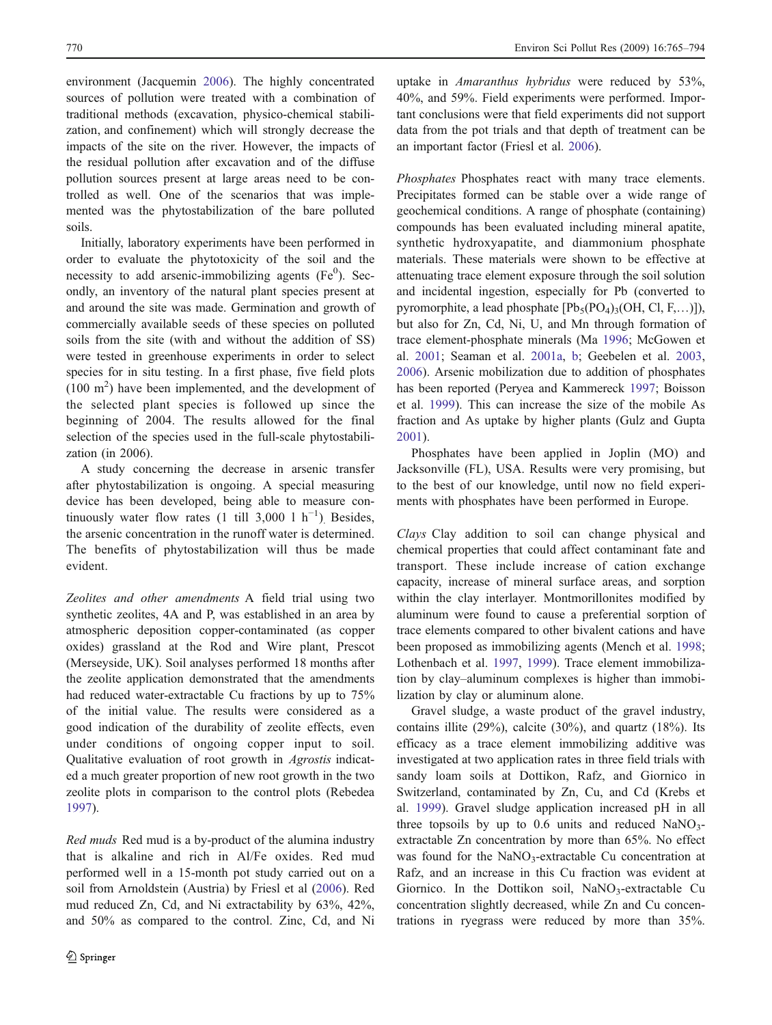environment (Jacquemin [2006\)](#page-25-0). The highly concentrated sources of pollution were treated with a combination of traditional methods (excavation, physico-chemical stabilization, and confinement) which will strongly decrease the impacts of the site on the river. However, the impacts of the residual pollution after excavation and of the diffuse pollution sources present at large areas need to be controlled as well. One of the scenarios that was implemented was the phytostabilization of the bare polluted soils.

Initially, laboratory experiments have been performed in order to evaluate the phytotoxicity of the soil and the necessity to add arsenic-immobilizing agents ( $Fe<sup>0</sup>$ ). Secondly, an inventory of the natural plant species present at and around the site was made. Germination and growth of commercially available seeds of these species on polluted soils from the site (with and without the addition of SS) were tested in greenhouse experiments in order to select species for in situ testing. In a first phase, five field plots  $(100 \text{ m}^2)$  have been implemented, and the development of the selected plant species is followed up since the beginning of 2004. The results allowed for the final selection of the species used in the full-scale phytostabilization (in 2006).

A study concerning the decrease in arsenic transfer after phytostabilization is ongoing. A special measuring device has been developed, being able to measure continuously water flow rates  $(1 \text{ till } 3,000 \text{ l h}^{-1})$ . Besides, the arsenic concentration in the runoff water is determined. The benefits of phytostabilization will thus be made evident.

Zeolites and other amendments A field trial using two synthetic zeolites, 4A and P, was established in an area by atmospheric deposition copper-contaminated (as copper oxides) grassland at the Rod and Wire plant, Prescot (Merseyside, UK). Soil analyses performed 18 months after the zeolite application demonstrated that the amendments had reduced water-extractable Cu fractions by up to 75% of the initial value. The results were considered as a good indication of the durability of zeolite effects, even under conditions of ongoing copper input to soil. Qualitative evaluation of root growth in Agrostis indicated a much greater proportion of new root growth in the two zeolite plots in comparison to the control plots (Rebedea [1997\)](#page-27-0).

Red muds Red mud is a by-product of the alumina industry that is alkaline and rich in Al/Fe oxides. Red mud performed well in a 15-month pot study carried out on a soil from Arnoldstein (Austria) by Friesl et al ([2006\)](#page-25-0). Red mud reduced Zn, Cd, and Ni extractability by 63%, 42%, and 50% as compared to the control. Zinc, Cd, and Ni uptake in Amaranthus hybridus were reduced by 53%, 40%, and 59%. Field experiments were performed. Important conclusions were that field experiments did not support data from the pot trials and that depth of treatment can be an important factor (Friesl et al. [2006\)](#page-25-0).

Phosphates Phosphates react with many trace elements. Precipitates formed can be stable over a wide range of geochemical conditions. A range of phosphate (containing) compounds has been evaluated including mineral apatite, synthetic hydroxyapatite, and diammonium phosphate materials. These materials were shown to be effective at attenuating trace element exposure through the soil solution and incidental ingestion, especially for Pb (converted to pyromorphite, a lead phosphate  $[Pb_5(PO_4)_3(OH, Cl, F,...)]$ ), but also for Zn, Cd, Ni, U, and Mn through formation of trace element-phosphate minerals (Ma [1996](#page-26-0); McGowen et al. [2001](#page-26-0); Seaman et al. [2001a](#page-27-0), [b](#page-28-0); Geebelen et al. [2003,](#page-25-0) [2006](#page-25-0)). Arsenic mobilization due to addition of phosphates has been reported (Peryea and Kammereck [1997;](#page-27-0) Boisson et al. [1999](#page-24-0)). This can increase the size of the mobile As fraction and As uptake by higher plants (Gulz and Gupta [2001](#page-25-0)).

Phosphates have been applied in Joplin (MO) and Jacksonville (FL), USA. Results were very promising, but to the best of our knowledge, until now no field experiments with phosphates have been performed in Europe.

Clays Clay addition to soil can change physical and chemical properties that could affect contaminant fate and transport. These include increase of cation exchange capacity, increase of mineral surface areas, and sorption within the clay interlayer. Montmorillonites modified by aluminum were found to cause a preferential sorption of trace elements compared to other bivalent cations and have been proposed as immobilizing agents (Mench et al. [1998;](#page-27-0) Lothenbach et al. [1997](#page-26-0), [1999](#page-26-0)). Trace element immobilization by clay–aluminum complexes is higher than immobilization by clay or aluminum alone.

Gravel sludge, a waste product of the gravel industry, contains illite (29%), calcite (30%), and quartz (18%). Its efficacy as a trace element immobilizing additive was investigated at two application rates in three field trials with sandy loam soils at Dottikon, Rafz, and Giornico in Switzerland, contaminated by Zn, Cu, and Cd (Krebs et al. [1999\)](#page-26-0). Gravel sludge application increased pH in all three topsoils by up to 0.6 units and reduced  $NaNO_3$ extractable Zn concentration by more than 65%. No effect was found for the  $NaNO<sub>3</sub>$ -extractable Cu concentration at Rafz, and an increase in this Cu fraction was evident at Giornico. In the Dottikon soil,  $NaNO<sub>3</sub>$ -extractable Cu concentration slightly decreased, while Zn and Cu concentrations in ryegrass were reduced by more than 35%.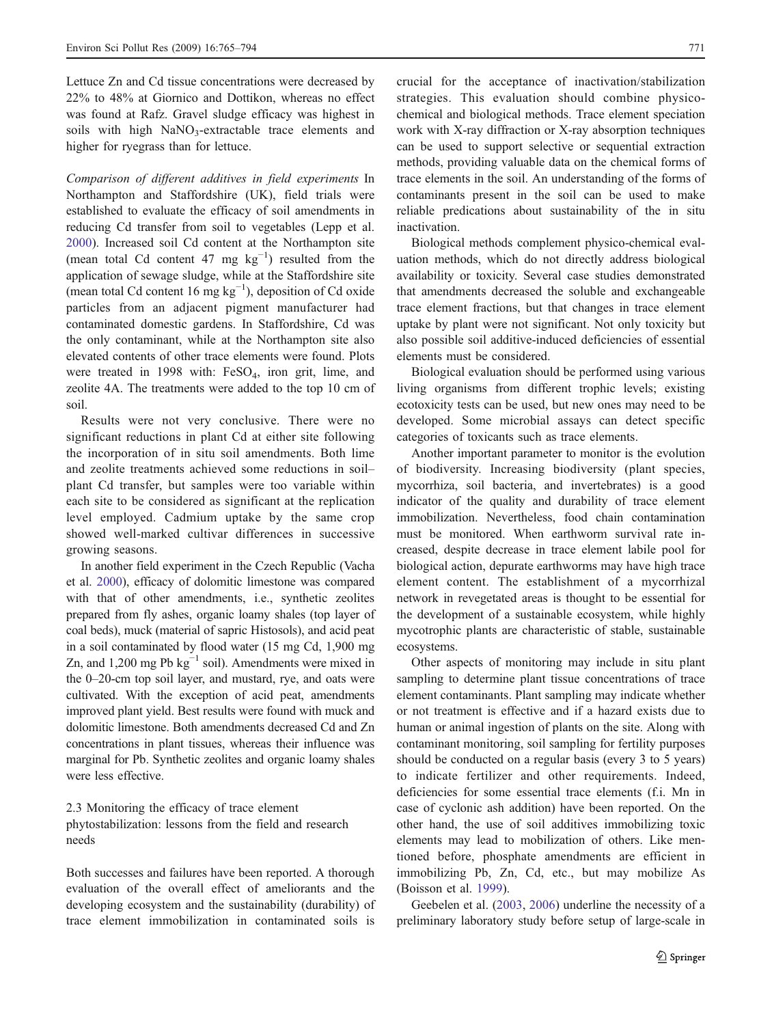Lettuce Zn and Cd tissue concentrations were decreased by 22% to 48% at Giornico and Dottikon, whereas no effect was found at Rafz. Gravel sludge efficacy was highest in soils with high NaNO<sub>3</sub>-extractable trace elements and higher for ryegrass than for lettuce.

Comparison of different additives in field experiments In Northampton and Staffordshire (UK), field trials were established to evaluate the efficacy of soil amendments in reducing Cd transfer from soil to vegetables (Lepp et al. [2000\)](#page-26-0). Increased soil Cd content at the Northampton site (mean total Cd content 47 mg  $kg^{-1}$ ) resulted from the application of sewage sludge, while at the Staffordshire site (mean total Cd content 16 mg  $\text{kg}^{-1}$ ), deposition of Cd oxide particles from an adjacent pigment manufacturer had contaminated domestic gardens. In Staffordshire, Cd was the only contaminant, while at the Northampton site also elevated contents of other trace elements were found. Plots were treated in 1998 with:  $FeSO<sub>4</sub>$ , iron grit, lime, and zeolite 4A. The treatments were added to the top 10 cm of soil.

Results were not very conclusive. There were no significant reductions in plant Cd at either site following the incorporation of in situ soil amendments. Both lime and zeolite treatments achieved some reductions in soil– plant Cd transfer, but samples were too variable within each site to be considered as significant at the replication level employed. Cadmium uptake by the same crop showed well-marked cultivar differences in successive growing seasons.

In another field experiment in the Czech Republic (Vacha et al. [2000](#page-28-0)), efficacy of dolomitic limestone was compared with that of other amendments, i.e., synthetic zeolites prepared from fly ashes, organic loamy shales (top layer of coal beds), muck (material of sapric Histosols), and acid peat in a soil contaminated by flood water (15 mg Cd, 1,900 mg Zn, and 1,200 mg Pb  $kg^{-1}$  soil). Amendments were mixed in the 0–20-cm top soil layer, and mustard, rye, and oats were cultivated. With the exception of acid peat, amendments improved plant yield. Best results were found with muck and dolomitic limestone. Both amendments decreased Cd and Zn concentrations in plant tissues, whereas their influence was marginal for Pb. Synthetic zeolites and organic loamy shales were less effective.

2.3 Monitoring the efficacy of trace element phytostabilization: lessons from the field and research needs

Both successes and failures have been reported. A thorough evaluation of the overall effect of ameliorants and the developing ecosystem and the sustainability (durability) of trace element immobilization in contaminated soils is

crucial for the acceptance of inactivation/stabilization strategies. This evaluation should combine physicochemical and biological methods. Trace element speciation work with X-ray diffraction or X-ray absorption techniques can be used to support selective or sequential extraction methods, providing valuable data on the chemical forms of trace elements in the soil. An understanding of the forms of contaminants present in the soil can be used to make reliable predications about sustainability of the in situ inactivation.

Biological methods complement physico-chemical evaluation methods, which do not directly address biological availability or toxicity. Several case studies demonstrated that amendments decreased the soluble and exchangeable trace element fractions, but that changes in trace element uptake by plant were not significant. Not only toxicity but also possible soil additive-induced deficiencies of essential elements must be considered.

Biological evaluation should be performed using various living organisms from different trophic levels; existing ecotoxicity tests can be used, but new ones may need to be developed. Some microbial assays can detect specific categories of toxicants such as trace elements.

Another important parameter to monitor is the evolution of biodiversity. Increasing biodiversity (plant species, mycorrhiza, soil bacteria, and invertebrates) is a good indicator of the quality and durability of trace element immobilization. Nevertheless, food chain contamination must be monitored. When earthworm survival rate increased, despite decrease in trace element labile pool for biological action, depurate earthworms may have high trace element content. The establishment of a mycorrhizal network in revegetated areas is thought to be essential for the development of a sustainable ecosystem, while highly mycotrophic plants are characteristic of stable, sustainable ecosystems.

Other aspects of monitoring may include in situ plant sampling to determine plant tissue concentrations of trace element contaminants. Plant sampling may indicate whether or not treatment is effective and if a hazard exists due to human or animal ingestion of plants on the site. Along with contaminant monitoring, soil sampling for fertility purposes should be conducted on a regular basis (every 3 to 5 years) to indicate fertilizer and other requirements. Indeed, deficiencies for some essential trace elements (f.i. Mn in case of cyclonic ash addition) have been reported. On the other hand, the use of soil additives immobilizing toxic elements may lead to mobilization of others. Like mentioned before, phosphate amendments are efficient in immobilizing Pb, Zn, Cd, etc., but may mobilize As (Boisson et al. [1999\)](#page-24-0).

Geebelen et al. [\(2003](#page-25-0), [2006\)](#page-25-0) underline the necessity of a preliminary laboratory study before setup of large-scale in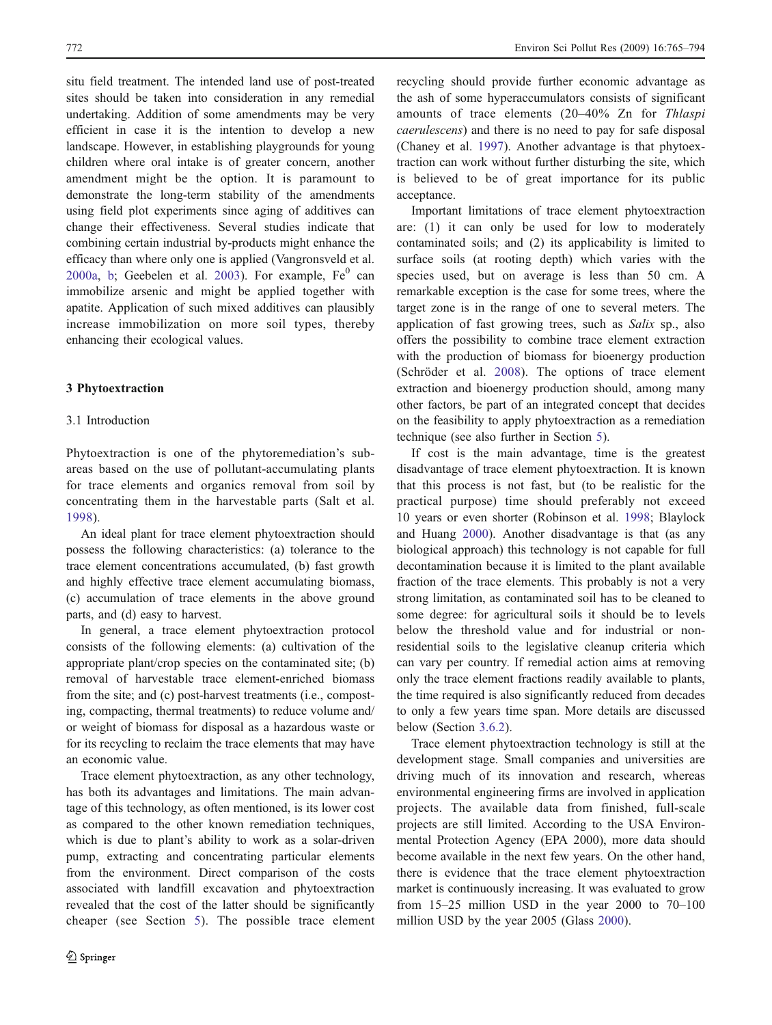situ field treatment. The intended land use of post-treated sites should be taken into consideration in any remedial undertaking. Addition of some amendments may be very efficient in case it is the intention to develop a new landscape. However, in establishing playgrounds for young children where oral intake is of greater concern, another amendment might be the option. It is paramount to demonstrate the long-term stability of the amendments using field plot experiments since aging of additives can change their effectiveness. Several studies indicate that combining certain industrial by-products might enhance the efficacy than where only one is applied (Vangronsveld et al. [2000a](#page-28-0), [b](#page-28-0); Geebelen et al. [2003](#page-25-0)). For example,  $Fe<sup>0</sup>$  can immobilize arsenic and might be applied together with apatite. Application of such mixed additives can plausibly increase immobilization on more soil types, thereby enhancing their ecological values.

# 3 Phytoextraction

## 3.1 Introduction

Phytoextraction is one of the phytoremediation's subareas based on the use of pollutant-accumulating plants for trace elements and organics removal from soil by concentrating them in the harvestable parts (Salt et al. [1998\)](#page-27-0).

An ideal plant for trace element phytoextraction should possess the following characteristics: (a) tolerance to the trace element concentrations accumulated, (b) fast growth and highly effective trace element accumulating biomass, (c) accumulation of trace elements in the above ground parts, and (d) easy to harvest.

In general, a trace element phytoextraction protocol consists of the following elements: (a) cultivation of the appropriate plant/crop species on the contaminated site; (b) removal of harvestable trace element-enriched biomass from the site; and (c) post-harvest treatments (i.e., composting, compacting, thermal treatments) to reduce volume and/ or weight of biomass for disposal as a hazardous waste or for its recycling to reclaim the trace elements that may have an economic value.

Trace element phytoextraction, as any other technology, has both its advantages and limitations. The main advantage of this technology, as often mentioned, is its lower cost as compared to the other known remediation techniques, which is due to plant's ability to work as a solar-driven pump, extracting and concentrating particular elements from the environment. Direct comparison of the costs associated with landfill excavation and phytoextraction revealed that the cost of the latter should be significantly cheaper (see Section [5](#page-21-0)). The possible trace element recycling should provide further economic advantage as the ash of some hyperaccumulators consists of significant amounts of trace elements (20–40% Zn for Thlaspi caerulescens) and there is no need to pay for safe disposal (Chaney et al. [1997\)](#page-24-0). Another advantage is that phytoextraction can work without further disturbing the site, which is believed to be of great importance for its public acceptance.

Important limitations of trace element phytoextraction are: (1) it can only be used for low to moderately contaminated soils; and (2) its applicability is limited to surface soils (at rooting depth) which varies with the species used, but on average is less than 50 cm. A remarkable exception is the case for some trees, where the target zone is in the range of one to several meters. The application of fast growing trees, such as Salix sp., also offers the possibility to combine trace element extraction with the production of biomass for bioenergy production (Schröder et al. [2008\)](#page-27-0). The options of trace element extraction and bioenergy production should, among many other factors, be part of an integrated concept that decides on the feasibility to apply phytoextraction as a remediation technique (see also further in Section [5](#page-21-0)).

If cost is the main advantage, time is the greatest disadvantage of trace element phytoextraction. It is known that this process is not fast, but (to be realistic for the practical purpose) time should preferably not exceed 10 years or even shorter (Robinson et al. [1998;](#page-27-0) Blaylock and Huang [2000](#page-24-0)). Another disadvantage is that (as any biological approach) this technology is not capable for full decontamination because it is limited to the plant available fraction of the trace elements. This probably is not a very strong limitation, as contaminated soil has to be cleaned to some degree: for agricultural soils it should be to levels below the threshold value and for industrial or nonresidential soils to the legislative cleanup criteria which can vary per country. If remedial action aims at removing only the trace element fractions readily available to plants, the time required is also significantly reduced from decades to only a few years time span. More details are discussed below (Section [3.6.2\)](#page-17-0).

Trace element phytoextraction technology is still at the development stage. Small companies and universities are driving much of its innovation and research, whereas environmental engineering firms are involved in application projects. The available data from finished, full-scale projects are still limited. According to the USA Environmental Protection Agency (EPA 2000), more data should become available in the next few years. On the other hand, there is evidence that the trace element phytoextraction market is continuously increasing. It was evaluated to grow from 15–25 million USD in the year 2000 to 70–100 million USD by the year 2005 (Glass [2000\)](#page-25-0).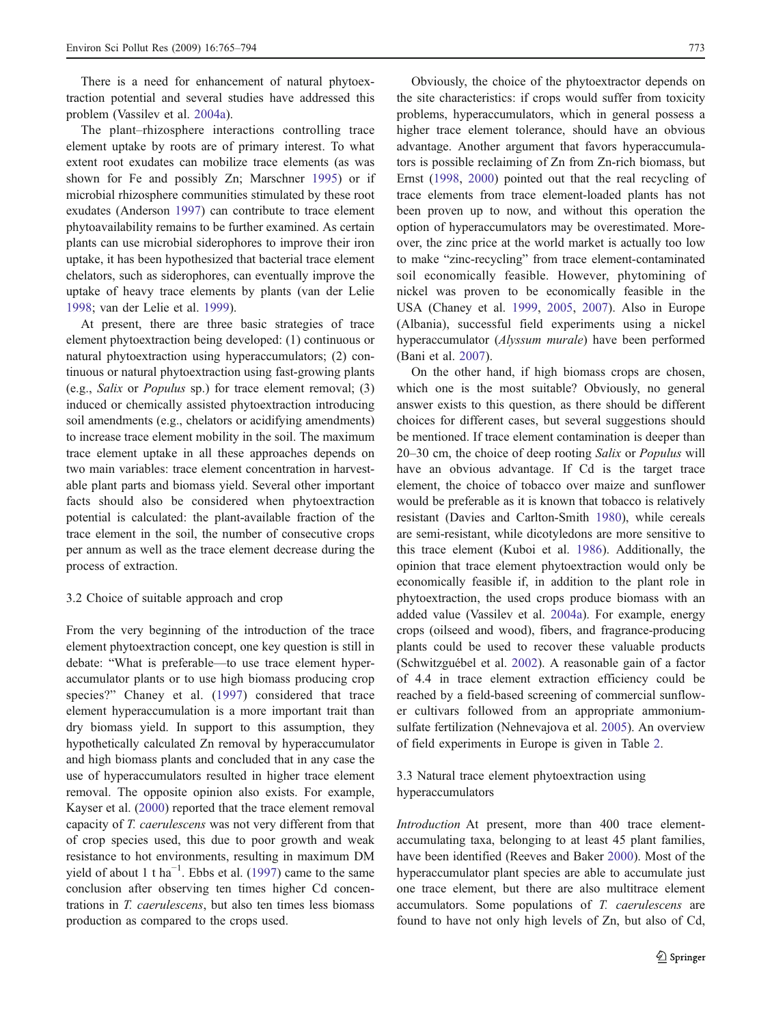There is a need for enhancement of natural phytoextraction potential and several studies have addressed this problem (Vassilev et al. [2004a](#page-28-0)).

The plant–rhizosphere interactions controlling trace element uptake by roots are of primary interest. To what extent root exudates can mobilize trace elements (as was shown for Fe and possibly Zn; Marschner [1995\)](#page-26-0) or if microbial rhizosphere communities stimulated by these root exudates (Anderson [1997](#page-23-0)) can contribute to trace element phytoavailability remains to be further examined. As certain plants can use microbial siderophores to improve their iron uptake, it has been hypothesized that bacterial trace element chelators, such as siderophores, can eventually improve the uptake of heavy trace elements by plants (van der Lelie [1998;](#page-28-0) van der Lelie et al. [1999](#page-28-0)).

At present, there are three basic strategies of trace element phytoextraction being developed: (1) continuous or natural phytoextraction using hyperaccumulators; (2) continuous or natural phytoextraction using fast-growing plants (e.g., Salix or Populus sp.) for trace element removal; (3) induced or chemically assisted phytoextraction introducing soil amendments (e.g., chelators or acidifying amendments) to increase trace element mobility in the soil. The maximum trace element uptake in all these approaches depends on two main variables: trace element concentration in harvestable plant parts and biomass yield. Several other important facts should also be considered when phytoextraction potential is calculated: the plant-available fraction of the trace element in the soil, the number of consecutive crops per annum as well as the trace element decrease during the process of extraction.

#### 3.2 Choice of suitable approach and crop

From the very beginning of the introduction of the trace element phytoextraction concept, one key question is still in debate: "What is preferable—to use trace element hyperaccumulator plants or to use high biomass producing crop species?" Chaney et al. ([1997](#page-24-0)) considered that trace element hyperaccumulation is a more important trait than dry biomass yield. In support to this assumption, they hypothetically calculated Zn removal by hyperaccumulator and high biomass plants and concluded that in any case the use of hyperaccumulators resulted in higher trace element removal. The opposite opinion also exists. For example, Kayser et al. [\(2000](#page-25-0)) reported that the trace element removal capacity of T. caerulescens was not very different from that of crop species used, this due to poor growth and weak resistance to hot environments, resulting in maximum DM yield of about 1 t ha<sup>-1</sup>. Ebbs et al. ([1997\)](#page-24-0) came to the same conclusion after observing ten times higher Cd concentrations in T. caerulescens, but also ten times less biomass production as compared to the crops used.

Obviously, the choice of the phytoextractor depends on the site characteristics: if crops would suffer from toxicity problems, hyperaccumulators, which in general possess a higher trace element tolerance, should have an obvious advantage. Another argument that favors hyperaccumulators is possible reclaiming of Zn from Zn-rich biomass, but Ernst ([1998,](#page-24-0) [2000](#page-24-0)) pointed out that the real recycling of trace elements from trace element-loaded plants has not been proven up to now, and without this operation the option of hyperaccumulators may be overestimated. Moreover, the zinc price at the world market is actually too low to make "zinc-recycling" from trace element-contaminated soil economically feasible. However, phytomining of nickel was proven to be economically feasible in the USA (Chaney et al. [1999](#page-24-0), [2005](#page-24-0), [2007](#page-24-0)). Also in Europe (Albania), successful field experiments using a nickel hyperaccumulator (Alyssum murale) have been performed (Bani et al. [2007\)](#page-23-0).

On the other hand, if high biomass crops are chosen, which one is the most suitable? Obviously, no general answer exists to this question, as there should be different choices for different cases, but several suggestions should be mentioned. If trace element contamination is deeper than 20–30 cm, the choice of deep rooting Salix or Populus will have an obvious advantage. If Cd is the target trace element, the choice of tobacco over maize and sunflower would be preferable as it is known that tobacco is relatively resistant (Davies and Carlton-Smith [1980\)](#page-24-0), while cereals are semi-resistant, while dicotyledons are more sensitive to this trace element (Kuboi et al. [1986\)](#page-26-0). Additionally, the opinion that trace element phytoextraction would only be economically feasible if, in addition to the plant role in phytoextraction, the used crops produce biomass with an added value (Vassilev et al. [2004a](#page-28-0)). For example, energy crops (oilseed and wood), fibers, and fragrance-producing plants could be used to recover these valuable products (Schwitzguébel et al. [2002\)](#page-27-0). A reasonable gain of a factor of 4.4 in trace element extraction efficiency could be reached by a field-based screening of commercial sunflower cultivars followed from an appropriate ammoniumsulfate fertilization (Nehnevajova et al. [2005](#page-27-0)). An overview of field experiments in Europe is given in Table [2](#page-9-0).

# 3.3 Natural trace element phytoextraction using hyperaccumulators

Introduction At present, more than 400 trace elementaccumulating taxa, belonging to at least 45 plant families, have been identified (Reeves and Baker [2000\)](#page-27-0). Most of the hyperaccumulator plant species are able to accumulate just one trace element, but there are also multitrace element accumulators. Some populations of T. caerulescens are found to have not only high levels of Zn, but also of Cd,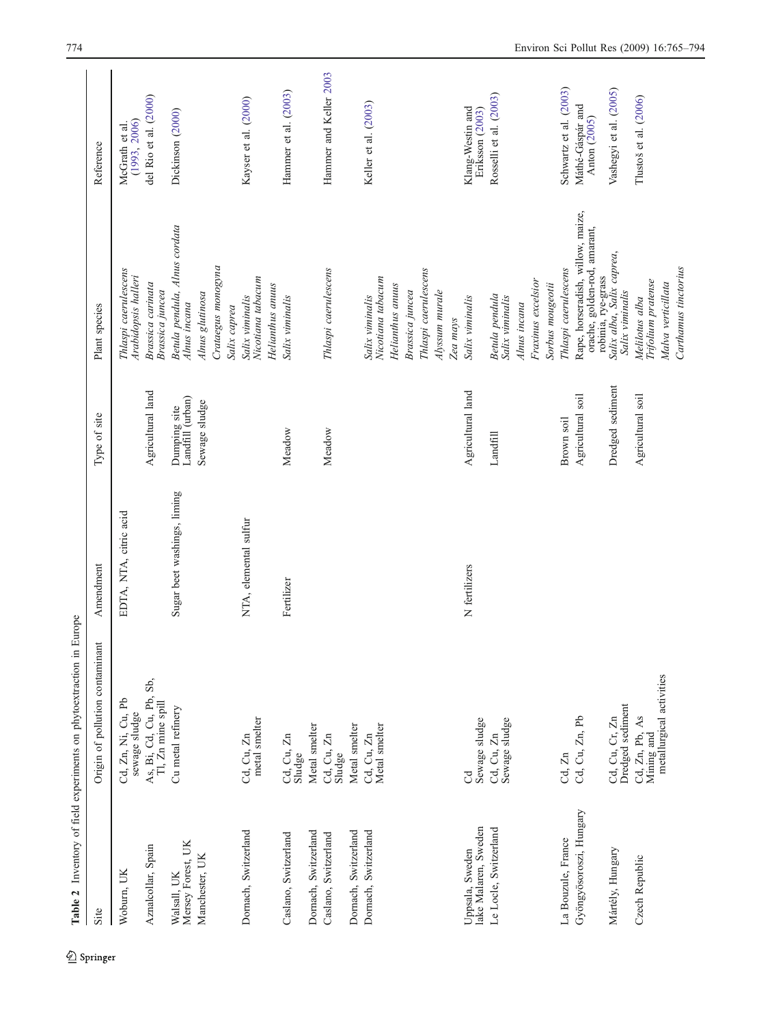<span id="page-9-0"></span>

| Site                                    | Origin of pollution contaminant                        | Amendment                   | Type of site                     | Plant species                                                      | Reference                           |
|-----------------------------------------|--------------------------------------------------------|-----------------------------|----------------------------------|--------------------------------------------------------------------|-------------------------------------|
| Woburn, UK                              | Cd, Zn, Ni, Cu, Pb<br>sewage sludge                    | EDTA, NTA, citric acid      |                                  | Thlaspi caerulescens<br>Arabidopsis halleri                        | (1993, 2006)<br>McGrath et al.      |
| Aznalcollar, Spain                      | As, Bi, Cd, Cu, Pb, Sb,<br>Tl, Zn mine spill           |                             | Agricultural land                | Brassica carinata<br>Brassica juncea                               | del Rio et al. (2000)               |
| Walsall, UK<br>Mersey Forest, UK        | Cu metal refinery                                      | Sugar beet washings, liming | Landfill (urban)<br>Dumping site | Betula pendula, Alnus cordata<br>Alnus incana                      | Dickinson (2000)                    |
| Manchester, UK                          |                                                        |                             | Sewage sludge                    | Alnus glutinosa                                                    |                                     |
|                                         |                                                        |                             |                                  | Crataegus monogyna<br>Salix caprea                                 |                                     |
| Dornach, Switzerland                    | metal smelter<br>$Cd, \, C \mathbf{u}, \, \mathbf{Zn}$ | NTA, elemental sulfur       |                                  | Nicotiana tabacum<br>Helianthus anuus<br>Salix viminalis           | Kayser et al. (2000)                |
| Caslano, Switzerland                    | Cd, Cu, Zn<br>Sludge                                   | Fertilizer                  | Meadow                           | Salix viminalis                                                    | Hammer et al. (2003)                |
| Domach, Switzerland                     | Metal smelter                                          |                             |                                  |                                                                    |                                     |
| Caslano, Switzerland                    | Cd, Cu, Zn<br>Sludge                                   |                             | Meadow                           | Thlaspi caerulescens                                               | Hammer and Keller 2003              |
| Dornach, Switzerland                    | Metal smelter                                          |                             |                                  |                                                                    |                                     |
| Domach, Switzerland                     | Metal smelter<br>Cd, Cu, $Zn$                          |                             |                                  | Nicotiana tabacum<br>Salix viminalis                               | Keller et al. (2003)                |
|                                         |                                                        |                             |                                  | Helianthus anuus                                                   |                                     |
|                                         |                                                        |                             |                                  | Brassica juncea                                                    |                                     |
|                                         |                                                        |                             |                                  | Thlaspi caerulescens                                               |                                     |
|                                         |                                                        |                             |                                  | Alyssum murale                                                     |                                     |
|                                         |                                                        |                             |                                  | Zea mays                                                           |                                     |
| Uppsala, Sweden<br>lake Malaren, Sweden | Sewage sludge<br>$\overline{c}$                        | N fertilizers               | Agricultural land                | Salix viminalis                                                    | Klang-Westin and<br>Eriksson (2003) |
| Le Locle, Switzerland                   | Sewage sludge<br>Cd, Cu, Zn                            |                             | Landfill                         | Betula pendula<br>Salix viminalis                                  | Rosselli et al. (2003)              |
|                                         |                                                        |                             |                                  | Alnus incana                                                       |                                     |
|                                         |                                                        |                             |                                  | Fraxinus excelsior                                                 |                                     |
|                                         |                                                        |                             |                                  | Sorbus mougeotii                                                   |                                     |
| La Bouzule, France                      | Cd, Zn                                                 |                             | Brown soil                       | Thlaspi caerulescens                                               | Schwartz et al. (2003)              |
| Gyöngyösoroszi, Hungary                 | Cd, Cu, Zn, Pb                                         |                             | Agricultural soil                | Rape, horseradish, willow, maize,<br>orache, golden-rod, amarant,  | Máthé-Gáspár and<br>Anton (2005)    |
| Mártély, Hungary                        | Cd, Cu, Cr, Zn<br>Dredged sediment                     |                             | Dredged sediment                 | Salix alba, Salix caprea,<br>robinia, rye-grass<br>Salix viminalis | Vashegyi et al. (2005)              |
| Czech Republic                          | Cd, Zn, Pb, As                                         |                             | Agricultural soil                | Trifolium pratense<br>Melilotus alba                               | Tlustoš et al. (2006)               |
|                                         | Mining and<br>metallurgical activities                 |                             |                                  | Malva verticillata                                                 |                                     |
|                                         |                                                        |                             |                                  | Carthamus tinctorius                                               |                                     |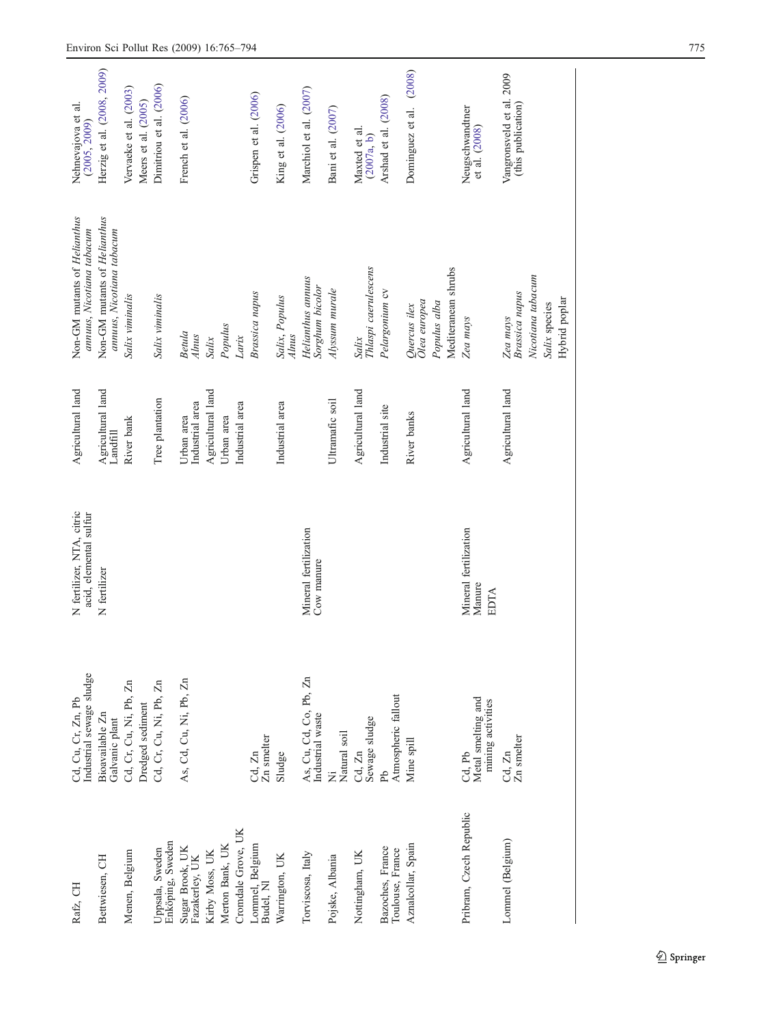| Rafz, CH                             | Industrial sewage sludge<br>Cd, Cu, Cr, Zn, Pb    | N fertilizer, NTA, citric<br>acid, elemental sulfur | Agricultural land             | Non-GM mutants of Helianthus<br>annuus, Nicotiana tabacum                         | Nehnevajova et al.<br>(2005, 2009)             |
|--------------------------------------|---------------------------------------------------|-----------------------------------------------------|-------------------------------|-----------------------------------------------------------------------------------|------------------------------------------------|
| Bettwiesen, CH                       | Bioavailable Zn<br>Galvanic plant                 | N fertilizer                                        | Agricultural land<br>Landfill | Non-GM mutants of Helianthus<br>annuus, Nicotiana tabacum                         | Herzig et al. (2008, 2009)                     |
| Menen, Belgium                       | Cd, Cr, Cu, Ni, Pb, Zn<br><b>Dredged</b> sediment |                                                     | River bank                    | Salix viminalis                                                                   | Vervaeke et al. (2003)<br>Meers et al. (2005)  |
| Enköping, Sweden<br>Uppsala, Sweden  | Cd, Cr, Cu, Ni, Pb, Zn                            |                                                     | Tree plantation               | Salix viminalis                                                                   | Dimitriou et al. (2006)                        |
| Sugar Brook, UK<br>azakerley, UK     | As, Cd, Cu, Ni, Pb, Zn                            |                                                     | Industrial area<br>Urban area | Betula<br><b>Alnus</b>                                                            | French et al. (2006)                           |
| Kirby Moss, UK                       |                                                   |                                                     | Agricultural land             | Salix                                                                             |                                                |
| Merton Bank, UK                      |                                                   |                                                     | Urban area                    | Populus                                                                           |                                                |
| Cromdale Grove, UK                   |                                                   |                                                     | Industrial area               | Larix                                                                             |                                                |
| Lommel, Belgium<br>Budel, Nl         | Zn smelter<br>$Cd, Zn$                            |                                                     |                               | Brassica napus                                                                    | Grispen et al. (2006)                          |
| Warrington, UK                       | Sludge                                            |                                                     | Industrial area               | Salix, Populus<br>Alnus                                                           | King et al. (2006)                             |
| Torviscosa, Italy                    | As, Cu, Cd, Co, Pb, Zn<br>Industrial waste        | Mineral fertilization<br>Cow manure                 |                               | Helianthus annuus<br>Sorghum bicolor                                              | Marchiol et al. (2007)                         |
| Pojske, Albania                      | Ni<br>Natural soil                                |                                                     | Ultramafic soil               | Alyssum murale                                                                    | Bani et al. (2007)                             |
| Nottingham, UK                       | Cd, Zn<br>Sewage sludge                           |                                                     | Agricultural land             | Thlaspi caerulescens<br>Salix                                                     | Maxted et al.<br>(2007a, b)                    |
| Bazoches, France<br>Toulouse, France | Atmospheric fallout<br>Рb<br>Р                    |                                                     | Industrial site               | Pelargonium cv                                                                    | Arshad et al. (2008)                           |
| Aznalcollar, Spain                   | Mine spill                                        |                                                     | River banks                   | Mediteranean shrubs<br>Olea europea<br>Populus alba<br>Quercus ilex               | Dominguez et al. (2008)                        |
| Pribram, Czech Republic              | Metal smelting and<br>mining activities<br>Cd, Pb | Mineral fertilization<br>Manure<br>EDTA             | Agricultural land             | Zea mays                                                                          | Neugschwandtner<br>et al. (2008)               |
| Lommel (Belgium)                     | Zn smelter<br>Cd, Zn                              |                                                     | Agricultural land             | Nicotiana tabacum<br>Brassica napus<br>Hybrid poplar<br>Salix species<br>Zea mays | Vangronsveld et al. 2009<br>(this publication) |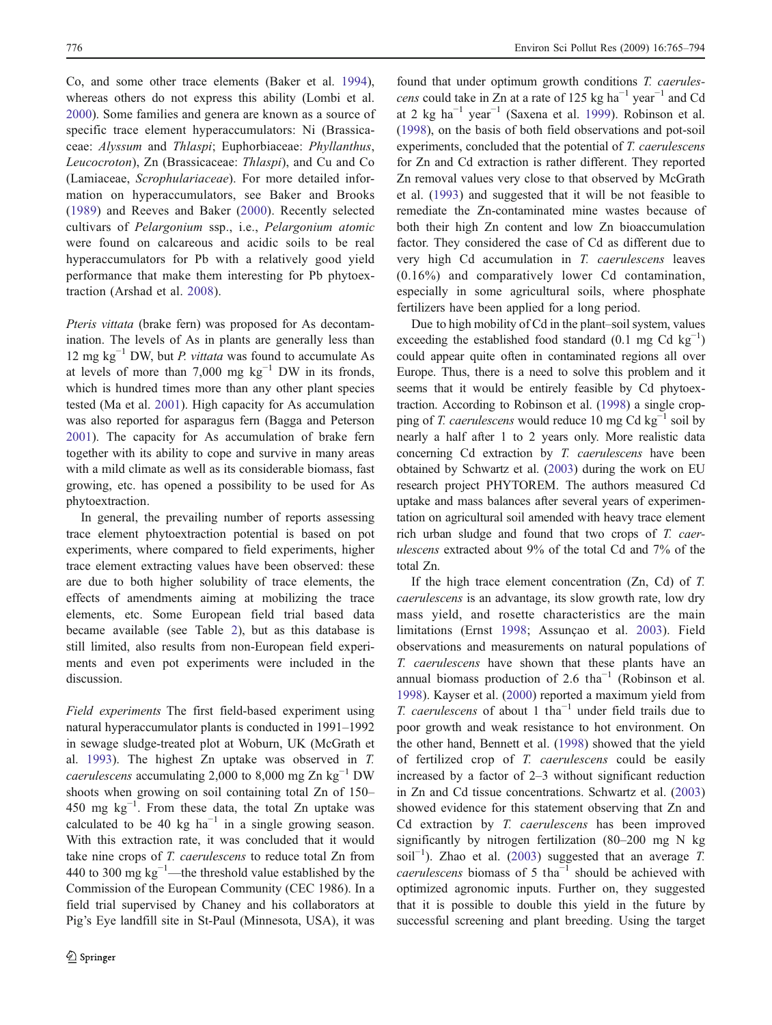Co, and some other trace elements (Baker et al. [1994](#page-23-0)), whereas others do not express this ability (Lombi et al. [2000\)](#page-26-0). Some families and genera are known as a source of specific trace element hyperaccumulators: Ni (Brassicaceae: Alyssum and Thlaspi; Euphorbiaceae: Phyllanthus, Leucocroton), Zn (Brassicaceae: Thlaspi), and Cu and Co (Lamiaceae, Scrophulariaceae). For more detailed information on hyperaccumulators, see Baker and Brooks [\(1989\)](#page-23-0) and Reeves and Baker ([2000](#page-27-0)). Recently selected cultivars of Pelargonium ssp., i.e., Pelargonium atomic were found on calcareous and acidic soils to be real hyperaccumulators for Pb with a relatively good yield performance that make them interesting for Pb phytoextraction (Arshad et al. [2008](#page-23-0)).

Pteris vittata (brake fern) was proposed for As decontamination. The levels of As in plants are generally less than 12 mg kg<sup>-1</sup> DW, but *P. vittata* was found to accumulate As at levels of more than 7,000 mg  $kg^{-1}$  DW in its fronds, which is hundred times more than any other plant species tested (Ma et al. [2001](#page-26-0)). High capacity for As accumulation was also reported for asparagus fern (Bagga and Peterson [2001\)](#page-23-0). The capacity for As accumulation of brake fern together with its ability to cope and survive in many areas with a mild climate as well as its considerable biomass, fast growing, etc. has opened a possibility to be used for As phytoextraction.

In general, the prevailing number of reports assessing trace element phytoextraction potential is based on pot experiments, where compared to field experiments, higher trace element extracting values have been observed: these are due to both higher solubility of trace elements, the effects of amendments aiming at mobilizing the trace elements, etc. Some European field trial based data became available (see Table [2\)](#page-9-0), but as this database is still limited, also results from non-European field experiments and even pot experiments were included in the discussion.

Field experiments The first field-based experiment using natural hyperaccumulator plants is conducted in 1991–1992 in sewage sludge-treated plot at Woburn, UK (McGrath et al. [1993\)](#page-26-0). The highest Zn uptake was observed in T. *caerulescens* accumulating 2,000 to 8,000 mg Zn kg<sup>-1</sup> DW shoots when growing on soil containing total Zn of 150– 450 mg  $kg^{-1}$ . From these data, the total Zn uptake was calculated to be 40 kg  $ha^{-1}$  in a single growing season. With this extraction rate, it was concluded that it would take nine crops of T. caerulescens to reduce total Zn from 440 to 300 mg  $\text{kg}^{-1}$ —the threshold value established by the Commission of the European Community (CEC 1986). In a field trial supervised by Chaney and his collaborators at Pig's Eye landfill site in St-Paul (Minnesota, USA), it was

found that under optimum growth conditions T. caerulescens could take in Zn at a rate of 125 kg ha<sup>-1</sup> year<sup>-1</sup> and Cd at 2 kg ha<sup> $-1$ </sup> year<sup> $-1$ </sup> (Saxena et al. [1999](#page-27-0)). Robinson et al. [\(1998](#page-27-0)), on the basis of both field observations and pot-soil experiments, concluded that the potential of T. caerulescens for Zn and Cd extraction is rather different. They reported Zn removal values very close to that observed by McGrath et al. [\(1993](#page-26-0)) and suggested that it will be not feasible to remediate the Zn-contaminated mine wastes because of both their high Zn content and low Zn bioaccumulation factor. They considered the case of Cd as different due to very high Cd accumulation in T. caerulescens leaves (0.16%) and comparatively lower Cd contamination, especially in some agricultural soils, where phosphate fertilizers have been applied for a long period.

Due to high mobility of Cd in the plant–soil system, values exceeding the established food standard (0.1 mg Cd  $\text{kg}^{-1}$ ) could appear quite often in contaminated regions all over Europe. Thus, there is a need to solve this problem and it seems that it would be entirely feasible by Cd phytoextraction. According to Robinson et al. ([1998](#page-27-0)) a single cropping of T. caerulescens would reduce 10 mg Cd  $kg^{-1}$  soil by nearly a half after 1 to 2 years only. More realistic data concerning Cd extraction by T. caerulescens have been obtained by Schwartz et al. [\(2003\)](#page-27-0) during the work on EU research project PHYTOREM. The authors measured Cd uptake and mass balances after several years of experimentation on agricultural soil amended with heavy trace element rich urban sludge and found that two crops of T. caerulescens extracted about 9% of the total Cd and 7% of the total Zn.

If the high trace element concentration (Zn, Cd) of T. caerulescens is an advantage, its slow growth rate, low dry mass yield, and rosette characteristics are the main limitations (Ernst [1998;](#page-24-0) Assunçao et al. [2003](#page-23-0)). Field observations and measurements on natural populations of T. caerulescens have shown that these plants have an annual biomass production of 2.6 tha<sup>-1</sup> (Robinson et al. [1998](#page-27-0)). Kayser et al. ([2000\)](#page-25-0) reported a maximum yield from T. caerulescens of about 1 tha<sup>-1</sup> under field trails due to poor growth and weak resistance to hot environment. On the other hand, Bennett et al. ([1998\)](#page-23-0) showed that the yield of fertilized crop of T. caerulescens could be easily increased by a factor of 2–3 without significant reduction in Zn and Cd tissue concentrations. Schwartz et al. [\(2003](#page-27-0)) showed evidence for this statement observing that Zn and Cd extraction by T. caerulescens has been improved significantly by nitrogen fertilization (80–200 mg N kg soil<sup>-1</sup>). Zhao et al. ([2003\)](#page-29-0) suggested that an average T. caerulescens biomass of 5 tha<sup> $-1$ </sup> should be achieved with optimized agronomic inputs. Further on, they suggested that it is possible to double this yield in the future by successful screening and plant breeding. Using the target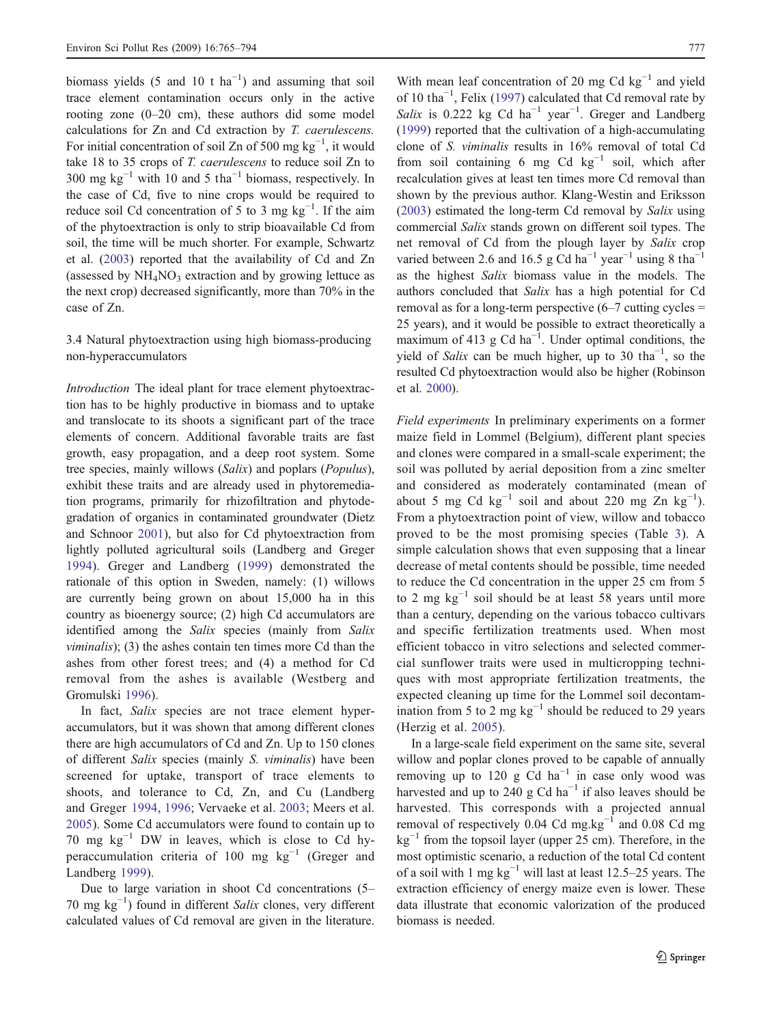<span id="page-12-0"></span>biomass yields (5 and 10 t  $ha^{-1}$ ) and assuming that soil trace element contamination occurs only in the active rooting zone (0–20 cm), these authors did some model calculations for Zn and Cd extraction by T. caerulescens. For initial concentration of soil Zn of 500 mg  $kg^{-1}$ , it would take 18 to 35 crops of T. caerulescens to reduce soil Zn to 300 mg  $kg^{-1}$  with 10 and 5 tha<sup>-1</sup> biomass, respectively. In the case of Cd, five to nine crops would be required to reduce soil Cd concentration of 5 to 3 mg  $kg^{-1}$ . If the aim of the phytoextraction is only to strip bioavailable Cd from soil, the time will be much shorter. For example, Schwartz et al. [\(2003](#page-27-0)) reported that the availability of Cd and Zn (assessed by  $NH<sub>4</sub>NO<sub>3</sub>$  extraction and by growing lettuce as the next crop) decreased significantly, more than 70% in the case of Zn.

# 3.4 Natural phytoextraction using high biomass-producing non-hyperaccumulators

Introduction The ideal plant for trace element phytoextraction has to be highly productive in biomass and to uptake and translocate to its shoots a significant part of the trace elements of concern. Additional favorable traits are fast growth, easy propagation, and a deep root system. Some tree species, mainly willows (Salix) and poplars (Populus), exhibit these traits and are already used in phytoremediation programs, primarily for rhizofiltration and phytodegradation of organics in contaminated groundwater (Dietz and Schnoor [2001](#page-24-0)), but also for Cd phytoextraction from lightly polluted agricultural soils (Landberg and Greger [1994](#page-26-0)). Greger and Landberg ([1999\)](#page-25-0) demonstrated the rationale of this option in Sweden, namely: (1) willows are currently being grown on about 15,000 ha in this country as bioenergy source; (2) high Cd accumulators are identified among the *Salix* species (mainly from *Salix* viminalis); (3) the ashes contain ten times more Cd than the ashes from other forest trees; and (4) a method for Cd removal from the ashes is available (Westberg and Gromulski [1996\)](#page-29-0).

In fact, Salix species are not trace element hyperaccumulators, but it was shown that among different clones there are high accumulators of Cd and Zn. Up to 150 clones of different Salix species (mainly S. viminalis) have been screened for uptake, transport of trace elements to shoots, and tolerance to Cd, Zn, and Cu (Landberg and Greger [1994,](#page-26-0) [1996](#page-26-0); Vervaeke et al. [2003](#page-28-0); Meers et al. [2005](#page-27-0)). Some Cd accumulators were found to contain up to 70 mg kg−<sup>1</sup> DW in leaves, which is close to Cd hyperaccumulation criteria of 100 mg  $kg^{-1}$  (Greger and Landberg [1999](#page-25-0)).

Due to large variation in shoot Cd concentrations (5– 70 mg kg<sup>-1</sup>) found in different Salix clones, very different calculated values of Cd removal are given in the literature.

With mean leaf concentration of 20 mg Cd  $kg^{-1}$  and yield of 10 tha−<sup>1</sup> , Felix ([1997\)](#page-24-0) calculated that Cd removal rate by Salix is 0.222 kg Cd  $ha^{-1}$  year<sup>-1</sup>. Greger and Landberg [\(1999](#page-25-0)) reported that the cultivation of a high-accumulating clone of S. viminalis results in 16% removal of total Cd from soil containing 6 mg Cd  $kg^{-1}$  soil, which after recalculation gives at least ten times more Cd removal than shown by the previous author. Klang-Westin and Eriksson [\(2003](#page-26-0)) estimated the long-term Cd removal by Salix using commercial Salix stands grown on different soil types. The net removal of Cd from the plough layer by Salix crop varied between 2.6 and 16.5 g Cd ha<sup>-1</sup> year<sup>-1</sup> using 8 tha<sup>-1</sup> as the highest Salix biomass value in the models. The authors concluded that Salix has a high potential for Cd removal as for a long-term perspective  $(6-7$  cutting cycles = 25 years), and it would be possible to extract theoretically a maximum of 413 g Cd  $ha^{-1}$ . Under optimal conditions, the yield of Salix can be much higher, up to 30 tha<sup>-1</sup>, so the resulted Cd phytoextraction would also be higher (Robinson et al. [2000](#page-27-0)).

Field experiments In preliminary experiments on a former maize field in Lommel (Belgium), different plant species and clones were compared in a small-scale experiment; the soil was polluted by aerial deposition from a zinc smelter and considered as moderately contaminated (mean of about 5 mg Cd  $kg^{-1}$  soil and about 220 mg Zn  $kg^{-1}$ ). From a phytoextraction point of view, willow and tobacco proved to be the most promising species (Table [3\)](#page-13-0). A simple calculation shows that even supposing that a linear decrease of metal contents should be possible, time needed to reduce the Cd concentration in the upper 25 cm from 5 to 2 mg  $kg^{-1}$  soil should be at least 58 years until more than a century, depending on the various tobacco cultivars and specific fertilization treatments used. When most efficient tobacco in vitro selections and selected commercial sunflower traits were used in multicropping techniques with most appropriate fertilization treatments, the expected cleaning up time for the Lommel soil decontamination from 5 to 2 mg  $kg^{-1}$  should be reduced to 29 years (Herzig et al. [2005](#page-25-0)).

In a large-scale field experiment on the same site, several willow and poplar clones proved to be capable of annually removing up to 120 g Cd  $ha^{-1}$  in case only wood was harvested and up to 240 g Cd  $ha^{-1}$  if also leaves should be harvested. This corresponds with a projected annual removal of respectively 0.04 Cd mg.kg<sup> $-1$ </sup> and 0.08 Cd mg  $kg^{-1}$  from the topsoil layer (upper 25 cm). Therefore, in the most optimistic scenario, a reduction of the total Cd content of a soil with 1 mg  $kg^{-1}$  will last at least 12.5–25 years. The extraction efficiency of energy maize even is lower. These data illustrate that economic valorization of the produced biomass is needed.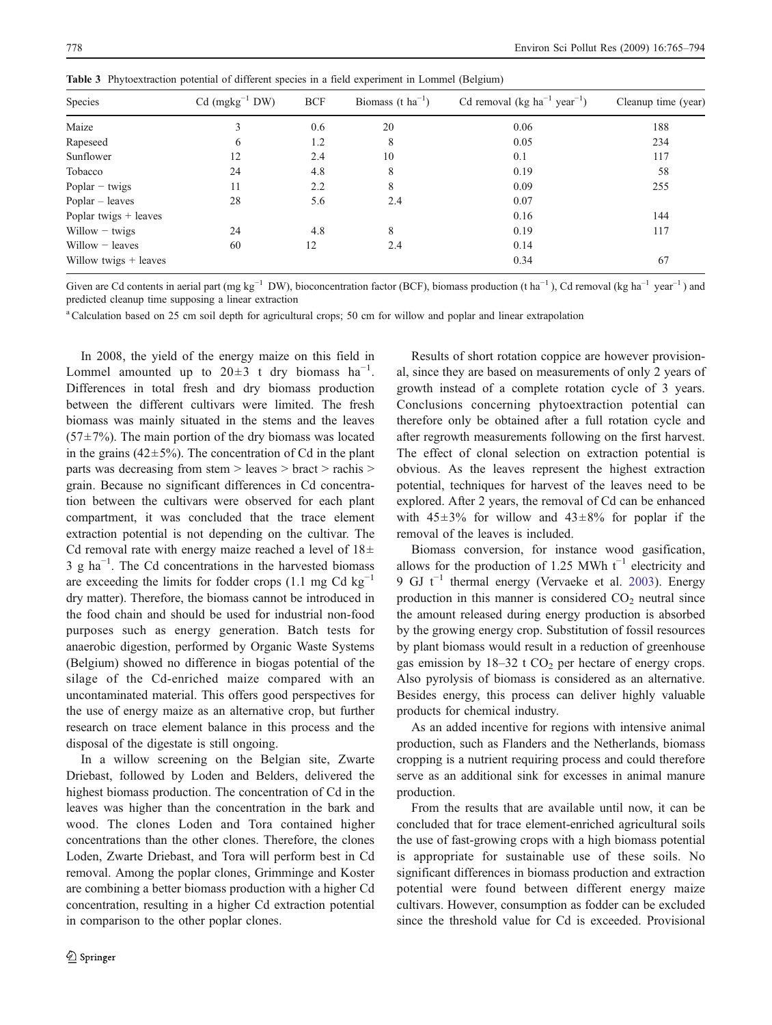| Species                        | $Cd$ (mgkg <sup>-1</sup> DW) | <b>BCF</b> | Biomass $(t \text{ ha}^{-1})$ | Cd removal (kg $ha^{-1}$ year <sup>-1</sup> ) | Cleanup time (year) |
|--------------------------------|------------------------------|------------|-------------------------------|-----------------------------------------------|---------------------|
| Maize                          | 3                            | 0.6        | 20                            | 0.06                                          | 188                 |
| Rapeseed                       | 6                            | 1.2        | 8                             | 0.05                                          | 234                 |
| Sunflower                      | 12                           | 2.4        | 10                            | 0.1                                           | 117                 |
| Tobacco                        | 24                           | 4.8        | 8                             | 0.19                                          | 58                  |
| Poplar $-$ twigs               | 11                           | 2.2        | 8                             | 0.09                                          | 255                 |
| Poplar $-$ leaves              | 28                           | 5.6        | 2.4                           | 0.07                                          |                     |
| Poplar twigs + leaves          |                              |            |                               | 0.16                                          | 144                 |
| $\text{Willow} - \text{twigs}$ | 24                           | 4.8        | 8                             | 0.19                                          | 117                 |
| $Willow - leaves$              | 60                           | 12         | 2.4                           | 0.14                                          |                     |
| Willow twigs + leaves          |                              |            |                               | 0.34                                          | 67                  |

<span id="page-13-0"></span>Table 3 Phytoextraction potential of different species in a field experiment in Lommel (Belgium)

Given are Cd contents in aerial part (mg kg<sup>-1</sup> DW), bioconcentration factor (BCF), biomass production (t ha<sup>-1</sup>), Cd removal (kg ha<sup>-1</sup> year<sup>-1</sup>) and predicted cleanup time supposing a linear extraction

<sup>a</sup> Calculation based on 25 cm soil depth for agricultural crops; 50 cm for willow and poplar and linear extrapolation

In 2008, the yield of the energy maize on this field in Lommel amounted up to  $20±3$  t dry biomass ha<sup>-1</sup>. Differences in total fresh and dry biomass production between the different cultivars were limited. The fresh biomass was mainly situated in the stems and the leaves  $(57\pm7\%)$ . The main portion of the dry biomass was located in the grains  $(42\pm5\%)$ . The concentration of Cd in the plant parts was decreasing from stem > leaves > bract > rachis > grain. Because no significant differences in Cd concentration between the cultivars were observed for each plant compartment, it was concluded that the trace element extraction potential is not depending on the cultivar. The Cd removal rate with energy maize reached a level of  $18\pm$ 3 g ha<sup>-1</sup>. The Cd concentrations in the harvested biomass are exceeding the limits for fodder crops  $(1.1 \text{ mg } Cd \text{ kg}^{-1})$ dry matter). Therefore, the biomass cannot be introduced in the food chain and should be used for industrial non-food purposes such as energy generation. Batch tests for anaerobic digestion, performed by Organic Waste Systems (Belgium) showed no difference in biogas potential of the silage of the Cd-enriched maize compared with an uncontaminated material. This offers good perspectives for the use of energy maize as an alternative crop, but further research on trace element balance in this process and the disposal of the digestate is still ongoing.

In a willow screening on the Belgian site, Zwarte Driebast, followed by Loden and Belders, delivered the highest biomass production. The concentration of Cd in the leaves was higher than the concentration in the bark and wood. The clones Loden and Tora contained higher concentrations than the other clones. Therefore, the clones Loden, Zwarte Driebast, and Tora will perform best in Cd removal. Among the poplar clones, Grimminge and Koster are combining a better biomass production with a higher Cd concentration, resulting in a higher Cd extraction potential in comparison to the other poplar clones.

Results of short rotation coppice are however provisional, since they are based on measurements of only 2 years of growth instead of a complete rotation cycle of 3 years. Conclusions concerning phytoextraction potential can therefore only be obtained after a full rotation cycle and after regrowth measurements following on the first harvest. The effect of clonal selection on extraction potential is obvious. As the leaves represent the highest extraction potential, techniques for harvest of the leaves need to be explored. After 2 years, the removal of Cd can be enhanced with  $45\pm3\%$  for willow and  $43\pm8\%$  for poplar if the removal of the leaves is included.

Biomass conversion, for instance wood gasification, allows for the production of 1.25 MWh  $t^{-1}$  electricity and 9 GJ t<sup>-1</sup> thermal energy (Vervaeke et al. [2003](#page-28-0)). Energy production in this manner is considered  $CO<sub>2</sub>$  neutral since the amount released during energy production is absorbed by the growing energy crop. Substitution of fossil resources by plant biomass would result in a reduction of greenhouse gas emission by  $18-32$  t  $CO<sub>2</sub>$  per hectare of energy crops. Also pyrolysis of biomass is considered as an alternative. Besides energy, this process can deliver highly valuable products for chemical industry.

As an added incentive for regions with intensive animal production, such as Flanders and the Netherlands, biomass cropping is a nutrient requiring process and could therefore serve as an additional sink for excesses in animal manure production.

From the results that are available until now, it can be concluded that for trace element-enriched agricultural soils the use of fast-growing crops with a high biomass potential is appropriate for sustainable use of these soils. No significant differences in biomass production and extraction potential were found between different energy maize cultivars. However, consumption as fodder can be excluded since the threshold value for Cd is exceeded. Provisional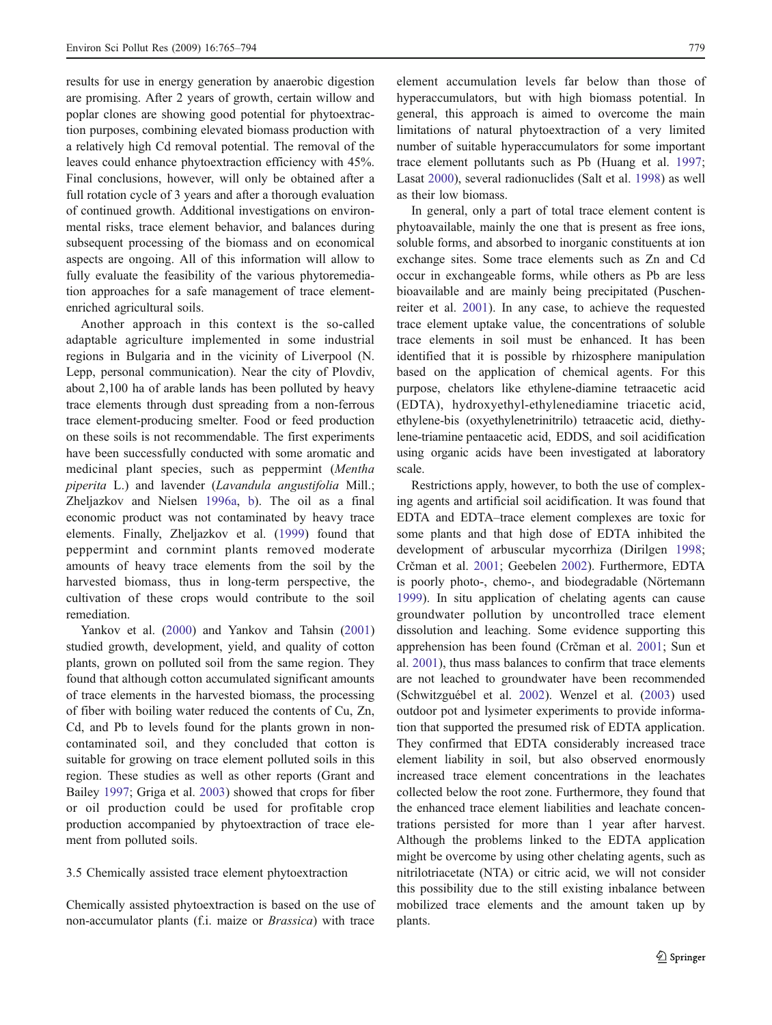results for use in energy generation by anaerobic digestion are promising. After 2 years of growth, certain willow and poplar clones are showing good potential for phytoextraction purposes, combining elevated biomass production with a relatively high Cd removal potential. The removal of the leaves could enhance phytoextraction efficiency with 45%. Final conclusions, however, will only be obtained after a full rotation cycle of 3 years and after a thorough evaluation of continued growth. Additional investigations on environmental risks, trace element behavior, and balances during subsequent processing of the biomass and on economical aspects are ongoing. All of this information will allow to fully evaluate the feasibility of the various phytoremediation approaches for a safe management of trace elementenriched agricultural soils.

Another approach in this context is the so-called adaptable agriculture implemented in some industrial regions in Bulgaria and in the vicinity of Liverpool (N. Lepp, personal communication). Near the city of Plovdiv, about 2,100 ha of arable lands has been polluted by heavy trace elements through dust spreading from a non-ferrous trace element-producing smelter. Food or feed production on these soils is not recommendable. The first experiments have been successfully conducted with some aromatic and medicinal plant species, such as peppermint (Mentha piperita L.) and lavender (Lavandula angustifolia Mill.; Zheljazkov and Nielsen [1996a,](#page-29-0) [b](#page-29-0)). The oil as a final economic product was not contaminated by heavy trace elements. Finally, Zheljazkov et al. [\(1999](#page-29-0)) found that peppermint and cornmint plants removed moderate amounts of heavy trace elements from the soil by the harvested biomass, thus in long-term perspective, the cultivation of these crops would contribute to the soil remediation.

Yankov et al. [\(2000](#page-29-0)) and Yankov and Tahsin ([2001\)](#page-29-0) studied growth, development, yield, and quality of cotton plants, grown on polluted soil from the same region. They found that although cotton accumulated significant amounts of trace elements in the harvested biomass, the processing of fiber with boiling water reduced the contents of Cu, Zn, Cd, and Pb to levels found for the plants grown in noncontaminated soil, and they concluded that cotton is suitable for growing on trace element polluted soils in this region. These studies as well as other reports (Grant and Bailey [1997;](#page-25-0) Griga et al. [2003\)](#page-25-0) showed that crops for fiber or oil production could be used for profitable crop production accompanied by phytoextraction of trace element from polluted soils.

# 3.5 Chemically assisted trace element phytoextraction

Chemically assisted phytoextraction is based on the use of non-accumulator plants (f.i. maize or Brassica) with trace

element accumulation levels far below than those of hyperaccumulators, but with high biomass potential. In general, this approach is aimed to overcome the main limitations of natural phytoextraction of a very limited number of suitable hyperaccumulators for some important trace element pollutants such as Pb (Huang et al. [1997;](#page-25-0) Lasat [2000](#page-26-0)), several radionuclides (Salt et al. [1998\)](#page-27-0) as well as their low biomass.

In general, only a part of total trace element content is phytoavailable, mainly the one that is present as free ions, soluble forms, and absorbed to inorganic constituents at ion exchange sites. Some trace elements such as Zn and Cd occur in exchangeable forms, while others as Pb are less bioavailable and are mainly being precipitated (Puschenreiter et al. [2001\)](#page-27-0). In any case, to achieve the requested trace element uptake value, the concentrations of soluble trace elements in soil must be enhanced. It has been identified that it is possible by rhizosphere manipulation based on the application of chemical agents. For this purpose, chelators like ethylene-diamine tetraacetic acid (EDTA), hydroxyethyl-ethylenediamine triacetic acid, ethylene-bis (oxyethylenetrinitrilo) tetraacetic acid, diethylene-triamine pentaacetic acid, EDDS, and soil acidification using organic acids have been investigated at laboratory scale.

Restrictions apply, however, to both the use of complexing agents and artificial soil acidification. It was found that EDTA and EDTA–trace element complexes are toxic for some plants and that high dose of EDTA inhibited the development of arbuscular mycorrhiza (Dirilgen [1998;](#page-24-0) Crčman et al. [2001;](#page-24-0) Geebelen [2002](#page-25-0)). Furthermore, EDTA is poorly photo-, chemo-, and biodegradable (Nörtemann [1999](#page-27-0)). In situ application of chelating agents can cause groundwater pollution by uncontrolled trace element dissolution and leaching. Some evidence supporting this apprehension has been found (Crčman et al. [2001](#page-24-0); Sun et al. [2001](#page-28-0)), thus mass balances to confirm that trace elements are not leached to groundwater have been recommended (Schwitzguébel et al. [2002\)](#page-27-0). Wenzel et al. [\(2003](#page-28-0)) used outdoor pot and lysimeter experiments to provide information that supported the presumed risk of EDTA application. They confirmed that EDTA considerably increased trace element liability in soil, but also observed enormously increased trace element concentrations in the leachates collected below the root zone. Furthermore, they found that the enhanced trace element liabilities and leachate concentrations persisted for more than 1 year after harvest. Although the problems linked to the EDTA application might be overcome by using other chelating agents, such as nitrilotriacetate (NTA) or citric acid, we will not consider this possibility due to the still existing inbalance between mobilized trace elements and the amount taken up by plants.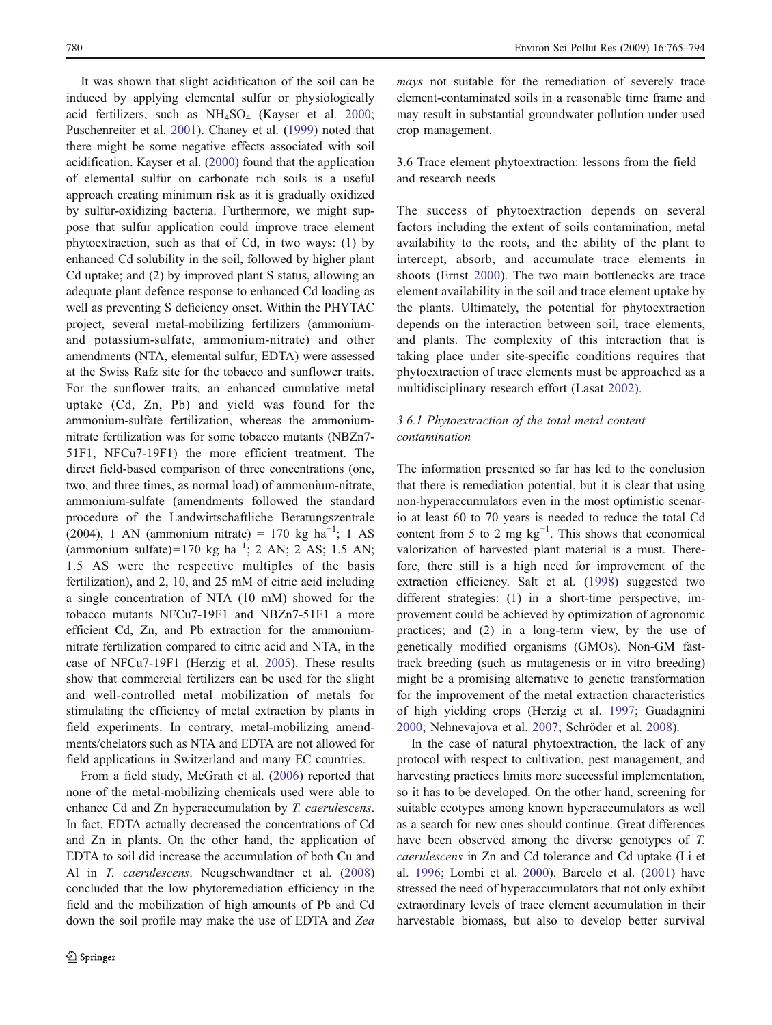It was shown that slight acidification of the soil can be induced by applying elemental sulfur or physiologically acid fertilizers, such as  $NH<sub>4</sub>SO<sub>4</sub>$  (Kayser et al. [2000](#page-25-0); Puschenreiter et al. [2001\)](#page-27-0). Chaney et al. [\(1999](#page-24-0)) noted that there might be some negative effects associated with soil acidification. Kayser et al. [\(2000](#page-25-0)) found that the application of elemental sulfur on carbonate rich soils is a useful approach creating minimum risk as it is gradually oxidized by sulfur-oxidizing bacteria. Furthermore, we might suppose that sulfur application could improve trace element phytoextraction, such as that of Cd, in two ways: (1) by enhanced Cd solubility in the soil, followed by higher plant Cd uptake; and (2) by improved plant S status, allowing an adequate plant defence response to enhanced Cd loading as well as preventing S deficiency onset. Within the PHYTAC project, several metal-mobilizing fertilizers (ammoniumand potassium-sulfate, ammonium-nitrate) and other amendments (NTA, elemental sulfur, EDTA) were assessed at the Swiss Rafz site for the tobacco and sunflower traits. For the sunflower traits, an enhanced cumulative metal uptake (Cd, Zn, Pb) and yield was found for the ammonium-sulfate fertilization, whereas the ammoniumnitrate fertilization was for some tobacco mutants (NBZn7- 51F1, NFCu7-19F1) the more efficient treatment. The direct field-based comparison of three concentrations (one, two, and three times, as normal load) of ammonium-nitrate, ammonium-sulfate (amendments followed the standard procedure of the Landwirtschaftliche Beratungszentrale (2004), 1 AN (ammonium nitrate) = 170 kg ha<sup>-1</sup>; 1 AS (ammonium sulfate)=170 kg ha<sup>-1</sup>; 2 AN; 2 AS; 1.5 AN; 1.5 AS were the respective multiples of the basis fertilization), and 2, 10, and 25 mM of citric acid including a single concentration of NTA (10 mM) showed for the tobacco mutants NFCu7-19F1 and NBZn7-51F1 a more efficient Cd, Zn, and Pb extraction for the ammoniumnitrate fertilization compared to citric acid and NTA, in the case of NFCu7-19F1 (Herzig et al. [2005\)](#page-25-0). These results show that commercial fertilizers can be used for the slight and well-controlled metal mobilization of metals for stimulating the efficiency of metal extraction by plants in field experiments. In contrary, metal-mobilizing amendments/chelators such as NTA and EDTA are not allowed for field applications in Switzerland and many EC countries.

From a field study, McGrath et al. ([2006\)](#page-27-0) reported that none of the metal-mobilizing chemicals used were able to enhance Cd and Zn hyperaccumulation by T. caerulescens. In fact, EDTA actually decreased the concentrations of Cd and Zn in plants. On the other hand, the application of EDTA to soil did increase the accumulation of both Cu and Al in *T. caerulescens*. Neugschwandtner et al. ([2008\)](#page-27-0) concluded that the low phytoremediation efficiency in the field and the mobilization of high amounts of Pb and Cd down the soil profile may make the use of EDTA and Zea

mays not suitable for the remediation of severely trace element-contaminated soils in a reasonable time frame and may result in substantial groundwater pollution under used crop management.

3.6 Trace element phytoextraction: lessons from the field and research needs

The success of phytoextraction depends on several factors including the extent of soils contamination, metal availability to the roots, and the ability of the plant to intercept, absorb, and accumulate trace elements in shoots (Ernst [2000](#page-24-0)). The two main bottlenecks are trace element availability in the soil and trace element uptake by the plants. Ultimately, the potential for phytoextraction depends on the interaction between soil, trace elements, and plants. The complexity of this interaction that is taking place under site-specific conditions requires that phytoextraction of trace elements must be approached as a multidisciplinary research effort (Lasat [2002\)](#page-26-0).

# 3.6.1 Phytoextraction of the total metal content contamination

The information presented so far has led to the conclusion that there is remediation potential, but it is clear that using non-hyperaccumulators even in the most optimistic scenario at least 60 to 70 years is needed to reduce the total Cd content from 5 to 2 mg  $kg^{-1}$ . This shows that economical valorization of harvested plant material is a must. Therefore, there still is a high need for improvement of the extraction efficiency. Salt et al. [\(1998](#page-27-0)) suggested two different strategies: (1) in a short-time perspective, improvement could be achieved by optimization of agronomic practices; and (2) in a long-term view, by the use of genetically modified organisms (GMOs). Non-GM fasttrack breeding (such as mutagenesis or in vitro breeding) might be a promising alternative to genetic transformation for the improvement of the metal extraction characteristics of high yielding crops (Herzig et al. [1997;](#page-25-0) Guadagnini [2000](#page-25-0); Nehnevajova et al. [2007;](#page-27-0) Schröder et al. [2008\)](#page-27-0).

In the case of natural phytoextraction, the lack of any protocol with respect to cultivation, pest management, and harvesting practices limits more successful implementation, so it has to be developed. On the other hand, screening for suitable ecotypes among known hyperaccumulators as well as a search for new ones should continue. Great differences have been observed among the diverse genotypes of T. caerulescens in Zn and Cd tolerance and Cd uptake (Li et al. [1996](#page-26-0); Lombi et al. [2000\)](#page-26-0). Barcelo et al. ([2001\)](#page-23-0) have stressed the need of hyperaccumulators that not only exhibit extraordinary levels of trace element accumulation in their harvestable biomass, but also to develop better survival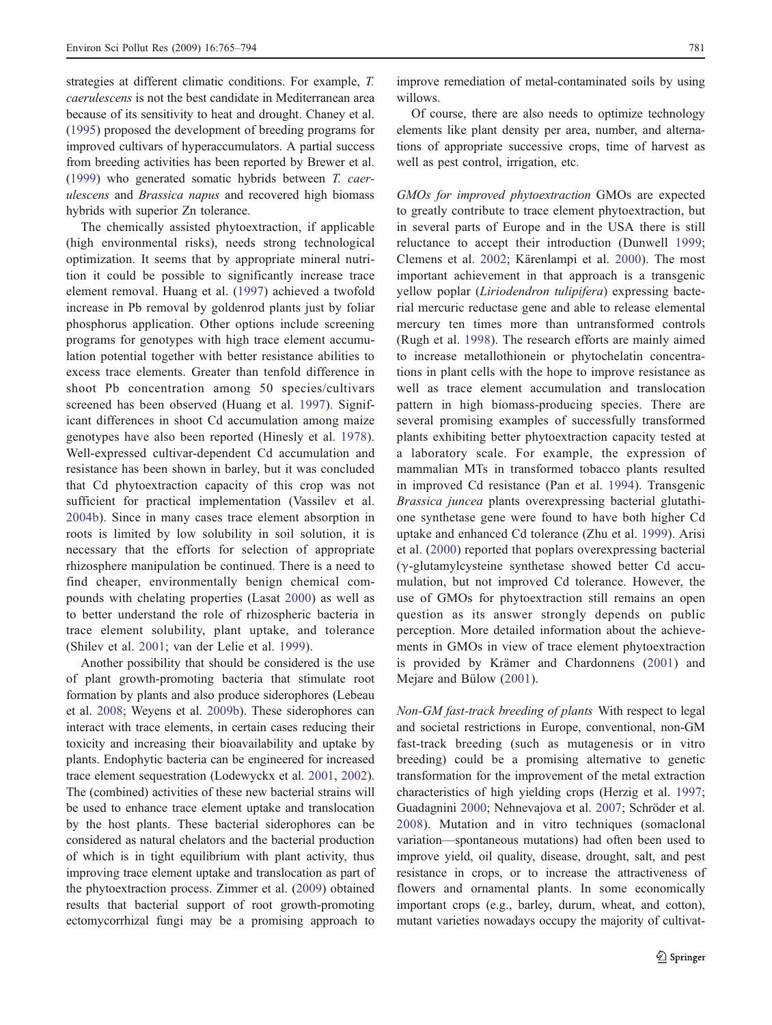strategies at different climatic conditions. For example, T. caerulescens is not the best candidate in Mediterranean area because of its sensitivity to heat and drought. Chaney et al. [\(1995](#page-24-0)) proposed the development of breeding programs for improved cultivars of hyperaccumulators. A partial success from breeding activities has been reported by Brewer et al. [\(1999](#page-24-0)) who generated somatic hybrids between T. caerulescens and Brassica napus and recovered high biomass hybrids with superior Zn tolerance.

The chemically assisted phytoextraction, if applicable (high environmental risks), needs strong technological optimization. It seems that by appropriate mineral nutrition it could be possible to significantly increase trace element removal. Huang et al. [\(1997\)](#page-25-0) achieved a twofold increase in Pb removal by goldenrod plants just by foliar phosphorus application. Other options include screening programs for genotypes with high trace element accumulation potential together with better resistance abilities to excess trace elements. Greater than tenfold difference in shoot Pb concentration among 50 species/cultivars screened has been observed (Huang et al. [1997](#page-25-0)). Significant differences in shoot Cd accumulation among maize genotypes have also been reported (Hinesly et al. [1978](#page-25-0)). Well-expressed cultivar-dependent Cd accumulation and resistance has been shown in barley, but it was concluded that Cd phytoextraction capacity of this crop was not sufficient for practical implementation (Vassilev et al. [2004b](#page-28-0)). Since in many cases trace element absorption in roots is limited by low solubility in soil solution, it is necessary that the efforts for selection of appropriate rhizosphere manipulation be continued. There is a need to find cheaper, environmentally benign chemical compounds with chelating properties (Lasat [2000](#page-26-0)) as well as to better understand the role of rhizospheric bacteria in trace element solubility, plant uptake, and tolerance (Shilev et al. [2001;](#page-28-0) van der Lelie et al. [1999\)](#page-28-0).

Another possibility that should be considered is the use of plant growth-promoting bacteria that stimulate root formation by plants and also produce siderophores (Lebeau et al. [2008;](#page-26-0) Weyens et al. [2009b\)](#page-29-0). These siderophores can interact with trace elements, in certain cases reducing their toxicity and increasing their bioavailability and uptake by plants. Endophytic bacteria can be engineered for increased trace element sequestration (Lodewyckx et al. [2001,](#page-26-0) [2002](#page-26-0)). The (combined) activities of these new bacterial strains will be used to enhance trace element uptake and translocation by the host plants. These bacterial siderophores can be considered as natural chelators and the bacterial production of which is in tight equilibrium with plant activity, thus improving trace element uptake and translocation as part of the phytoextraction process. Zimmer et al. ([2009\)](#page-29-0) obtained results that bacterial support of root growth-promoting ectomycorrhizal fungi may be a promising approach to

improve remediation of metal-contaminated soils by using willows.

Of course, there are also needs to optimize technology elements like plant density per area, number, and alternations of appropriate successive crops, time of harvest as well as pest control, irrigation, etc.

GMOs for improved phytoextraction GMOs are expected to greatly contribute to trace element phytoextraction, but in several parts of Europe and in the USA there is still reluctance to accept their introduction (Dunwell [1999;](#page-24-0) Clemens et al. [2002](#page-24-0); Kärenlampi et al. [2000](#page-25-0)). The most important achievement in that approach is a transgenic yellow poplar (Liriodendron tulipifera) expressing bacterial mercuric reductase gene and able to release elemental mercury ten times more than untransformed controls (Rugh et al. [1998\)](#page-27-0). The research efforts are mainly aimed to increase metallothionein or phytochelatin concentrations in plant cells with the hope to improve resistance as well as trace element accumulation and translocation pattern in high biomass-producing species. There are several promising examples of successfully transformed plants exhibiting better phytoextraction capacity tested at a laboratory scale. For example, the expression of mammalian MTs in transformed tobacco plants resulted in improved Cd resistance (Pan et al. [1994\)](#page-27-0). Transgenic Brassica juncea plants overexpressing bacterial glutathione synthetase gene were found to have both higher Cd uptake and enhanced Cd tolerance (Zhu et al. [1999](#page-29-0)). Arisi et al. [\(2000\)](#page-23-0) reported that poplars overexpressing bacterial (γ-glutamylcysteine synthetase showed better Cd accumulation, but not improved Cd tolerance. However, the use of GMOs for phytoextraction still remains an open question as its answer strongly depends on public perception. More detailed information about the achievements in GMOs in view of trace element phytoextraction is provided by Krämer and Chardonnens ([2001](#page-26-0)) and Mejare and Bülow [\(2001\)](#page-27-0).

Non-GM fast-track breeding of plants With respect to legal and societal restrictions in Europe, conventional, non-GM fast-track breeding (such as mutagenesis or in vitro breeding) could be a promising alternative to genetic transformation for the improvement of the metal extraction characteristics of high yielding crops (Herzig et al. [1997;](#page-25-0) Guadagnini [2000;](#page-25-0) Nehnevajova et al. [2007;](#page-27-0) Schröder et al. [2008\)](#page-27-0). Mutation and in vitro techniques (somaclonal variation—spontaneous mutations) had often been used to improve yield, oil quality, disease, drought, salt, and pest resistance in crops, or to increase the attractiveness of flowers and ornamental plants. In some economically important crops (e.g., barley, durum, wheat, and cotton), mutant varieties nowadays occupy the majority of cultivat-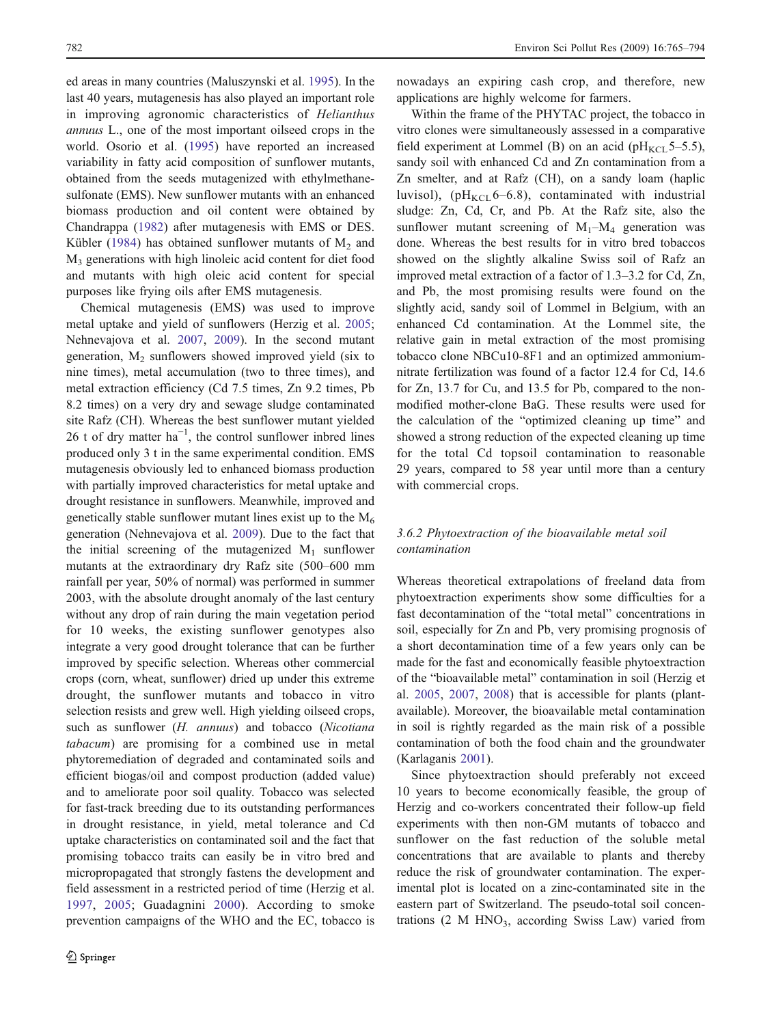<span id="page-17-0"></span>ed areas in many countries (Maluszynski et al. [1995\)](#page-26-0). In the last 40 years, mutagenesis has also played an important role in improving agronomic characteristics of Helianthus annuus L., one of the most important oilseed crops in the world. Osorio et al. ([1995\)](#page-27-0) have reported an increased variability in fatty acid composition of sunflower mutants, obtained from the seeds mutagenized with ethylmethanesulfonate (EMS). New sunflower mutants with an enhanced biomass production and oil content were obtained by Chandrappa [\(1982](#page-24-0)) after mutagenesis with EMS or DES. Kübler ([1984\)](#page-26-0) has obtained sunflower mutants of  $M_2$  and M3 generations with high linoleic acid content for diet food and mutants with high oleic acid content for special purposes like frying oils after EMS mutagenesis.

Chemical mutagenesis (EMS) was used to improve metal uptake and yield of sunflowers (Herzig et al. [2005](#page-25-0); Nehnevajova et al. [2007](#page-27-0), [2009](#page-27-0)). In the second mutant generation,  $M_2$  sunflowers showed improved yield (six to nine times), metal accumulation (two to three times), and metal extraction efficiency (Cd 7.5 times, Zn 9.2 times, Pb 8.2 times) on a very dry and sewage sludge contaminated site Rafz (CH). Whereas the best sunflower mutant yielded 26 t of dry matter ha<sup>-1</sup>, the control sunflower inbred lines produced only 3 t in the same experimental condition. EMS mutagenesis obviously led to enhanced biomass production with partially improved characteristics for metal uptake and drought resistance in sunflowers. Meanwhile, improved and genetically stable sunflower mutant lines exist up to the  $M_6$ generation (Nehnevajova et al. [2009](#page-27-0)). Due to the fact that the initial screening of the mutagenized  $M_1$  sunflower mutants at the extraordinary dry Rafz site (500–600 mm rainfall per year, 50% of normal) was performed in summer 2003, with the absolute drought anomaly of the last century without any drop of rain during the main vegetation period for 10 weeks, the existing sunflower genotypes also integrate a very good drought tolerance that can be further improved by specific selection. Whereas other commercial crops (corn, wheat, sunflower) dried up under this extreme drought, the sunflower mutants and tobacco in vitro selection resists and grew well. High yielding oilseed crops, such as sunflower (H. annuus) and tobacco (Nicotiana tabacum) are promising for a combined use in metal phytoremediation of degraded and contaminated soils and efficient biogas/oil and compost production (added value) and to ameliorate poor soil quality. Tobacco was selected for fast-track breeding due to its outstanding performances in drought resistance, in yield, metal tolerance and Cd uptake characteristics on contaminated soil and the fact that promising tobacco traits can easily be in vitro bred and micropropagated that strongly fastens the development and field assessment in a restricted period of time (Herzig et al. [1997,](#page-25-0) [2005](#page-25-0); Guadagnini [2000\)](#page-25-0). According to smoke prevention campaigns of the WHO and the EC, tobacco is nowadays an expiring cash crop, and therefore, new applications are highly welcome for farmers.

Within the frame of the PHYTAC project, the tobacco in vitro clones were simultaneously assessed in a comparative field experiment at Lommel (B) on an acid ( $pH_{KCL}$ 5–5.5), sandy soil with enhanced Cd and Zn contamination from a Zn smelter, and at Rafz (CH), on a sandy loam (haplic luvisol), ( $pH_{KCL}$ 6–6.8), contaminated with industrial sludge: Zn, Cd, Cr, and Pb. At the Rafz site, also the sunflower mutant screening of  $M_1-M_4$  generation was done. Whereas the best results for in vitro bred tobaccos showed on the slightly alkaline Swiss soil of Rafz an improved metal extraction of a factor of 1.3–3.2 for Cd, Zn, and Pb, the most promising results were found on the slightly acid, sandy soil of Lommel in Belgium, with an enhanced Cd contamination. At the Lommel site, the relative gain in metal extraction of the most promising tobacco clone NBCu10-8F1 and an optimized ammoniumnitrate fertilization was found of a factor 12.4 for Cd, 14.6 for Zn, 13.7 for Cu, and 13.5 for Pb, compared to the nonmodified mother-clone BaG. These results were used for the calculation of the "optimized cleaning up time" and showed a strong reduction of the expected cleaning up time for the total Cd topsoil contamination to reasonable 29 years, compared to 58 year until more than a century with commercial crops.

# 3.6.2 Phytoextraction of the bioavailable metal soil contamination

Whereas theoretical extrapolations of freeland data from phytoextraction experiments show some difficulties for a fast decontamination of the "total metal" concentrations in soil, especially for Zn and Pb, very promising prognosis of a short decontamination time of a few years only can be made for the fast and economically feasible phytoextraction of the "bioavailable metal" contamination in soil (Herzig et al. [2005,](#page-25-0) [2007,](#page-25-0) [2008](#page-25-0)) that is accessible for plants (plantavailable). Moreover, the bioavailable metal contamination in soil is rightly regarded as the main risk of a possible contamination of both the food chain and the groundwater (Karlaganis [2001](#page-25-0)).

Since phytoextraction should preferably not exceed 10 years to become economically feasible, the group of Herzig and co-workers concentrated their follow-up field experiments with then non-GM mutants of tobacco and sunflower on the fast reduction of the soluble metal concentrations that are available to plants and thereby reduce the risk of groundwater contamination. The experimental plot is located on a zinc-contaminated site in the eastern part of Switzerland. The pseudo-total soil concentrations  $(2 \text{ M HNO}_3, \text{ according Swiss Law})$  varied from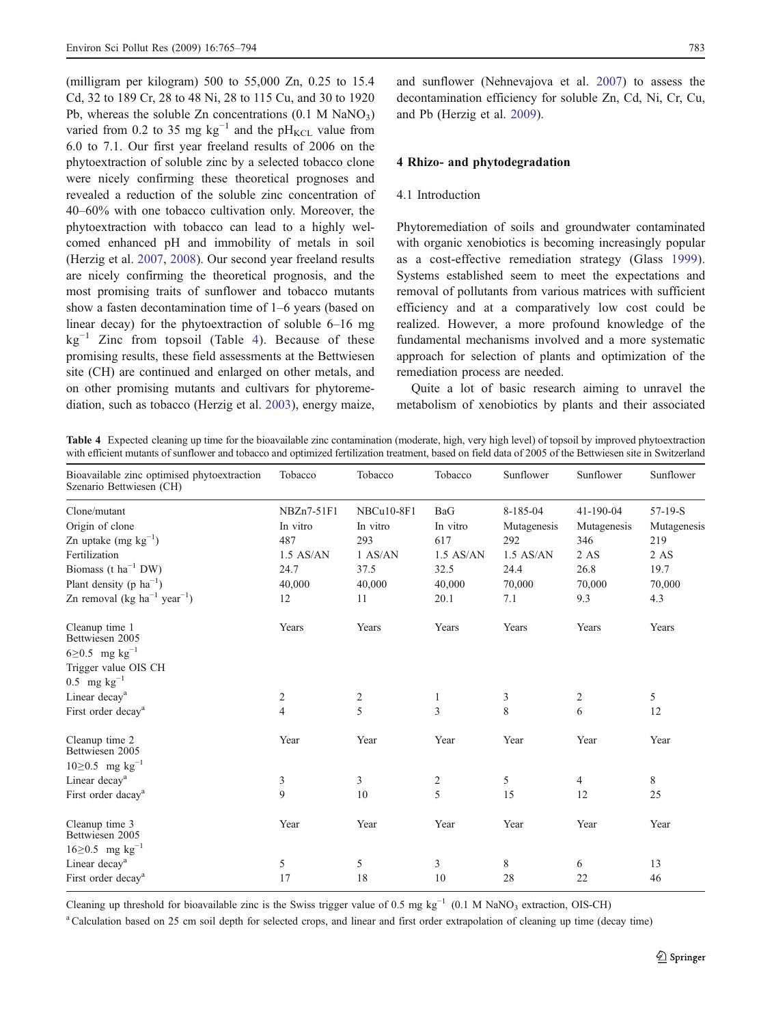(milligram per kilogram) 500 to 55,000 Zn, 0.25 to 15.4 Cd, 32 to 189 Cr, 28 to 48 Ni, 28 to 115 Cu, and 30 to 1920 Pb, whereas the soluble Zn concentrations  $(0.1 \text{ M } \text{NaNO}_3)$ varied from 0.2 to 35 mg  $kg^{-1}$  and the pH<sub>KCL</sub> value from 6.0 to 7.1. Our first year freeland results of 2006 on the phytoextraction of soluble zinc by a selected tobacco clone were nicely confirming these theoretical prognoses and revealed a reduction of the soluble zinc concentration of 40–60% with one tobacco cultivation only. Moreover, the phytoextraction with tobacco can lead to a highly welcomed enhanced pH and immobility of metals in soil (Herzig et al. [2007](#page-25-0), [2008](#page-25-0)). Our second year freeland results are nicely confirming the theoretical prognosis, and the most promising traits of sunflower and tobacco mutants show a fasten decontamination time of 1–6 years (based on linear decay) for the phytoextraction of soluble 6–16 mg  $kg^{-1}$  Zinc from topsoil (Table 4). Because of these promising results, these field assessments at the Bettwiesen site (CH) are continued and enlarged on other metals, and on other promising mutants and cultivars for phytoremediation, such as tobacco (Herzig et al. [2003\)](#page-25-0), energy maize,

and sunflower (Nehnevajova et al. [2007](#page-27-0)) to assess the decontamination efficiency for soluble Zn, Cd, Ni, Cr, Cu, and Pb (Herzig et al. [2009](#page-25-0)).

#### 4 Rhizo- and phytodegradation

#### 4.1 Introduction

Phytoremediation of soils and groundwater contaminated with organic xenobiotics is becoming increasingly popular as a cost-effective remediation strategy (Glass [1999](#page-25-0)). Systems established seem to meet the expectations and removal of pollutants from various matrices with sufficient efficiency and at a comparatively low cost could be realized. However, a more profound knowledge of the fundamental mechanisms involved and a more systematic approach for selection of plants and optimization of the remediation process are needed.

Quite a lot of basic research aiming to unravel the metabolism of xenobiotics by plants and their associated

Table 4 Expected cleaning up time for the bioavailable zinc contamination (moderate, high, very high level) of topsoil by improved phytoextraction with efficient mutants of sunflower and tobacco and optimized fertilization treatment, based on field data of 2005 of the Bettwiesen site in Switzerland

| Bioavailable zinc optimised phytoextraction<br>Szenario Bettwiesen (CH)                      | Tobacco        | Tobacco                 | Tobacco        | Sunflower   | Sunflower               | Sunflower   |
|----------------------------------------------------------------------------------------------|----------------|-------------------------|----------------|-------------|-------------------------|-------------|
| Clone/mutant                                                                                 | NBZn7-51F1     | <b>NBCu10-8F1</b>       | BaG            | 8-185-04    | 41-190-04               | $57-19-S$   |
| Origin of clone                                                                              | In vitro       | In vitro                | In vitro       | Mutagenesis | Mutagenesis             | Mutagenesis |
| Zn uptake $(mg kg^{-1})$                                                                     | 487            | 293                     | 617            | 292         | 346                     | 219         |
| Fertilization                                                                                | $1.5$ AS/AN    | $1$ AS/AN               | $1.5$ AS/AN    | $1.5$ AS/AN | 2AS                     | 2AS         |
| Biomass (t $\mathrm{ha}^{-1}$ DW)                                                            | 24.7           | 37.5                    | 32.5           | 24.4        | 26.8                    | 19.7        |
| Plant density ( $p \text{ ha}^{-1}$ )                                                        | 40,000         | 40,000                  | 40,000         | 70,000      | 70,000                  | 70,000      |
| Zn removal (kg ha <sup>-1</sup> year <sup>-1</sup> )                                         | 12             | 11                      | 20.1           | 7.1         | 9.3                     | 4.3         |
| Cleanup time 1<br>Bettwiesen 2005<br>$6\geq 0.5$ mg kg <sup>-1</sup><br>Trigger value OIS CH | Years          | Years                   | Years          | Years       | Years                   | Years       |
| $0.5 \text{ mg kg}^{-1}$                                                                     |                |                         |                |             |                         |             |
| Linear decay <sup>a</sup>                                                                    | 2              | $\overline{\mathbf{c}}$ | 1              | 3           | $\overline{\mathbf{c}}$ | 5           |
| First order decay <sup>a</sup>                                                               | $\overline{4}$ | 5                       | 3              | 8           | 6                       | 12          |
| Cleanup time 2<br>Bettwiesen 2005<br>$10 \ge 0.5$ mg kg <sup>-1</sup>                        | Year           | Year                    | Year           | Year        | Year                    | Year        |
| Linear decay <sup>a</sup>                                                                    | 3              | 3                       | $\overline{c}$ | 5           | $\overline{4}$          | 8           |
| First order dacay <sup>a</sup>                                                               | 9              | 10                      | 5              | 15          | 12                      | 25          |
| Cleanup time 3<br>Bettwiesen 2005<br>$16\geq 0.5$ mg kg <sup>-1</sup>                        | Year           | Year                    | Year           | Year        | Year                    | Year        |
| Linear decay <sup>a</sup>                                                                    | 5              | 5                       | 3              | 8           | 6                       | 13          |
| First order decay <sup>a</sup>                                                               | 17             | 18                      | 10             | 28          | 22                      | 46          |
|                                                                                              |                |                         |                |             |                         |             |

Cleaning up threshold for bioavailable zinc is the Swiss trigger value of 0.5 mg kg<sup>-1</sup> (0.1 M NaNO<sub>3</sub> extraction, OIS-CH)

<sup>a</sup>Calculation based on 25 cm soil depth for selected crops, and linear and first order extrapolation of cleaning up time (decay time)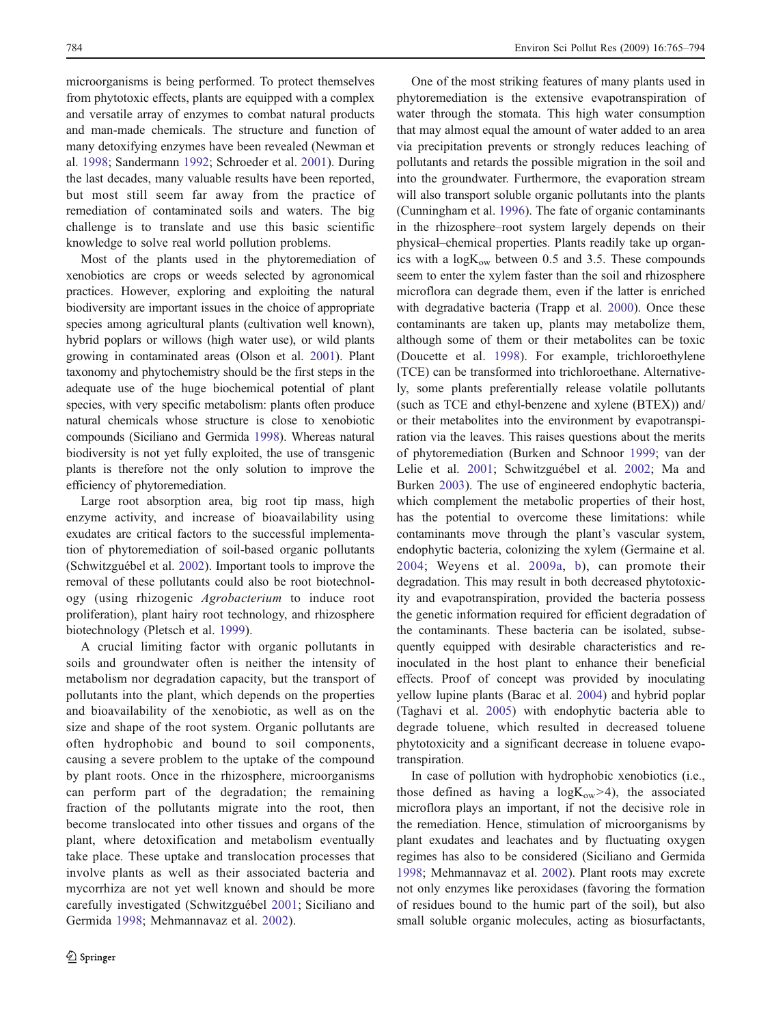microorganisms is being performed. To protect themselves from phytotoxic effects, plants are equipped with a complex and versatile array of enzymes to combat natural products and man-made chemicals. The structure and function of many detoxifying enzymes have been revealed (Newman et al. [1998](#page-27-0); Sandermann [1992](#page-27-0); Schroeder et al. [2001](#page-27-0)). During the last decades, many valuable results have been reported, but most still seem far away from the practice of remediation of contaminated soils and waters. The big challenge is to translate and use this basic scientific knowledge to solve real world pollution problems.

Most of the plants used in the phytoremediation of xenobiotics are crops or weeds selected by agronomical practices. However, exploring and exploiting the natural biodiversity are important issues in the choice of appropriate species among agricultural plants (cultivation well known), hybrid poplars or willows (high water use), or wild plants growing in contaminated areas (Olson et al. [2001\)](#page-27-0). Plant taxonomy and phytochemistry should be the first steps in the adequate use of the huge biochemical potential of plant species, with very specific metabolism: plants often produce natural chemicals whose structure is close to xenobiotic compounds (Siciliano and Germida [1998\)](#page-28-0). Whereas natural biodiversity is not yet fully exploited, the use of transgenic plants is therefore not the only solution to improve the efficiency of phytoremediation.

Large root absorption area, big root tip mass, high enzyme activity, and increase of bioavailability using exudates are critical factors to the successful implementation of phytoremediation of soil-based organic pollutants (Schwitzguébel et al. [2002\)](#page-27-0). Important tools to improve the removal of these pollutants could also be root biotechnology (using rhizogenic Agrobacterium to induce root proliferation), plant hairy root technology, and rhizosphere biotechnology (Pletsch et al. [1999](#page-27-0)).

A crucial limiting factor with organic pollutants in soils and groundwater often is neither the intensity of metabolism nor degradation capacity, but the transport of pollutants into the plant, which depends on the properties and bioavailability of the xenobiotic, as well as on the size and shape of the root system. Organic pollutants are often hydrophobic and bound to soil components, causing a severe problem to the uptake of the compound by plant roots. Once in the rhizosphere, microorganisms can perform part of the degradation; the remaining fraction of the pollutants migrate into the root, then become translocated into other tissues and organs of the plant, where detoxification and metabolism eventually take place. These uptake and translocation processes that involve plants as well as their associated bacteria and mycorrhiza are not yet well known and should be more carefully investigated (Schwitzguébel [2001;](#page-27-0) Siciliano and Germida [1998;](#page-28-0) Mehmannavaz et al. [2002\)](#page-27-0).

One of the most striking features of many plants used in phytoremediation is the extensive evapotranspiration of water through the stomata. This high water consumption that may almost equal the amount of water added to an area via precipitation prevents or strongly reduces leaching of pollutants and retards the possible migration in the soil and into the groundwater. Furthermore, the evaporation stream will also transport soluble organic pollutants into the plants (Cunningham et al. [1996](#page-24-0)). The fate of organic contaminants in the rhizosphere–root system largely depends on their physical–chemical properties. Plants readily take up organics with a  $logK_{ow}$  between 0.5 and 3.5. These compounds seem to enter the xylem faster than the soil and rhizosphere microflora can degrade them, even if the latter is enriched with degradative bacteria (Trapp et al. [2000](#page-28-0)). Once these contaminants are taken up, plants may metabolize them, although some of them or their metabolites can be toxic (Doucette et al. [1998](#page-24-0)). For example, trichloroethylene (TCE) can be transformed into trichloroethane. Alternatively, some plants preferentially release volatile pollutants (such as TCE and ethyl-benzene and xylene (BTEX)) and/ or their metabolites into the environment by evapotranspiration via the leaves. This raises questions about the merits of phytoremediation (Burken and Schnoor [1999;](#page-24-0) van der Lelie et al. [2001;](#page-28-0) Schwitzguébel et al. [2002](#page-27-0); Ma and Burken [2003\)](#page-26-0). The use of engineered endophytic bacteria, which complement the metabolic properties of their host, has the potential to overcome these limitations: while contaminants move through the plant's vascular system, endophytic bacteria, colonizing the xylem (Germaine et al. [2004](#page-25-0); Weyens et al. [2009a](#page-29-0), [b\)](#page-29-0), can promote their degradation. This may result in both decreased phytotoxicity and evapotranspiration, provided the bacteria possess the genetic information required for efficient degradation of the contaminants. These bacteria can be isolated, subsequently equipped with desirable characteristics and reinoculated in the host plant to enhance their beneficial effects. Proof of concept was provided by inoculating yellow lupine plants (Barac et al. [2004](#page-23-0)) and hybrid poplar (Taghavi et al. [2005](#page-28-0)) with endophytic bacteria able to degrade toluene, which resulted in decreased toluene phytotoxicity and a significant decrease in toluene evapotranspiration.

In case of pollution with hydrophobic xenobiotics (i.e., those defined as having a  $log K_{ow} > 4$ ), the associated microflora plays an important, if not the decisive role in the remediation. Hence, stimulation of microorganisms by plant exudates and leachates and by fluctuating oxygen regimes has also to be considered (Siciliano and Germida [1998](#page-28-0); Mehmannavaz et al. [2002](#page-27-0)). Plant roots may excrete not only enzymes like peroxidases (favoring the formation of residues bound to the humic part of the soil), but also small soluble organic molecules, acting as biosurfactants,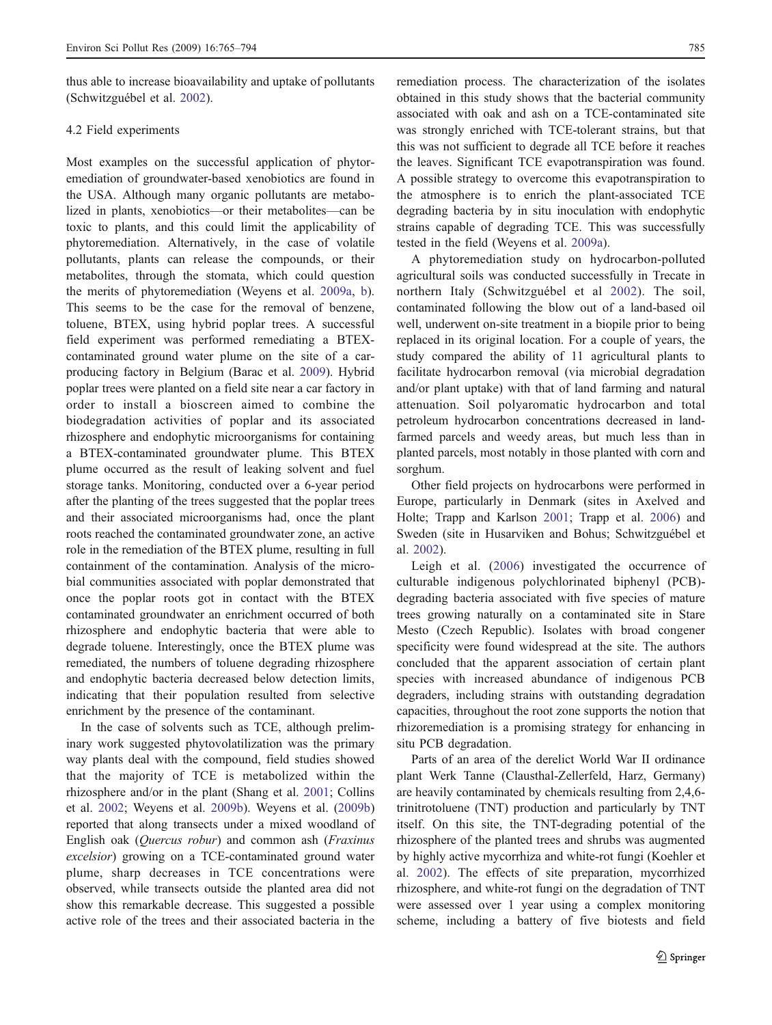thus able to increase bioavailability and uptake of pollutants (Schwitzguébel et al. [2002\)](#page-27-0).

## 4.2 Field experiments

Most examples on the successful application of phytoremediation of groundwater-based xenobiotics are found in the USA. Although many organic pollutants are metabolized in plants, xenobiotics—or their metabolites—can be toxic to plants, and this could limit the applicability of phytoremediation. Alternatively, in the case of volatile pollutants, plants can release the compounds, or their metabolites, through the stomata, which could question the merits of phytoremediation (Weyens et al. [2009a,](#page-29-0) [b](#page-29-0)). This seems to be the case for the removal of benzene, toluene, BTEX, using hybrid poplar trees. A successful field experiment was performed remediating a BTEXcontaminated ground water plume on the site of a carproducing factory in Belgium (Barac et al. [2009](#page-23-0)). Hybrid poplar trees were planted on a field site near a car factory in order to install a bioscreen aimed to combine the biodegradation activities of poplar and its associated rhizosphere and endophytic microorganisms for containing a BTEX-contaminated groundwater plume. This BTEX plume occurred as the result of leaking solvent and fuel storage tanks. Monitoring, conducted over a 6-year period after the planting of the trees suggested that the poplar trees and their associated microorganisms had, once the plant roots reached the contaminated groundwater zone, an active role in the remediation of the BTEX plume, resulting in full containment of the contamination. Analysis of the microbial communities associated with poplar demonstrated that once the poplar roots got in contact with the BTEX contaminated groundwater an enrichment occurred of both rhizosphere and endophytic bacteria that were able to degrade toluene. Interestingly, once the BTEX plume was remediated, the numbers of toluene degrading rhizosphere and endophytic bacteria decreased below detection limits, indicating that their population resulted from selective enrichment by the presence of the contaminant.

In the case of solvents such as TCE, although preliminary work suggested phytovolatilization was the primary way plants deal with the compound, field studies showed that the majority of TCE is metabolized within the rhizosphere and/or in the plant (Shang et al. [2001](#page-28-0); Collins et al. [2002;](#page-24-0) Weyens et al. [2009b\)](#page-29-0). Weyens et al. ([2009b\)](#page-29-0) reported that along transects under a mixed woodland of English oak (Quercus robur) and common ash (Fraxinus excelsior) growing on a TCE-contaminated ground water plume, sharp decreases in TCE concentrations were observed, while transects outside the planted area did not show this remarkable decrease. This suggested a possible active role of the trees and their associated bacteria in the

remediation process. The characterization of the isolates obtained in this study shows that the bacterial community associated with oak and ash on a TCE-contaminated site was strongly enriched with TCE-tolerant strains, but that this was not sufficient to degrade all TCE before it reaches the leaves. Significant TCE evapotranspiration was found. A possible strategy to overcome this evapotranspiration to the atmosphere is to enrich the plant-associated TCE degrading bacteria by in situ inoculation with endophytic strains capable of degrading TCE. This was successfully tested in the field (Weyens et al. [2009a](#page-29-0)).

A phytoremediation study on hydrocarbon-polluted agricultural soils was conducted successfully in Trecate in northern Italy (Schwitzguébel et al [2002\)](#page-27-0). The soil, contaminated following the blow out of a land-based oil well, underwent on-site treatment in a biopile prior to being replaced in its original location. For a couple of years, the study compared the ability of 11 agricultural plants to facilitate hydrocarbon removal (via microbial degradation and/or plant uptake) with that of land farming and natural attenuation. Soil polyaromatic hydrocarbon and total petroleum hydrocarbon concentrations decreased in landfarmed parcels and weedy areas, but much less than in planted parcels, most notably in those planted with corn and sorghum.

Other field projects on hydrocarbons were performed in Europe, particularly in Denmark (sites in Axelved and Holte; Trapp and Karlson [2001](#page-28-0); Trapp et al. [2006\)](#page-28-0) and Sweden (site in Husarviken and Bohus; Schwitzguébel et al. [2002\)](#page-27-0).

Leigh et al. ([2006](#page-26-0)) investigated the occurrence of culturable indigenous polychlorinated biphenyl (PCB) degrading bacteria associated with five species of mature trees growing naturally on a contaminated site in Stare Mesto (Czech Republic). Isolates with broad congener specificity were found widespread at the site. The authors concluded that the apparent association of certain plant species with increased abundance of indigenous PCB degraders, including strains with outstanding degradation capacities, throughout the root zone supports the notion that rhizoremediation is a promising strategy for enhancing in situ PCB degradation.

Parts of an area of the derelict World War II ordinance plant Werk Tanne (Clausthal-Zellerfeld, Harz, Germany) are heavily contaminated by chemicals resulting from 2,4,6 trinitrotoluene (TNT) production and particularly by TNT itself. On this site, the TNT-degrading potential of the rhizosphere of the planted trees and shrubs was augmented by highly active mycorrhiza and white-rot fungi (Koehler et al. [2002\)](#page-26-0). The effects of site preparation, mycorrhized rhizosphere, and white-rot fungi on the degradation of TNT were assessed over 1 year using a complex monitoring scheme, including a battery of five biotests and field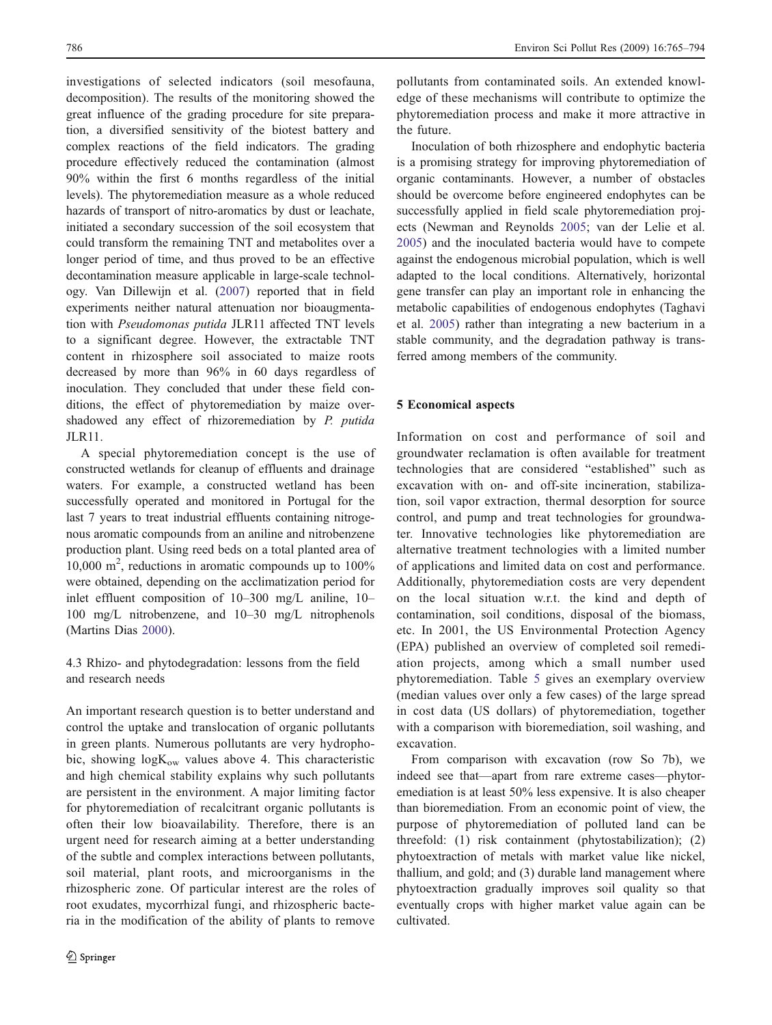<span id="page-21-0"></span>investigations of selected indicators (soil mesofauna, decomposition). The results of the monitoring showed the great influence of the grading procedure for site preparation, a diversified sensitivity of the biotest battery and complex reactions of the field indicators. The grading procedure effectively reduced the contamination (almost 90% within the first 6 months regardless of the initial levels). The phytoremediation measure as a whole reduced hazards of transport of nitro-aromatics by dust or leachate, initiated a secondary succession of the soil ecosystem that could transform the remaining TNT and metabolites over a longer period of time, and thus proved to be an effective decontamination measure applicable in large-scale technology. Van Dillewijn et al. [\(2007](#page-28-0)) reported that in field experiments neither natural attenuation nor bioaugmentation with Pseudomonas putida JLR11 affected TNT levels to a significant degree. However, the extractable TNT content in rhizosphere soil associated to maize roots decreased by more than 96% in 60 days regardless of inoculation. They concluded that under these field conditions, the effect of phytoremediation by maize overshadowed any effect of rhizoremediation by P. putida JLR11.

A special phytoremediation concept is the use of constructed wetlands for cleanup of effluents and drainage waters. For example, a constructed wetland has been successfully operated and monitored in Portugal for the last 7 years to treat industrial effluents containing nitrogenous aromatic compounds from an aniline and nitrobenzene production plant. Using reed beds on a total planted area of 10,000 m<sup>2</sup>, reductions in aromatic compounds up to 100% were obtained, depending on the acclimatization period for inlet effluent composition of 10–300 mg/L aniline, 10– 100 mg/L nitrobenzene, and 10–30 mg/L nitrophenols (Martins Dias [2000\)](#page-26-0).

4.3 Rhizo- and phytodegradation: lessons from the field and research needs

An important research question is to better understand and control the uptake and translocation of organic pollutants in green plants. Numerous pollutants are very hydrophobic, showing  $logK_{ow}$  values above 4. This characteristic and high chemical stability explains why such pollutants are persistent in the environment. A major limiting factor for phytoremediation of recalcitrant organic pollutants is often their low bioavailability. Therefore, there is an urgent need for research aiming at a better understanding of the subtle and complex interactions between pollutants, soil material, plant roots, and microorganisms in the rhizospheric zone. Of particular interest are the roles of root exudates, mycorrhizal fungi, and rhizospheric bacteria in the modification of the ability of plants to remove

pollutants from contaminated soils. An extended knowledge of these mechanisms will contribute to optimize the phytoremediation process and make it more attractive in the future.

Inoculation of both rhizosphere and endophytic bacteria is a promising strategy for improving phytoremediation of organic contaminants. However, a number of obstacles should be overcome before engineered endophytes can be successfully applied in field scale phytoremediation projects (Newman and Reynolds [2005;](#page-27-0) van der Lelie et al. [2005](#page-28-0)) and the inoculated bacteria would have to compete against the endogenous microbial population, which is well adapted to the local conditions. Alternatively, horizontal gene transfer can play an important role in enhancing the metabolic capabilities of endogenous endophytes (Taghavi et al. [2005](#page-28-0)) rather than integrating a new bacterium in a stable community, and the degradation pathway is transferred among members of the community.

## 5 Economical aspects

Information on cost and performance of soil and groundwater reclamation is often available for treatment technologies that are considered "established" such as excavation with on- and off-site incineration, stabilization, soil vapor extraction, thermal desorption for source control, and pump and treat technologies for groundwater. Innovative technologies like phytoremediation are alternative treatment technologies with a limited number of applications and limited data on cost and performance. Additionally, phytoremediation costs are very dependent on the local situation w.r.t. the kind and depth of contamination, soil conditions, disposal of the biomass, etc. In 2001, the US Environmental Protection Agency (EPA) published an overview of completed soil remediation projects, among which a small number used phytoremediation. Table [5](#page-22-0) gives an exemplary overview (median values over only a few cases) of the large spread in cost data (US dollars) of phytoremediation, together with a comparison with bioremediation, soil washing, and excavation.

From comparison with excavation (row So 7b), we indeed see that—apart from rare extreme cases—phytoremediation is at least 50% less expensive. It is also cheaper than bioremediation. From an economic point of view, the purpose of phytoremediation of polluted land can be threefold: (1) risk containment (phytostabilization); (2) phytoextraction of metals with market value like nickel, thallium, and gold; and (3) durable land management where phytoextraction gradually improves soil quality so that eventually crops with higher market value again can be cultivated.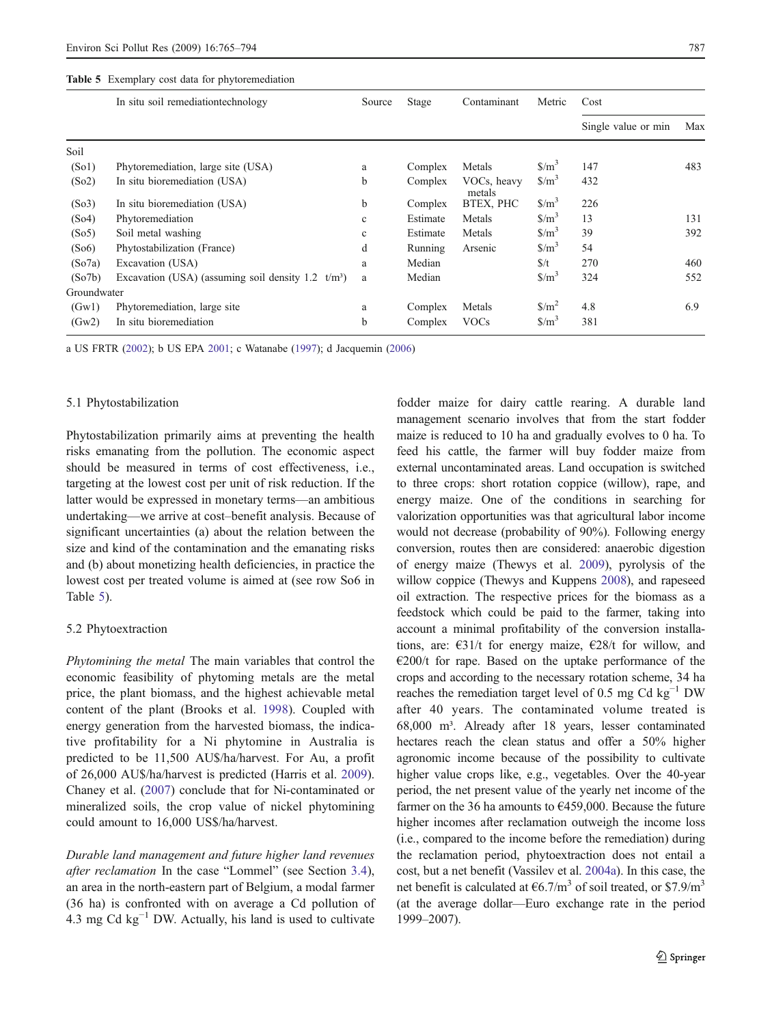#### <span id="page-22-0"></span>Table 5 Exemplary cost data for phytoremediation

|             | In situ soil remediationtechnology                            | Source       | Stage    | Contaminant           | Metric                            | Cost                |     |
|-------------|---------------------------------------------------------------|--------------|----------|-----------------------|-----------------------------------|---------------------|-----|
|             |                                                               |              |          |                       |                                   | Single value or min | Max |
| Soil        |                                                               |              |          |                       |                                   |                     |     |
| (So1)       | Phytoremediation, large site (USA)                            | a            | Complex  | Metals                | $\frac{\text{S}}{\text{m}^3}$     | 147                 | 483 |
| (So2)       | In situ bioremediation (USA)                                  | b            | Complex  | VOCs, heavy<br>metals | $\frac{\text{S}}{\text{m}^3}$     | 432                 |     |
| (So3)       | In situ bioremediation (USA)                                  | b            | Complex  | BTEX, PHC             | $S/m^3$                           | 226                 |     |
| (So4)       | Phytoremediation                                              | $\mathbf{c}$ | Estimate | Metals                | $S/m^3$                           | 13                  | 131 |
| (So5)       | Soil metal washing                                            | $\mathbf{c}$ | Estimate | Metals                | $\frac{\text{S}}{\text{m}^3}$     | 39                  | 392 |
| (So6)       | Phytostabilization (France)                                   | d            | Running  | Arsenic               | $\frac{\text{S}}{\text{m}^3}$     | 54                  |     |
| (So7a)      | Excavation (USA)                                              | a            | Median   |                       | $\frac{\mathrm{s}}{\mathrm{t}}$   | 270                 | 460 |
| (So7b)      | Excavation (USA) (assuming soil density $1.2 \text{ t/m}^3$ ) | a            | Median   |                       | $\frac{\text{S}}{\text{m}^3}$     | 324                 | 552 |
| Groundwater |                                                               |              |          |                       |                                   |                     |     |
| (Gw1)       | Phytoremediation, large site                                  | a            | Complex  | Metals                | $\frac{\mathrm{S}}{\mathrm{m}^2}$ | 4.8                 | 6.9 |
| (Gw2)       | In situ bioremediation                                        | h            | Complex  | <b>VOCs</b>           | $S/m^3$                           | 381                 |     |

a US FRTR [\(2002](#page-28-0)); b US EPA [2001;](#page-28-0) c Watanabe ([1997](#page-28-0)); d Jacquemin ([2006\)](#page-25-0)

## 5.1 Phytostabilization

Phytostabilization primarily aims at preventing the health risks emanating from the pollution. The economic aspect should be measured in terms of cost effectiveness, i.e., targeting at the lowest cost per unit of risk reduction. If the latter would be expressed in monetary terms—an ambitious undertaking—we arrive at cost–benefit analysis. Because of significant uncertainties (a) about the relation between the size and kind of the contamination and the emanating risks and (b) about monetizing health deficiencies, in practice the lowest cost per treated volume is aimed at (see row So6 in Table 5).

# 5.2 Phytoextraction

Phytomining the metal The main variables that control the economic feasibility of phytoming metals are the metal price, the plant biomass, and the highest achievable metal content of the plant (Brooks et al. [1998\)](#page-24-0). Coupled with energy generation from the harvested biomass, the indicative profitability for a Ni phytomine in Australia is predicted to be 11,500 AU\$/ha/harvest. For Au, a profit of 26,000 AU\$/ha/harvest is predicted (Harris et al. [2009](#page-25-0)). Chaney et al. ([2007\)](#page-24-0) conclude that for Ni-contaminated or mineralized soils, the crop value of nickel phytomining could amount to 16,000 US\$/ha/harvest.

Durable land management and future higher land revenues after reclamation In the case "Lommel" (see Section [3.4](#page-12-0)), an area in the north-eastern part of Belgium, a modal farmer (36 ha) is confronted with on average a Cd pollution of 4.3 mg Cd kg−<sup>1</sup> DW. Actually, his land is used to cultivate

fodder maize for dairy cattle rearing. A durable land management scenario involves that from the start fodder maize is reduced to 10 ha and gradually evolves to 0 ha. To feed his cattle, the farmer will buy fodder maize from external uncontaminated areas. Land occupation is switched to three crops: short rotation coppice (willow), rape, and energy maize. One of the conditions in searching for valorization opportunities was that agricultural labor income would not decrease (probability of 90%). Following energy conversion, routes then are considered: anaerobic digestion of energy maize (Thewys et al. [2009\)](#page-28-0), pyrolysis of the willow coppice (Thewys and Kuppens [2008\)](#page-28-0), and rapeseed oil extraction. The respective prices for the biomass as a feedstock which could be paid to the farmer, taking into account a minimal profitability of the conversion installations, are:  $\epsilon$ 31/t for energy maize,  $\epsilon$ 28/t for willow, and  $\epsilon$ 200/t for rape. Based on the uptake performance of the crops and according to the necessary rotation scheme, 34 ha reaches the remediation target level of 0.5 mg Cd  $\text{kg}^{-1}$  DW after 40 years. The contaminated volume treated is 68,000 m³. Already after 18 years, lesser contaminated hectares reach the clean status and offer a 50% higher agronomic income because of the possibility to cultivate higher value crops like, e.g., vegetables. Over the 40-year period, the net present value of the yearly net income of the farmer on the 36 ha amounts to  $6459,000$ . Because the future higher incomes after reclamation outweigh the income loss (i.e., compared to the income before the remediation) during the reclamation period, phytoextraction does not entail a cost, but a net benefit (Vassilev et al. [2004a\)](#page-28-0). In this case, the net benefit is calculated at  $\epsilon$ 6.7/m<sup>3</sup> of soil treated, or \$7.9/m<sup>3</sup> (at the average dollar—Euro exchange rate in the period 1999–2007).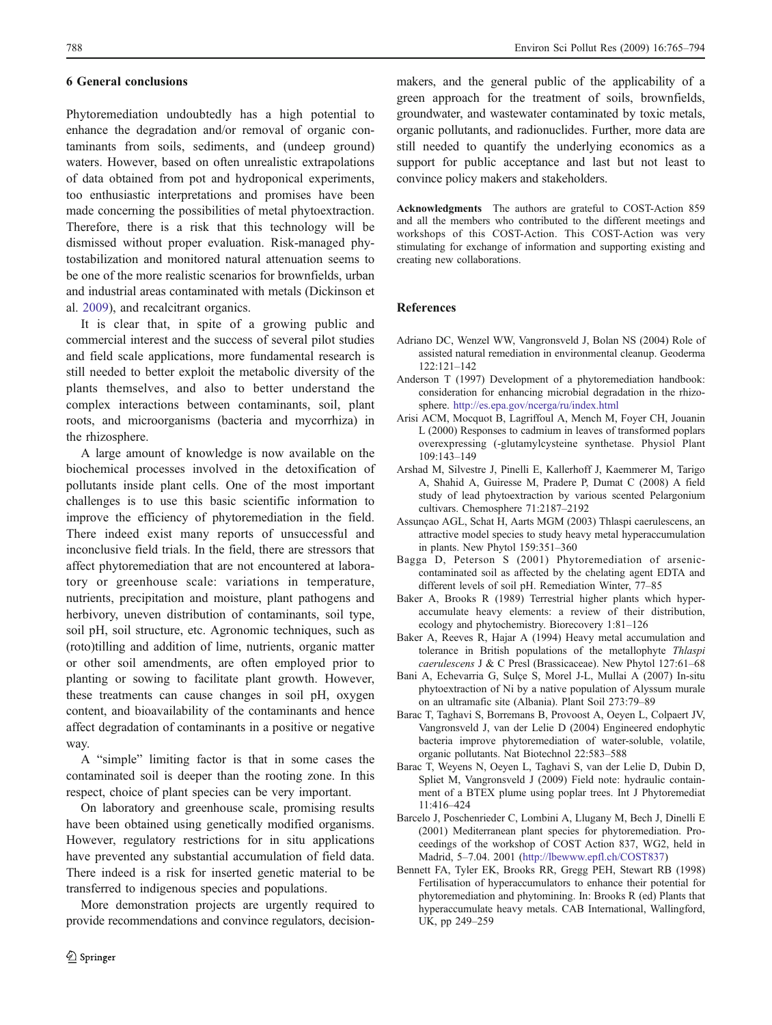## <span id="page-23-0"></span>6 General conclusions

Phytoremediation undoubtedly has a high potential to enhance the degradation and/or removal of organic contaminants from soils, sediments, and (undeep ground) waters. However, based on often unrealistic extrapolations of data obtained from pot and hydroponical experiments, too enthusiastic interpretations and promises have been made concerning the possibilities of metal phytoextraction. Therefore, there is a risk that this technology will be dismissed without proper evaluation. Risk-managed phytostabilization and monitored natural attenuation seems to be one of the more realistic scenarios for brownfields, urban and industrial areas contaminated with metals (Dickinson et al. [2009\)](#page-24-0), and recalcitrant organics.

It is clear that, in spite of a growing public and commercial interest and the success of several pilot studies and field scale applications, more fundamental research is still needed to better exploit the metabolic diversity of the plants themselves, and also to better understand the complex interactions between contaminants, soil, plant roots, and microorganisms (bacteria and mycorrhiza) in the rhizosphere.

A large amount of knowledge is now available on the biochemical processes involved in the detoxification of pollutants inside plant cells. One of the most important challenges is to use this basic scientific information to improve the efficiency of phytoremediation in the field. There indeed exist many reports of unsuccessful and inconclusive field trials. In the field, there are stressors that affect phytoremediation that are not encountered at laboratory or greenhouse scale: variations in temperature, nutrients, precipitation and moisture, plant pathogens and herbivory, uneven distribution of contaminants, soil type, soil pH, soil structure, etc. Agronomic techniques, such as (roto)tilling and addition of lime, nutrients, organic matter or other soil amendments, are often employed prior to planting or sowing to facilitate plant growth. However, these treatments can cause changes in soil pH, oxygen content, and bioavailability of the contaminants and hence affect degradation of contaminants in a positive or negative way.

A "simple" limiting factor is that in some cases the contaminated soil is deeper than the rooting zone. In this respect, choice of plant species can be very important.

On laboratory and greenhouse scale, promising results have been obtained using genetically modified organisms. However, regulatory restrictions for in situ applications have prevented any substantial accumulation of field data. There indeed is a risk for inserted genetic material to be transferred to indigenous species and populations.

More demonstration projects are urgently required to provide recommendations and convince regulators, decision-

makers, and the general public of the applicability of a green approach for the treatment of soils, brownfields, groundwater, and wastewater contaminated by toxic metals, organic pollutants, and radionuclides. Further, more data are still needed to quantify the underlying economics as a support for public acceptance and last but not least to convince policy makers and stakeholders.

Acknowledgments The authors are grateful to COST-Action 859 and all the members who contributed to the different meetings and workshops of this COST-Action. This COST-Action was very stimulating for exchange of information and supporting existing and creating new collaborations.

## References

- Adriano DC, Wenzel WW, Vangronsveld J, Bolan NS (2004) Role of assisted natural remediation in environmental cleanup. Geoderma 122:121–142
- Anderson T (1997) Development of a phytoremediation handbook: consideration for enhancing microbial degradation in the rhizosphere. <http://es.epa.gov/ncerga/ru/index.html>
- Arisi ACM, Mocquot B, Lagriffoul A, Mench M, Foyer CH, Jouanin L (2000) Responses to cadmium in leaves of transformed poplars overexpressing (-glutamylcysteine synthetase. Physiol Plant 109:143–149
- Arshad M, Silvestre J, Pinelli E, Kallerhoff J, Kaemmerer M, Tarigo A, Shahid A, Guiresse M, Pradere P, Dumat C (2008) A field study of lead phytoextraction by various scented Pelargonium cultivars. Chemosphere 71:2187–2192
- Assunçao AGL, Schat H, Aarts MGM (2003) Thlaspi caerulescens, an attractive model species to study heavy metal hyperaccumulation in plants. New Phytol 159:351–360
- Bagga D, Peterson S (2001) Phytoremediation of arseniccontaminated soil as affected by the chelating agent EDTA and different levels of soil pH. Remediation Winter, 77–85
- Baker A, Brooks R (1989) Terrestrial higher plants which hyperaccumulate heavy elements: a review of their distribution, ecology and phytochemistry. Biorecovery 1:81–126
- Baker A, Reeves R, Hajar A (1994) Heavy metal accumulation and tolerance in British populations of the metallophyte Thlaspi caerulescens J & C Presl (Brassicaceae). New Phytol 127:61–68
- Bani A, Echevarria G, Sulçe S, Morel J-L, Mullai A (2007) In-situ phytoextraction of Ni by a native population of Alyssum murale on an ultramafic site (Albania). Plant Soil 273:79–89
- Barac T, Taghavi S, Borremans B, Provoost A, Oeyen L, Colpaert JV, Vangronsveld J, van der Lelie D (2004) Engineered endophytic bacteria improve phytoremediation of water-soluble, volatile, organic pollutants. Nat Biotechnol 22:583–588
- Barac T, Weyens N, Oeyen L, Taghavi S, van der Lelie D, Dubin D, Spliet M, Vangronsveld J (2009) Field note: hydraulic containment of a BTEX plume using poplar trees. Int J Phytoremediat 11:416–424
- Barcelo J, Poschenrieder C, Lombini A, Llugany M, Bech J, Dinelli E (2001) Mediterranean plant species for phytoremediation. Proceedings of the workshop of COST Action 837, WG2, held in Madrid, 5–7.04. 2001 [\(http://lbewww.epfl.ch/COST837\)](http://lbewww.epfl.ch/COST837)
- Bennett FA, Tyler EK, Brooks RR, Gregg PEH, Stewart RB (1998) Fertilisation of hyperaccumulators to enhance their potential for phytoremediation and phytomining. In: Brooks R (ed) Plants that hyperaccumulate heavy metals. CAB International, Wallingford, UK, pp 249–259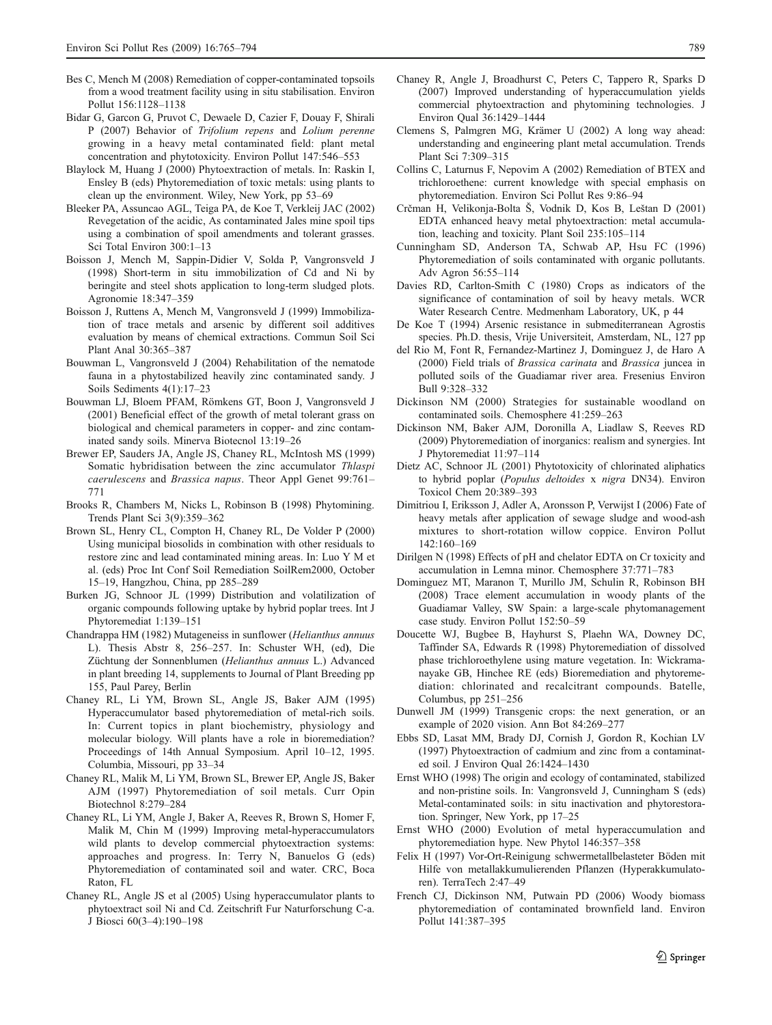- <span id="page-24-0"></span>Bes C, Mench M (2008) Remediation of copper-contaminated topsoils from a wood treatment facility using in situ stabilisation. Environ Pollut 156:1128–1138
- Bidar G, Garcon G, Pruvot C, Dewaele D, Cazier F, Douay F, Shirali P (2007) Behavior of Trifolium repens and Lolium perenne growing in a heavy metal contaminated field: plant metal concentration and phytotoxicity. Environ Pollut 147:546–553
- Blaylock M, Huang J (2000) Phytoextraction of metals. In: Raskin I, Ensley B (eds) Phytoremediation of toxic metals: using plants to clean up the environment. Wiley, New York, pp 53–69
- Bleeker PA, Assuncao AGL, Teiga PA, de Koe T, Verkleij JAC (2002) Revegetation of the acidic, As contaminated Jales mine spoil tips using a combination of spoil amendments and tolerant grasses. Sci Total Environ 300:1–13
- Boisson J, Mench M, Sappin-Didier V, Solda P, Vangronsveld J (1998) Short-term in situ immobilization of Cd and Ni by beringite and steel shots application to long-term sludged plots. Agronomie 18:347–359
- Boisson J, Ruttens A, Mench M, Vangronsveld J (1999) Immobilization of trace metals and arsenic by different soil additives evaluation by means of chemical extractions. Commun Soil Sci Plant Anal 30:365–387
- Bouwman L, Vangronsveld J (2004) Rehabilitation of the nematode fauna in a phytostabilized heavily zinc contaminated sandy. J Soils Sediments 4(1):17–23
- Bouwman LJ, Bloem PFAM, Römkens GT, Boon J, Vangronsveld J (2001) Beneficial effect of the growth of metal tolerant grass on biological and chemical parameters in copper- and zinc contaminated sandy soils. Minerva Biotecnol 13:19–26
- Brewer EP, Sauders JA, Angle JS, Chaney RL, McIntosh MS (1999) Somatic hybridisation between the zinc accumulator Thlaspi caerulescens and Brassica napus. Theor Appl Genet 99:761– 771
- Brooks R, Chambers M, Nicks L, Robinson B (1998) Phytomining. Trends Plant Sci 3(9):359–362
- Brown SL, Henry CL, Compton H, Chaney RL, De Volder P (2000) Using municipal biosolids in combination with other residuals to restore zinc and lead contaminated mining areas. In: Luo Y M et al. (eds) Proc Int Conf Soil Remediation SoilRem2000, October 15–19, Hangzhou, China, pp 285–289
- Burken JG, Schnoor JL (1999) Distribution and volatilization of organic compounds following uptake by hybrid poplar trees. Int J Phytoremediat 1:139–151
- Chandrappa HM (1982) Mutageneiss in sunflower (Helianthus annuus L). Thesis Abstr 8, 256–257. In: Schuster WH, (ed), Die Züchtung der Sonnenblumen (Helianthus annuus L.) Advanced in plant breeding 14, supplements to Journal of Plant Breeding pp 155, Paul Parey, Berlin
- Chaney RL, Li YM, Brown SL, Angle JS, Baker AJM (1995) Hyperaccumulator based phytoremediation of metal-rich soils. In: Current topics in plant biochemistry, physiology and molecular biology. Will plants have a role in bioremediation? Proceedings of 14th Annual Symposium. April 10–12, 1995. Columbia, Missouri, pp 33–34
- Chaney RL, Malik M, Li YM, Brown SL, Brewer EP, Angle JS, Baker AJM (1997) Phytoremediation of soil metals. Curr Opin Biotechnol 8:279–284
- Chaney RL, Li YM, Angle J, Baker A, Reeves R, Brown S, Homer F, Malik M, Chin M (1999) Improving metal-hyperaccumulators wild plants to develop commercial phytoextraction systems: approaches and progress. In: Terry N, Banuelos G (eds) Phytoremediation of contaminated soil and water. CRC, Boca Raton, FL
- Chaney RL, Angle JS et al (2005) Using hyperaccumulator plants to phytoextract soil Ni and Cd. Zeitschrift Fur Naturforschung C-a. J Biosci 60(3–4):190–198
- Chaney R, Angle J, Broadhurst C, Peters C, Tappero R, Sparks D (2007) Improved understanding of hyperaccumulation yields commercial phytoextraction and phytomining technologies. J Environ Qual 36:1429–1444
- Clemens S, Palmgren MG, Krämer U (2002) A long way ahead: understanding and engineering plant metal accumulation. Trends Plant Sci 7:309–315
- Collins C, Laturnus F, Nepovim A (2002) Remediation of BTEX and trichloroethene: current knowledge with special emphasis on phytoremediation. Environ Sci Pollut Res 9:86–94
- Crčman H, Velikonja-Bolta Š, Vodnik D, Kos B, Leštan D (2001) EDTA enhanced heavy metal phytoextraction: metal accumulation, leaching and toxicity. Plant Soil 235:105–114
- Cunningham SD, Anderson TA, Schwab AP, Hsu FC (1996) Phytoremediation of soils contaminated with organic pollutants. Adv Agron 56:55–114
- Davies RD, Carlton-Smith C (1980) Crops as indicators of the significance of contamination of soil by heavy metals. WCR Water Research Centre. Medmenham Laboratory, UK, p 44
- De Koe T (1994) Arsenic resistance in submediterranean Agrostis species. Ph.D. thesis, Vrije Universiteit, Amsterdam, NL, 127 pp
- del Rio M, Font R, Fernandez-Martinez J, Dominguez J, de Haro A (2000) Field trials of Brassica carinata and Brassica juncea in polluted soils of the Guadiamar river area. Fresenius Environ Bull 9:328–332
- Dickinson NM (2000) Strategies for sustainable woodland on contaminated soils. Chemosphere 41:259–263
- Dickinson NM, Baker AJM, Doronilla A, Liadlaw S, Reeves RD (2009) Phytoremediation of inorganics: realism and synergies. Int J Phytoremediat 11:97–114
- Dietz AC, Schnoor JL (2001) Phytotoxicity of chlorinated aliphatics to hybrid poplar (Populus deltoides x nigra DN34). Environ Toxicol Chem 20:389–393
- Dimitriou I, Eriksson J, Adler A, Aronsson P, Verwijst I (2006) Fate of heavy metals after application of sewage sludge and wood-ash mixtures to short-rotation willow coppice. Environ Pollut 142:160–169
- Dirilgen N (1998) Effects of pH and chelator EDTA on Cr toxicity and accumulation in Lemna minor. Chemosphere 37:771–783
- Dominguez MT, Maranon T, Murillo JM, Schulin R, Robinson BH (2008) Trace element accumulation in woody plants of the Guadiamar Valley, SW Spain: a large-scale phytomanagement case study. Environ Pollut 152:50–59
- Doucette WJ, Bugbee B, Hayhurst S, Plaehn WA, Downey DC, Taffinder SA, Edwards R (1998) Phytoremediation of dissolved phase trichloroethylene using mature vegetation. In: Wickramanayake GB, Hinchee RE (eds) Bioremediation and phytoremediation: chlorinated and recalcitrant compounds. Batelle, Columbus, pp 251–256
- Dunwell JM (1999) Transgenic crops: the next generation, or an example of 2020 vision. Ann Bot 84:269–277
- Ebbs SD, Lasat MM, Brady DJ, Cornish J, Gordon R, Kochian LV (1997) Phytoextraction of cadmium and zinc from a contaminated soil. J Environ Qual 26:1424–1430
- Ernst WHO (1998) The origin and ecology of contaminated, stabilized and non-pristine soils. In: Vangronsveld J, Cunningham S (eds) Metal-contaminated soils: in situ inactivation and phytorestoration. Springer, New York, pp 17–25
- Ernst WHO (2000) Evolution of metal hyperaccumulation and phytoremediation hype. New Phytol 146:357–358
- Felix H (1997) Vor-Ort-Reinigung schwermetallbelasteter Böden mit Hilfe von metallakkumulierenden Pflanzen (Hyperakkumulatoren). TerraTech 2:47–49
- French CJ, Dickinson NM, Putwain PD (2006) Woody biomass phytoremediation of contaminated brownfield land. Environ Pollut 141:387–395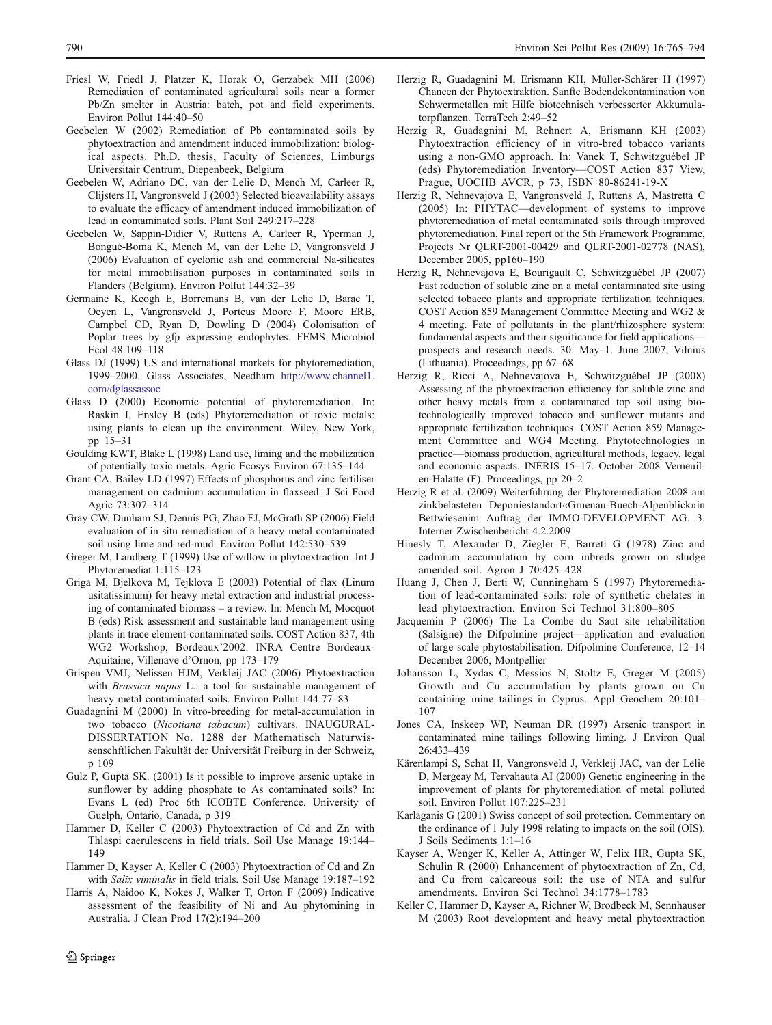- <span id="page-25-0"></span>Friesl W, Friedl J, Platzer K, Horak O, Gerzabek MH (2006) Remediation of contaminated agricultural soils near a former Pb/Zn smelter in Austria: batch, pot and field experiments. Environ Pollut 144:40–50
- Geebelen W (2002) Remediation of Pb contaminated soils by phytoextraction and amendment induced immobilization: biological aspects. Ph.D. thesis, Faculty of Sciences, Limburgs Universitair Centrum, Diepenbeek, Belgium
- Geebelen W, Adriano DC, van der Lelie D, Mench M, Carleer R, Clijsters H, Vangronsveld J (2003) Selected bioavailability assays to evaluate the efficacy of amendment induced immobilization of lead in contaminated soils. Plant Soil 249:217–228
- Geebelen W, Sappin-Didier V, Ruttens A, Carleer R, Yperman J, Bongué-Boma K, Mench M, van der Lelie D, Vangronsveld J (2006) Evaluation of cyclonic ash and commercial Na-silicates for metal immobilisation purposes in contaminated soils in Flanders (Belgium). Environ Pollut 144:32–39
- Germaine K, Keogh E, Borremans B, van der Lelie D, Barac T, Oeyen L, Vangronsveld J, Porteus Moore F, Moore ERB, Campbel CD, Ryan D, Dowling D (2004) Colonisation of Poplar trees by gfp expressing endophytes. FEMS Microbiol Ecol 48:109–118
- Glass DJ (1999) US and international markets for phytoremediation, 1999–2000. Glass Associates, Needham [http://www.channel1.](http://www.channel1.com/dglassassoc) [com/dglassassoc](http://www.channel1.com/dglassassoc)
- Glass D (2000) Economic potential of phytoremediation. In: Raskin I, Ensley B (eds) Phytoremediation of toxic metals: using plants to clean up the environment. Wiley, New York, pp 15–31
- Goulding KWT, Blake L (1998) Land use, liming and the mobilization of potentially toxic metals. Agric Ecosys Environ 67:135–144
- Grant CA, Bailey LD (1997) Effects of phosphorus and zinc fertiliser management on cadmium accumulation in flaxseed. J Sci Food Agric 73:307–314
- Gray CW, Dunham SJ, Dennis PG, Zhao FJ, McGrath SP (2006) Field evaluation of in situ remediation of a heavy metal contaminated soil using lime and red-mud. Environ Pollut 142:530–539
- Greger M, Landberg T (1999) Use of willow in phytoextraction. Int J Phytoremediat 1:115–123
- Griga M, Bjelkova M, Tejklova E (2003) Potential of flax (Linum usitatissimum) for heavy metal extraction and industrial processing of contaminated biomass – a review. In: Mench M, Mocquot B (eds) Risk assessment and sustainable land management using plants in trace element-contaminated soils. COST Action 837, 4th WG2 Workshop, Bordeaux'2002. INRA Centre Bordeaux-Aquitaine, Villenave d'Ornon, pp 173–179
- Grispen VMJ, Nelissen HJM, Verkleij JAC (2006) Phytoextraction with *Brassica napus* L.: a tool for sustainable management of heavy metal contaminated soils. Environ Pollut 144:77–83
- Guadagnini M (2000) In vitro-breeding for metal-accumulation in two tobacco (Nicotiana tabacum) cultivars. INAUGURAL-DISSERTATION No. 1288 der Mathematisch Naturwissenschftlichen Fakultät der Universität Freiburg in der Schweiz, p 109
- Gulz P, Gupta SK. (2001) Is it possible to improve arsenic uptake in sunflower by adding phosphate to As contaminated soils? In: Evans L (ed) Proc 6th ICOBTE Conference. University of Guelph, Ontario, Canada, p 319
- Hammer D, Keller C (2003) Phytoextraction of Cd and Zn with Thlaspi caerulescens in field trials. Soil Use Manage 19:144– 149
- Hammer D, Kayser A, Keller C (2003) Phytoextraction of Cd and Zn with *Salix viminalis* in field trials. Soil Use Manage 19:187–192
- Harris A, Naidoo K, Nokes J, Walker T, Orton F (2009) Indicative assessment of the feasibility of Ni and Au phytomining in Australia. J Clean Prod 17(2):194–200
- Herzig R, Guadagnini M, Erismann KH, Müller-Schärer H (1997) Chancen der Phytoextraktion. Sanfte Bodendekontamination von Schwermetallen mit Hilfe biotechnisch verbesserter Akkumulatorpflanzen. TerraTech 2:49–52
- Herzig R, Guadagnini M, Rehnert A, Erismann KH (2003) Phytoextraction efficiency of in vitro-bred tobacco variants using a non-GMO approach. In: Vanek T, Schwitzguébel JP (eds) Phytoremediation Inventory—COST Action 837 View, Prague, UOCHB AVCR, p 73, ISBN 80-86241-19-X
- Herzig R, Nehnevajova E, Vangronsveld J, Ruttens A, Mastretta C (2005) In: PHYTAC—development of systems to improve phytoremediation of metal contaminated soils through improved phytoremediation. Final report of the 5th Framework Programme, Projects Nr QLRT-2001-00429 and QLRT-2001-02778 (NAS), December 2005, pp160–190
- Herzig R, Nehnevajova E, Bourigault C, Schwitzguébel JP (2007) Fast reduction of soluble zinc on a metal contaminated site using selected tobacco plants and appropriate fertilization techniques. COST Action 859 Management Committee Meeting and WG2 & 4 meeting. Fate of pollutants in the plant/rhizosphere system: fundamental aspects and their significance for field applications prospects and research needs. 30. May–1. June 2007, Vilnius (Lithuania). Proceedings, pp 67–68
- Herzig R, Ricci A, Nehnevajova E, Schwitzguébel JP (2008) Assessing of the phytoextraction efficiency for soluble zinc and other heavy metals from a contaminated top soil using biotechnologically improved tobacco and sunflower mutants and appropriate fertilization techniques. COST Action 859 Management Committee and WG4 Meeting. Phytotechnologies in practice—biomass production, agricultural methods, legacy, legal and economic aspects. INERIS 15–17. October 2008 Verneuilen-Halatte (F). Proceedings, pp 20–2
- Herzig R et al. (2009) Weiterführung der Phytoremediation 2008 am zinkbelasteten Deponiestandort«Grüenau-Buech-Alpenblick»in Bettwiesenim Auftrag der IMMO-DEVELOPMENT AG. 3. Interner Zwischenbericht 4.2.2009
- Hinesly T, Alexander D, Ziegler E, Barreti G (1978) Zinc and cadmium accumulation by corn inbreds grown on sludge amended soil. Agron J 70:425–428
- Huang J, Chen J, Berti W, Cunningham S (1997) Phytoremediation of lead-contaminated soils: role of synthetic chelates in lead phytoextraction. Environ Sci Technol 31:800–805
- Jacquemin P (2006) The La Combe du Saut site rehabilitation (Salsigne) the Difpolmine project—application and evaluation of large scale phytostabilisation. Difpolmine Conference, 12–14 December 2006, Montpellier
- Johansson L, Xydas C, Messios N, Stoltz E, Greger M (2005) Growth and Cu accumulation by plants grown on Cu containing mine tailings in Cyprus. Appl Geochem 20:101– 107
- Jones CA, Inskeep WP, Neuman DR (1997) Arsenic transport in contaminated mine tailings following liming. J Environ Qual 26:433–439
- Kärenlampi S, Schat H, Vangronsveld J, Verkleij JAC, van der Lelie D, Mergeay M, Tervahauta AI (2000) Genetic engineering in the improvement of plants for phytoremediation of metal polluted soil. Environ Pollut 107:225–231
- Karlaganis G (2001) Swiss concept of soil protection. Commentary on the ordinance of 1 July 1998 relating to impacts on the soil (OIS). J Soils Sediments 1:1–16
- Kayser A, Wenger K, Keller A, Attinger W, Felix HR, Gupta SK, Schulin R (2000) Enhancement of phytoextraction of Zn, Cd, and Cu from calcareous soil: the use of NTA and sulfur amendments. Environ Sci Technol 34:1778–1783
- Keller C, Hammer D, Kayser A, Richner W, Brodbeck M, Sennhauser M (2003) Root development and heavy metal phytoextraction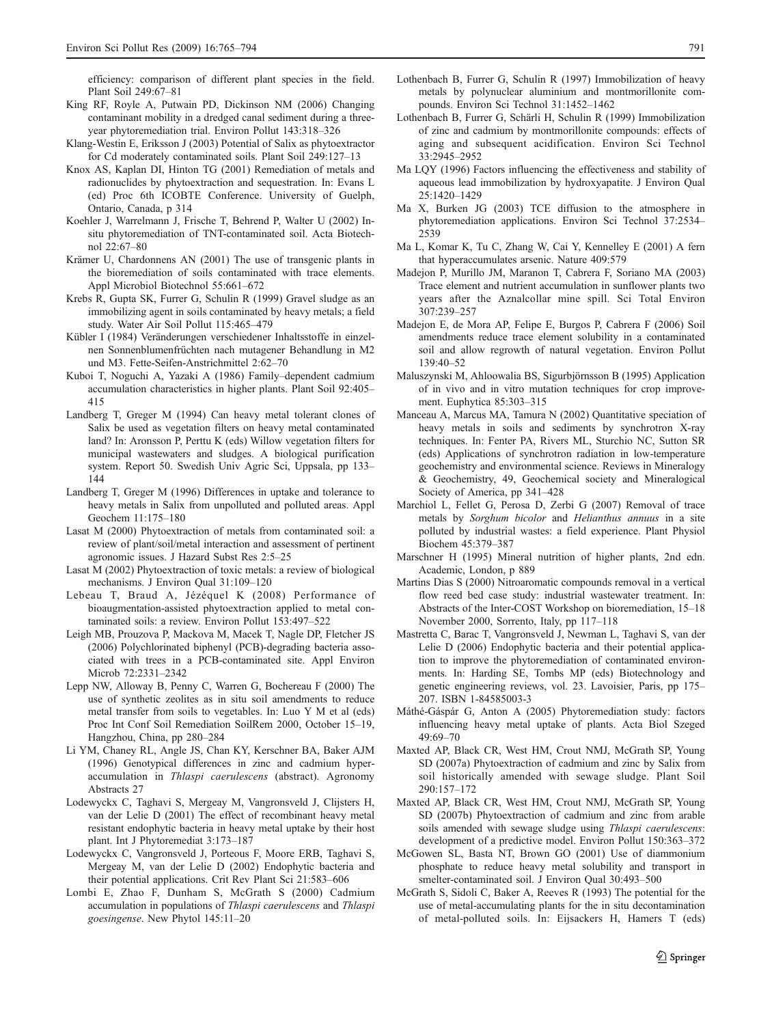<span id="page-26-0"></span>efficiency: comparison of different plant species in the field. Plant Soil 249:67–81

- King RF, Royle A, Putwain PD, Dickinson NM (2006) Changing contaminant mobility in a dredged canal sediment during a threeyear phytoremediation trial. Environ Pollut 143:318–326
- Klang-Westin E, Eriksson J (2003) Potential of Salix as phytoextractor for Cd moderately contaminated soils. Plant Soil 249:127–13
- Knox AS, Kaplan DI, Hinton TG (2001) Remediation of metals and radionuclides by phytoextraction and sequestration. In: Evans L (ed) Proc 6th ICOBTE Conference. University of Guelph, Ontario, Canada, p 314
- Koehler J, Warrelmann J, Frische T, Behrend P, Walter U (2002) Insitu phytoremediation of TNT-contaminated soil. Acta Biotechnol 22:67–80
- Krämer U, Chardonnens AN (2001) The use of transgenic plants in the bioremediation of soils contaminated with trace elements. Appl Microbiol Biotechnol 55:661–672
- Krebs R, Gupta SK, Furrer G, Schulin R (1999) Gravel sludge as an immobilizing agent in soils contaminated by heavy metals; a field study. Water Air Soil Pollut 115:465–479
- Kübler I (1984) Veränderungen verschiedener Inhaltsstoffe in einzelnen Sonnenblumenfrüchten nach mutagener Behandlung in M2 und M3. Fette-Seifen-Anstrichmittel 2:62–70
- Kuboi T, Noguchi A, Yazaki A (1986) Family–dependent cadmium accumulation characteristics in higher plants. Plant Soil 92:405– 415
- Landberg T, Greger M (1994) Can heavy metal tolerant clones of Salix be used as vegetation filters on heavy metal contaminated land? In: Aronsson P, Perttu K (eds) Willow vegetation filters for municipal wastewaters and sludges. A biological purification system. Report 50. Swedish Univ Agric Sci, Uppsala, pp 133– 144
- Landberg T, Greger M (1996) Differences in uptake and tolerance to heavy metals in Salix from unpolluted and polluted areas. Appl Geochem 11:175–180
- Lasat M (2000) Phytoextraction of metals from contaminated soil: a review of plant/soil/metal interaction and assessment of pertinent agronomic issues. J Hazard Subst Res 2:5–25
- Lasat M (2002) Phytoextraction of toxic metals: a review of biological mechanisms. J Environ Qual 31:109–120
- Lebeau T, Braud A, Jézéquel K (2008) Performance of bioaugmentation-assisted phytoextraction applied to metal contaminated soils: a review. Environ Pollut 153:497–522
- Leigh MB, Prouzova P, Mackova M, Macek T, Nagle DP, Fletcher JS (2006) Polychlorinated biphenyl (PCB)-degrading bacteria associated with trees in a PCB-contaminated site. Appl Environ Microb 72:2331–2342
- Lepp NW, Alloway B, Penny C, Warren G, Bochereau F (2000) The use of synthetic zeolites as in situ soil amendments to reduce metal transfer from soils to vegetables. In: Luo Y M et al (eds) Proc Int Conf Soil Remediation SoilRem 2000, October 15–19, Hangzhou, China, pp 280–284
- Li YM, Chaney RL, Angle JS, Chan KY, Kerschner BA, Baker AJM (1996) Genotypical differences in zinc and cadmium hyperaccumulation in Thlaspi caerulescens (abstract). Agronomy Abstracts 27
- Lodewyckx C, Taghavi S, Mergeay M, Vangronsveld J, Clijsters H, van der Lelie D (2001) The effect of recombinant heavy metal resistant endophytic bacteria in heavy metal uptake by their host plant. Int J Phytoremediat 3:173–187
- Lodewyckx C, Vangronsveld J, Porteous F, Moore ERB, Taghavi S, Mergeay M, van der Lelie D (2002) Endophytic bacteria and their potential applications. Crit Rev Plant Sci 21:583–606
- Lombi E, Zhao F, Dunham S, McGrath S (2000) Cadmium accumulation in populations of Thlaspi caerulescens and Thlaspi goesingense. New Phytol 145:11–20
- Lothenbach B, Furrer G, Schulin R (1997) Immobilization of heavy metals by polynuclear aluminium and montmorillonite compounds. Environ Sci Technol 31:1452–1462
- Lothenbach B, Furrer G, Schärli H, Schulin R (1999) Immobilization of zinc and cadmium by montmorillonite compounds: effects of aging and subsequent acidification. Environ Sci Technol 33:2945–2952
- Ma LQY (1996) Factors influencing the effectiveness and stability of aqueous lead immobilization by hydroxyapatite. J Environ Qual 25:1420–1429
- Ma X, Burken JG (2003) TCE diffusion to the atmosphere in phytoremediation applications. Environ Sci Technol 37:2534– 2539
- Ma L, Komar K, Tu C, Zhang W, Cai Y, Kennelley E (2001) A fern that hyperaccumulates arsenic. Nature 409:579
- Madejon P, Murillo JM, Maranon T, Cabrera F, Soriano MA (2003) Trace element and nutrient accumulation in sunflower plants two years after the Aznalcollar mine spill. Sci Total Environ 307:239–257
- Madejon E, de Mora AP, Felipe E, Burgos P, Cabrera F (2006) Soil amendments reduce trace element solubility in a contaminated soil and allow regrowth of natural vegetation. Environ Pollut 139:40–52
- Maluszynski M, Ahloowalia BS, Sigurbjörnsson B (1995) Application of in vivo and in vitro mutation techniques for crop improvement. Euphytica 85:303–315
- Manceau A, Marcus MA, Tamura N (2002) Quantitative speciation of heavy metals in soils and sediments by synchrotron X-ray techniques. In: Fenter PA, Rivers ML, Sturchio NC, Sutton SR (eds) Applications of synchrotron radiation in low-temperature geochemistry and environmental science. Reviews in Mineralogy & Geochemistry, 49, Geochemical society and Mineralogical Society of America, pp 341–428
- Marchiol L, Fellet G, Perosa D, Zerbi G (2007) Removal of trace metals by Sorghum bicolor and Helianthus annuus in a site polluted by industrial wastes: a field experience. Plant Physiol Biochem 45:379–387
- Marschner H (1995) Mineral nutrition of higher plants, 2nd edn. Academic, London, p 889
- Martins Dias S (2000) Nitroaromatic compounds removal in a vertical flow reed bed case study: industrial wastewater treatment. In: Abstracts of the Inter-COST Workshop on bioremediation, 15–18 November 2000, Sorrento, Italy, pp 117–118
- Mastretta C, Barac T, Vangronsveld J, Newman L, Taghavi S, van der Lelie D (2006) Endophytic bacteria and their potential application to improve the phytoremediation of contaminated environments. In: Harding SE, Tombs MP (eds) Biotechnology and genetic engineering reviews, vol. 23. Lavoisier, Paris, pp 175– 207. ISBN 1-84585003-3
- Máthé-Gáspár G, Anton A (2005) Phytoremediation study: factors influencing heavy metal uptake of plants. Acta Biol Szeged 49:69–70
- Maxted AP, Black CR, West HM, Crout NMJ, McGrath SP, Young SD (2007a) Phytoextraction of cadmium and zinc by Salix from soil historically amended with sewage sludge. Plant Soil 290:157–172
- Maxted AP, Black CR, West HM, Crout NMJ, McGrath SP, Young SD (2007b) Phytoextraction of cadmium and zinc from arable soils amended with sewage sludge using Thlaspi caerulescens: development of a predictive model. Environ Pollut 150:363–372
- McGowen SL, Basta NT, Brown GO (2001) Use of diammonium phosphate to reduce heavy metal solubility and transport in smelter-contaminated soil. J Environ Qual 30:493–500
- McGrath S, Sidoli C, Baker A, Reeves R (1993) The potential for the use of metal-accumulating plants for the in situ decontamination of metal-polluted soils. In: Eijsackers H, Hamers T (eds)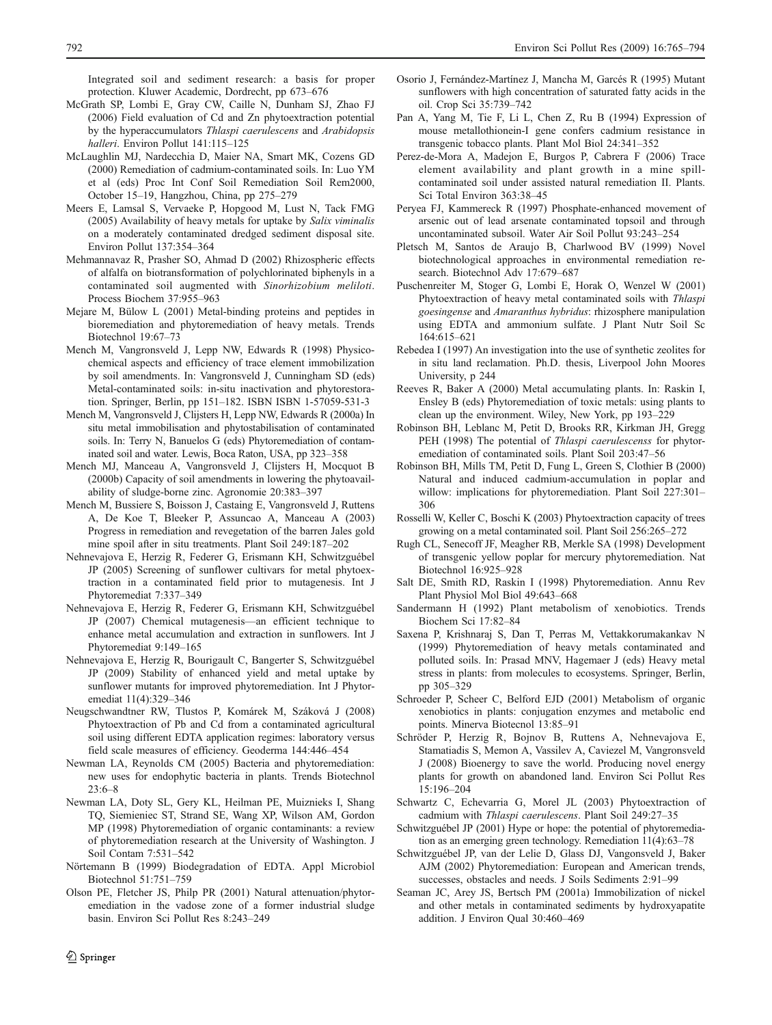- <span id="page-27-0"></span>McGrath SP, Lombi E, Gray CW, Caille N, Dunham SJ, Zhao FJ (2006) Field evaluation of Cd and Zn phytoextraction potential by the hyperaccumulators *Thlaspi caerulescens* and *Arabidopsis* halleri. Environ Pollut 141:115–125
- McLaughlin MJ, Nardecchia D, Maier NA, Smart MK, Cozens GD (2000) Remediation of cadmium-contaminated soils. In: Luo YM et al (eds) Proc Int Conf Soil Remediation Soil Rem2000, October 15–19, Hangzhou, China, pp 275–279
- Meers E, Lamsal S, Vervaeke P, Hopgood M, Lust N, Tack FMG (2005) Availability of heavy metals for uptake by Salix viminalis on a moderately contaminated dredged sediment disposal site. Environ Pollut 137:354–364
- Mehmannavaz R, Prasher SO, Ahmad D (2002) Rhizospheric effects of alfalfa on biotransformation of polychlorinated biphenyls in a contaminated soil augmented with Sinorhizobium meliloti. Process Biochem 37:955–963
- Mejare M, Bülow L (2001) Metal-binding proteins and peptides in bioremediation and phytoremediation of heavy metals. Trends Biotechnol 19:67–73
- Mench M, Vangronsveld J, Lepp NW, Edwards R (1998) Physicochemical aspects and efficiency of trace element immobilization by soil amendments. In: Vangronsveld J, Cunningham SD (eds) Metal-contaminated soils: in-situ inactivation and phytorestoration. Springer, Berlin, pp 151–182. ISBN ISBN 1-57059-531-3
- Mench M, Vangronsveld J, Clijsters H, Lepp NW, Edwards R (2000a) In situ metal immobilisation and phytostabilisation of contaminated soils. In: Terry N, Banuelos G (eds) Phytoremediation of contaminated soil and water. Lewis, Boca Raton, USA, pp 323–358
- Mench MJ, Manceau A, Vangronsveld J, Clijsters H, Mocquot B (2000b) Capacity of soil amendments in lowering the phytoavailability of sludge-borne zinc. Agronomie 20:383–397
- Mench M, Bussiere S, Boisson J, Castaing E, Vangronsveld J, Ruttens A, De Koe T, Bleeker P, Assuncao A, Manceau A (2003) Progress in remediation and revegetation of the barren Jales gold mine spoil after in situ treatments. Plant Soil 249:187–202
- Nehnevajova E, Herzig R, Federer G, Erismann KH, Schwitzguébel JP (2005) Screening of sunflower cultivars for metal phytoextraction in a contaminated field prior to mutagenesis. Int J Phytoremediat 7:337–349
- Nehnevajova E, Herzig R, Federer G, Erismann KH, Schwitzguébel JP (2007) Chemical mutagenesis—an efficient technique to enhance metal accumulation and extraction in sunflowers. Int J Phytoremediat 9:149–165
- Nehnevajova E, Herzig R, Bourigault C, Bangerter S, Schwitzguébel JP (2009) Stability of enhanced yield and metal uptake by sunflower mutants for improved phytoremediation. Int J Phytoremediat 11(4):329–346
- Neugschwandtner RW, Tlustos P, Komárek M, Száková J (2008) Phytoextraction of Pb and Cd from a contaminated agricultural soil using different EDTA application regimes: laboratory versus field scale measures of efficiency. Geoderma 144:446–454
- Newman LA, Reynolds CM (2005) Bacteria and phytoremediation: new uses for endophytic bacteria in plants. Trends Biotechnol 23:6–8
- Newman LA, Doty SL, Gery KL, Heilman PE, Muiznieks I, Shang TQ, Siemieniec ST, Strand SE, Wang XP, Wilson AM, Gordon MP (1998) Phytoremediation of organic contaminants: a review of phytoremediation research at the University of Washington. J Soil Contam 7:531–542
- Nörtemann B (1999) Biodegradation of EDTA. Appl Microbiol Biotechnol 51:751–759
- Olson PE, Fletcher JS, Philp PR (2001) Natural attenuation/phytoremediation in the vadose zone of a former industrial sludge basin. Environ Sci Pollut Res 8:243–249
- Osorio J, Fernández-Martínez J, Mancha M, Garcés R (1995) Mutant sunflowers with high concentration of saturated fatty acids in the oil. Crop Sci 35:739–742
- Pan A, Yang M, Tie F, Li L, Chen Z, Ru B (1994) Expression of mouse metallothionein-I gene confers cadmium resistance in transgenic tobacco plants. Plant Mol Biol 24:341–352
- Perez-de-Mora A, Madejon E, Burgos P, Cabrera F (2006) Trace element availability and plant growth in a mine spillcontaminated soil under assisted natural remediation II. Plants. Sci Total Environ 363:38–45
- Peryea FJ, Kammereck R (1997) Phosphate-enhanced movement of arsenic out of lead arsenate contaminated topsoil and through uncontaminated subsoil. Water Air Soil Pollut 93:243–254
- Pletsch M, Santos de Araujo B, Charlwood BV (1999) Novel biotechnological approaches in environmental remediation research. Biotechnol Adv 17:679–687
- Puschenreiter M, Stoger G, Lombi E, Horak O, Wenzel W (2001) Phytoextraction of heavy metal contaminated soils with Thlaspi goesingense and Amaranthus hybridus: rhizosphere manipulation using EDTA and ammonium sulfate. J Plant Nutr Soil Sc 164:615–621
- Rebedea I (1997) An investigation into the use of synthetic zeolites for in situ land reclamation. Ph.D. thesis, Liverpool John Moores University, p 244
- Reeves R, Baker A (2000) Metal accumulating plants. In: Raskin I, Ensley B (eds) Phytoremediation of toxic metals: using plants to clean up the environment. Wiley, New York, pp 193–229
- Robinson BH, Leblanc M, Petit D, Brooks RR, Kirkman JH, Gregg PEH (1998) The potential of *Thlaspi caerulescenss* for phytoremediation of contaminated soils. Plant Soil 203:47–56
- Robinson BH, Mills TM, Petit D, Fung L, Green S, Clothier B (2000) Natural and induced cadmium-accumulation in poplar and willow: implications for phytoremediation. Plant Soil 227:301– 306
- Rosselli W, Keller C, Boschi K (2003) Phytoextraction capacity of trees growing on a metal contaminated soil. Plant Soil 256:265–272
- Rugh CL, Senecoff JF, Meagher RB, Merkle SA (1998) Development of transgenic yellow poplar for mercury phytoremediation. Nat Biotechnol 16:925–928
- Salt DE, Smith RD, Raskin I (1998) Phytoremediation. Annu Rev Plant Physiol Mol Biol 49:643–668
- Sandermann H (1992) Plant metabolism of xenobiotics. Trends Biochem Sci 17:82–84
- Saxena P, Krishnaraj S, Dan T, Perras M, Vettakkorumakankav N (1999) Phytoremediation of heavy metals contaminated and polluted soils. In: Prasad MNV, Hagemaer J (eds) Heavy metal stress in plants: from molecules to ecosystems. Springer, Berlin, pp 305–329
- Schroeder P, Scheer C, Belford EJD (2001) Metabolism of organic xenobiotics in plants: conjugation enzymes and metabolic end points. Minerva Biotecnol 13:85–91
- Schröder P, Herzig R, Bojnov B, Ruttens A, Nehnevajova E, Stamatiadis S, Memon A, Vassilev A, Caviezel M, Vangronsveld J (2008) Bioenergy to save the world. Producing novel energy plants for growth on abandoned land. Environ Sci Pollut Res 15:196–204
- Schwartz C, Echevarria G, Morel JL (2003) Phytoextraction of cadmium with Thlaspi caerulescens. Plant Soil 249:27–35
- Schwitzguébel JP (2001) Hype or hope: the potential of phytoremediation as an emerging green technology. Remediation 11(4):63–78
- Schwitzguébel JP, van der Lelie D, Glass DJ, Vangonsveld J, Baker AJM (2002) Phytoremediation: European and American trends, successes, obstacles and needs. J Soils Sediments 2:91–99
- Seaman JC, Arey JS, Bertsch PM (2001a) Immobilization of nickel and other metals in contaminated sediments by hydroxyapatite addition. J Environ Qual 30:460–469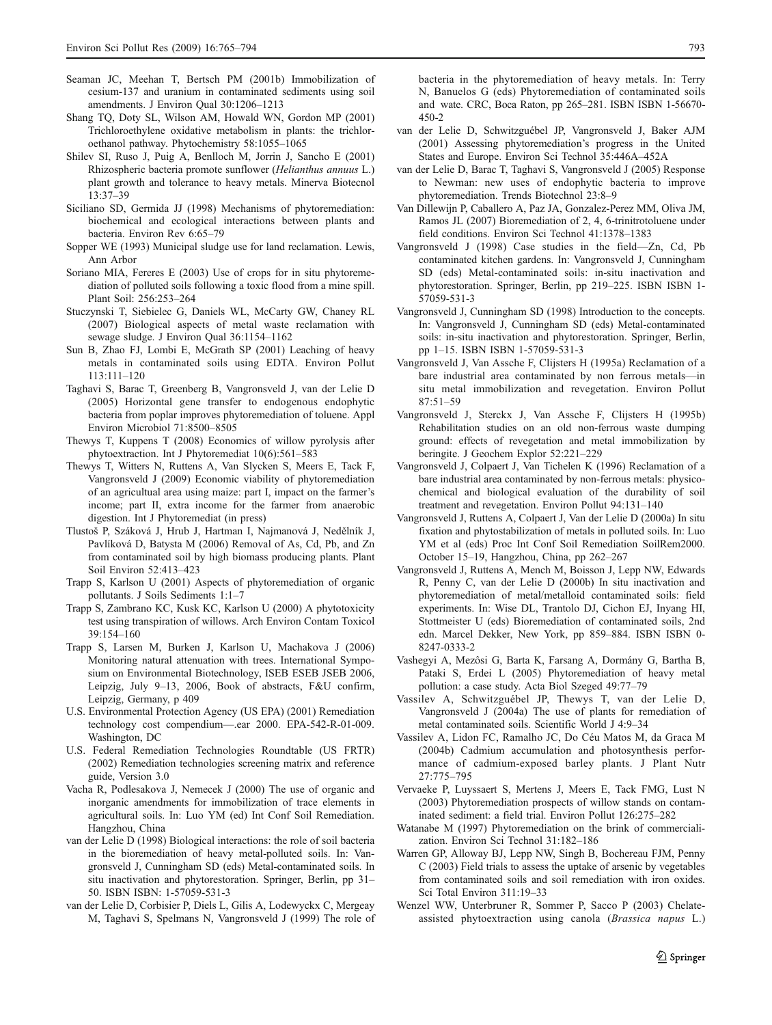- <span id="page-28-0"></span>Seaman JC, Meehan T, Bertsch PM (2001b) Immobilization of cesium-137 and uranium in contaminated sediments using soil amendments. J Environ Qual 30:1206–1213
- Shang TQ, Doty SL, Wilson AM, Howald WN, Gordon MP (2001) Trichloroethylene oxidative metabolism in plants: the trichloroethanol pathway. Phytochemistry 58:1055–1065
- Shilev SI, Ruso J, Puig A, Benlloch M, Jorrin J, Sancho E (2001) Rhizospheric bacteria promote sunflower (Helianthus annuus L.) plant growth and tolerance to heavy metals. Minerva Biotecnol 13:37–39
- Siciliano SD, Germida JJ (1998) Mechanisms of phytoremediation: biochemical and ecological interactions between plants and bacteria. Environ Rev 6:65–79
- Sopper WE (1993) Municipal sludge use for land reclamation. Lewis, Ann Arbor
- Soriano MIA, Fereres E (2003) Use of crops for in situ phytoremediation of polluted soils following a toxic flood from a mine spill. Plant Soil: 256:253–264
- Stuczynski T, Siebielec G, Daniels WL, McCarty GW, Chaney RL (2007) Biological aspects of metal waste reclamation with sewage sludge. J Environ Qual 36:1154–1162
- Sun B, Zhao FJ, Lombi E, McGrath SP (2001) Leaching of heavy metals in contaminated soils using EDTA. Environ Pollut 113:111–120
- Taghavi S, Barac T, Greenberg B, Vangronsveld J, van der Lelie D (2005) Horizontal gene transfer to endogenous endophytic bacteria from poplar improves phytoremediation of toluene. Appl Environ Microbiol 71:8500–8505
- Thewys T, Kuppens T (2008) Economics of willow pyrolysis after phytoextraction. Int J Phytoremediat 10(6):561–583
- Thewys T, Witters N, Ruttens A, Van Slycken S, Meers E, Tack F, Vangronsveld J (2009) Economic viability of phytoremediation of an agricultual area using maize: part I, impact on the farmer's income; part II, extra income for the farmer from anaerobic digestion. Int J Phytoremediat (in press)
- Tlustoš P, Száková J, Hrub J, Hartman I, Najmanová J, Nedělník J, Pavlíková D, Batysta M (2006) Removal of As, Cd, Pb, and Zn from contaminated soil by high biomass producing plants. Plant Soil Environ 52:413–423
- Trapp S, Karlson U (2001) Aspects of phytoremediation of organic pollutants. J Soils Sediments 1:1–7
- Trapp S, Zambrano KC, Kusk KC, Karlson U (2000) A phytotoxicity test using transpiration of willows. Arch Environ Contam Toxicol 39:154–160
- Trapp S, Larsen M, Burken J, Karlson U, Machakova J (2006) Monitoring natural attenuation with trees. International Symposium on Environmental Biotechnology, ISEB ESEB JSEB 2006, Leipzig, July 9–13, 2006, Book of abstracts, F&U confirm, Leipzig, Germany, p 409
- U.S. Environmental Protection Agency (US EPA) (2001) Remediation technology cost compendium—.ear 2000. EPA-542-R-01-009. Washington, DC
- U.S. Federal Remediation Technologies Roundtable (US FRTR) (2002) Remediation technologies screening matrix and reference guide, Version 3.0
- Vacha R, Podlesakova J, Nemecek J (2000) The use of organic and inorganic amendments for immobilization of trace elements in agricultural soils. In: Luo YM (ed) Int Conf Soil Remediation. Hangzhou, China
- van der Lelie D (1998) Biological interactions: the role of soil bacteria in the bioremediation of heavy metal-polluted soils. In: Vangronsveld J, Cunningham SD (eds) Metal-contaminated soils. In situ inactivation and phytorestoration. Springer, Berlin, pp 31– 50. ISBN ISBN: 1-57059-531-3
- van der Lelie D, Corbisier P, Diels L, Gilis A, Lodewyckx C, Mergeay M, Taghavi S, Spelmans N, Vangronsveld J (1999) The role of

bacteria in the phytoremediation of heavy metals. In: Terry N, Banuelos G (eds) Phytoremediation of contaminated soils and wate. CRC, Boca Raton, pp 265–281. ISBN ISBN 1-56670- 450-2

- van der Lelie D, Schwitzguébel JP, Vangronsveld J, Baker AJM (2001) Assessing phytoremediation's progress in the United States and Europe. Environ Sci Technol 35:446A–452A
- van der Lelie D, Barac T, Taghavi S, Vangronsveld J (2005) Response to Newman: new uses of endophytic bacteria to improve phytoremediation. Trends Biotechnol 23:8–9
- Van Dillewijn P, Caballero A, Paz JA, Gonzalez-Perez MM, Oliva JM, Ramos JL (2007) Bioremediation of 2, 4, 6-trinitrotoluene under field conditions. Environ Sci Technol 41:1378–1383
- Vangronsveld J (1998) Case studies in the field—Zn, Cd, Pb contaminated kitchen gardens. In: Vangronsveld J, Cunningham SD (eds) Metal-contaminated soils: in-situ inactivation and phytorestoration. Springer, Berlin, pp 219–225. ISBN ISBN 1- 57059-531-3
- Vangronsveld J, Cunningham SD (1998) Introduction to the concepts. In: Vangronsveld J, Cunningham SD (eds) Metal-contaminated soils: in-situ inactivation and phytorestoration. Springer, Berlin, pp 1–15. ISBN ISBN 1-57059-531-3
- Vangronsveld J, Van Assche F, Clijsters H (1995a) Reclamation of a bare industrial area contaminated by non ferrous metals—in situ metal immobilization and revegetation. Environ Pollut 87:51–59
- Vangronsveld J, Sterckx J, Van Assche F, Clijsters H (1995b) Rehabilitation studies on an old non-ferrous waste dumping ground: effects of revegetation and metal immobilization by beringite. J Geochem Explor 52:221–229
- Vangronsveld J, Colpaert J, Van Tichelen K (1996) Reclamation of a bare industrial area contaminated by non-ferrous metals: physicochemical and biological evaluation of the durability of soil treatment and revegetation. Environ Pollut 94:131–140
- Vangronsveld J, Ruttens A, Colpaert J, Van der Lelie D (2000a) In situ fixation and phytostabilization of metals in polluted soils. In: Luo YM et al (eds) Proc Int Conf Soil Remediation SoilRem2000. October 15–19, Hangzhou, China, pp 262–267
- Vangronsveld J, Ruttens A, Mench M, Boisson J, Lepp NW, Edwards R, Penny C, van der Lelie D (2000b) In situ inactivation and phytoremediation of metal/metalloid contaminated soils: field experiments. In: Wise DL, Trantolo DJ, Cichon EJ, Inyang HI, Stottmeister U (eds) Bioremediation of contaminated soils, 2nd edn. Marcel Dekker, New York, pp 859–884. ISBN ISBN 0- 8247-0333-2
- Vashegyi A, Mezôsi G, Barta K, Farsang A, Dormány G, Bartha B, Pataki S, Erdei L (2005) Phytoremediation of heavy metal pollution: a case study. Acta Biol Szeged 49:77–79
- Vassilev A, Schwitzguébel JP, Thewys T, van der Lelie D, Vangronsveld J (2004a) The use of plants for remediation of metal contaminated soils. Scientific World J 4:9–34
- Vassilev A, Lidon FC, Ramalho JC, Do Céu Matos M, da Graca M (2004b) Cadmium accumulation and photosynthesis performance of cadmium-exposed barley plants. J Plant Nutr 27:775–795
- Vervaeke P, Luyssaert S, Mertens J, Meers E, Tack FMG, Lust N (2003) Phytoremediation prospects of willow stands on contaminated sediment: a field trial. Environ Pollut 126:275–282
- Watanabe M (1997) Phytoremediation on the brink of commercialization. Environ Sci Technol 31:182–186
- Warren GP, Alloway BJ, Lepp NW, Singh B, Bochereau FJM, Penny C (2003) Field trials to assess the uptake of arsenic by vegetables from contaminated soils and soil remediation with iron oxides. Sci Total Environ 311:19–33
- Wenzel WW, Unterbruner R, Sommer P, Sacco P (2003) Chelateassisted phytoextraction using canola (Brassica napus L.)